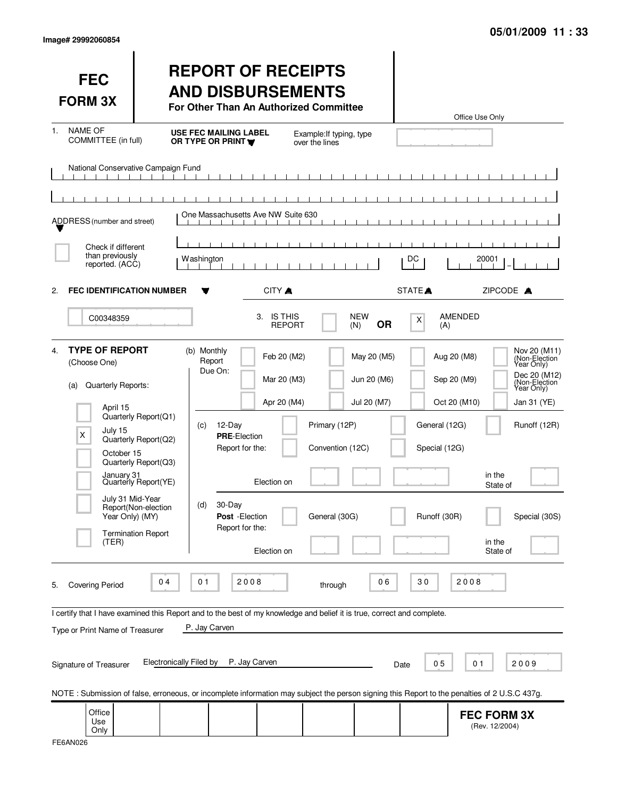|  | Image# 29992060854 |
|--|--------------------|
|--|--------------------|

| <b>FEC</b><br><b>FORM 3X</b>                                                                                                                                                     |                                                                                                                                                  | <b>REPORT OF RECEIPTS</b><br><b>AND DISBURSEMENTS</b><br>For Other Than An Authorized Committee                                                                                                                                                                                                                         |                                                                                                 |                                                | Office Use Only                                                                                                                                                                                                                      |
|----------------------------------------------------------------------------------------------------------------------------------------------------------------------------------|--------------------------------------------------------------------------------------------------------------------------------------------------|-------------------------------------------------------------------------------------------------------------------------------------------------------------------------------------------------------------------------------------------------------------------------------------------------------------------------|-------------------------------------------------------------------------------------------------|------------------------------------------------|--------------------------------------------------------------------------------------------------------------------------------------------------------------------------------------------------------------------------------------|
| <b>NAME OF</b><br>1.<br>COMMITTEE (in full)                                                                                                                                      |                                                                                                                                                  | <b>USE FEC MAILING LABEL</b><br>OR TYPE OR PRINT                                                                                                                                                                                                                                                                        | Example: If typing, type<br>over the lines                                                      |                                                |                                                                                                                                                                                                                                      |
| National Conservative Campaign Fund                                                                                                                                              |                                                                                                                                                  |                                                                                                                                                                                                                                                                                                                         |                                                                                                 |                                                |                                                                                                                                                                                                                                      |
| ADDRESS (number and street)                                                                                                                                                      |                                                                                                                                                  | One Massachusetts Ave NW Suite 630                                                                                                                                                                                                                                                                                      |                                                                                                 |                                                |                                                                                                                                                                                                                                      |
| Check if different<br>than previously<br>reported. (ACC)                                                                                                                         |                                                                                                                                                  | Washington                                                                                                                                                                                                                                                                                                              |                                                                                                 | DC                                             | 20001                                                                                                                                                                                                                                |
| <b>FEC IDENTIFICATION NUMBER</b><br>2.                                                                                                                                           |                                                                                                                                                  | CITY A                                                                                                                                                                                                                                                                                                                  |                                                                                                 | STATE <sup></sup>                              | ZIPCODE A                                                                                                                                                                                                                            |
| C00348359                                                                                                                                                                        |                                                                                                                                                  | 3. IS THIS<br><b>REPORT</b>                                                                                                                                                                                                                                                                                             | <b>NEW</b><br><b>OR</b><br>(N)                                                                  | X<br>(A)                                       | <b>AMENDED</b>                                                                                                                                                                                                                       |
| <b>TYPE OF REPORT</b><br>4.<br>(Choose One)<br>Quarterly Reports:<br>(a)<br>April 15<br>July 15<br>X<br>October 15<br>January 31<br>July 31 Mid-Year<br>Year Only) (MY)<br>(TER) | Quarterly Report(Q1)<br>Quarterly Report(Q2)<br>Quarterly Report(Q3)<br>Quarterly Report(YE)<br>Report(Non-election<br><b>Termination Report</b> | (b) Monthly<br>Feb 20 (M2)<br>Report<br>Due On:<br>Mar 20 (M3)<br>Apr 20 (M4)<br>12-Day<br>(c)<br><b>PRE-Election</b><br>Report for the:<br>Election on<br>30-Day<br>(d)<br>Post - Election<br>Report for the:<br>Election on                                                                                           | May 20 (M5)<br>Jun 20 (M6)<br>Jul 20 (M7)<br>Primary (12P)<br>Convention (12C)<br>General (30G) | General (12G)<br>Special (12G)<br>Runoff (30R) | Nov 20 (M11)<br>(Non-Election<br>Year Only)<br>Aug 20 (M8)<br>Dec 20 (M12)<br>Sep 20 (M9)<br>(Non-Election<br>Year Only)<br>Oct 20 (M10)<br>Jan 31 (YE)<br>Runoff (12R)<br>in the<br>State of<br>Special (30S)<br>in the<br>State of |
| <b>Covering Period</b><br>5.<br>Type or Print Name of Treasurer<br>Signature of Treasurer                                                                                        | 04<br><b>Electronically Filed by</b>                                                                                                             | 01<br>2008<br>I certify that I have examined this Report and to the best of my knowledge and belief it is true, correct and complete.<br>P. Jay Carven<br>P. Jay Carven<br>NOTE: Submission of false, erroneous, or incomplete information may subject the person signing this Report to the penalties of 2 U.S.C 437g. | 06<br>through                                                                                   | 30<br>05<br>Date                               | 2008<br>01<br>2009                                                                                                                                                                                                                   |
| Office<br>Use<br>Only                                                                                                                                                            |                                                                                                                                                  |                                                                                                                                                                                                                                                                                                                         |                                                                                                 |                                                | <b>FEC FORM 3X</b><br>(Rev. 12/2004)                                                                                                                                                                                                 |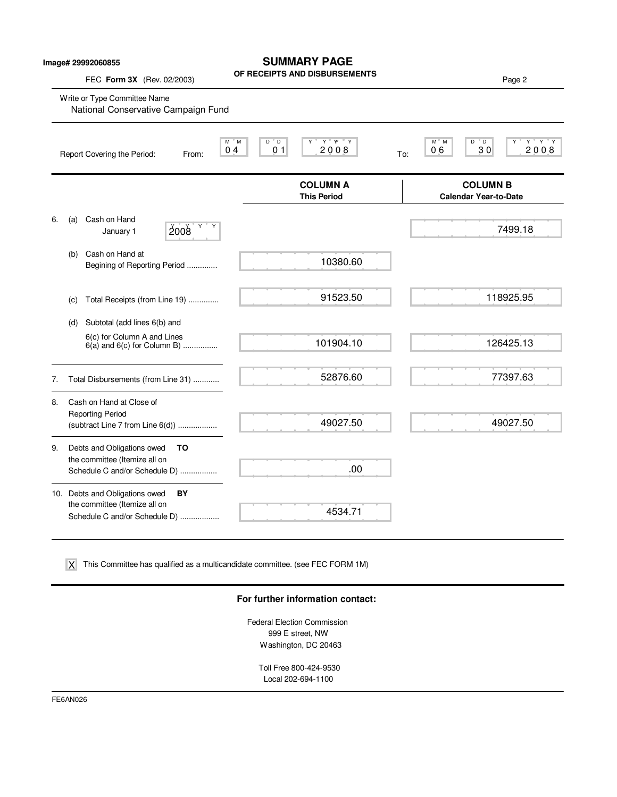| Image# 29992060855<br>FEC Form 3X (Rev. 02/2003) |                                                                                                        | <b>SUMMARY PAGE</b><br>OF RECEIPTS AND DISBURSEMENTS            | Page 2                                                             |
|--------------------------------------------------|--------------------------------------------------------------------------------------------------------|-----------------------------------------------------------------|--------------------------------------------------------------------|
|                                                  | Write or Type Committee Name<br>National Conservative Campaign Fund                                    |                                                                 |                                                                    |
|                                                  | Report Covering the Period:<br>From:                                                                   | Y W Y<br>M M<br>D D<br>0 <sub>1</sub><br>2008<br>0 <sub>4</sub> | $Y$ $Y$ $Y$<br>M M<br>D<br>$^{\circ}$ D<br>30<br>2008<br>06<br>To: |
|                                                  |                                                                                                        | <b>COLUMN A</b><br><b>This Period</b>                           | <b>COLUMN B</b><br><b>Calendar Year-to-Date</b>                    |
| 6.                                               | Cash on Hand<br>(a)<br>Y Y<br>2008<br>January 1                                                        |                                                                 | 7499.18                                                            |
|                                                  | Cash on Hand at<br>(b)<br>Begining of Reporting Period                                                 | 10380.60                                                        |                                                                    |
|                                                  | Total Receipts (from Line 19)<br>(c)                                                                   | 91523.50                                                        | 118925.95                                                          |
|                                                  | Subtotal (add lines 6(b) and<br>(d)                                                                    |                                                                 |                                                                    |
|                                                  | 6(c) for Column A and Lines<br>$6(a)$ and $6(c)$ for Column B)                                         | 101904.10                                                       | 126425.13                                                          |
| 7.                                               | Total Disbursements (from Line 31)                                                                     | 52876.60                                                        | 77397.63                                                           |
| 8.                                               | Cash on Hand at Close of<br><b>Reporting Period</b><br>(subtract Line $7$ from Line $6(d)$ )           | 49027.50                                                        | 49027.50                                                           |
| 9.                                               | Debts and Obligations owed<br>ΤO<br>the committee (Itemize all on<br>Schedule C and/or Schedule D)     | .00                                                             |                                                                    |
|                                                  | 10. Debts and Obligations owed<br>BY<br>the committee (Itemize all on<br>Schedule C and/or Schedule D) | 4534.71                                                         |                                                                    |

This Committee has qualified as a multicandidate committee. (see FEC FORM 1M) X

## **For further information contact:**

Federal Election Commission 999 E street, NW Washington, DC 20463

> Toll Free 800-424-9530 Local 202-694-1100

FE6AN026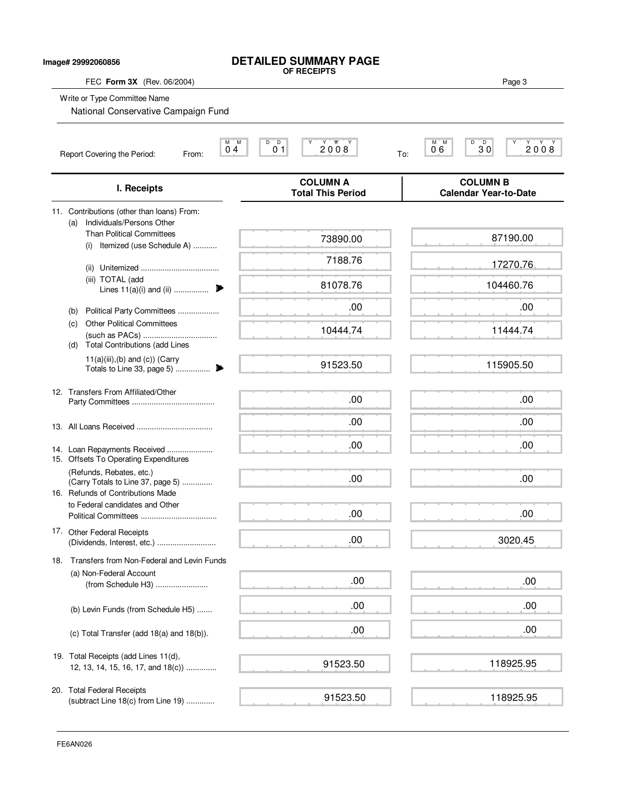| Image# 29992060856 |                                                                                          | <b>DETAILED SUMMARY PAGE</b><br>OF RECEIPTS                                              |                                                 |
|--------------------|------------------------------------------------------------------------------------------|------------------------------------------------------------------------------------------|-------------------------------------------------|
|                    | FEC Form 3X (Rev. 06/2004)                                                               |                                                                                          | Page 3                                          |
|                    | Write or Type Committee Name<br>National Conservative Campaign Fund                      |                                                                                          |                                                 |
|                    | Report Covering the Period:<br>From:                                                     | ĬΜ<br>D<br>$\overline{D}$<br>$2008$<br>м<br>Υ<br>0 <sub>1</sub><br>0 <sub>4</sub><br>To: | $M$ $M$<br>D<br>$30^{\circ}$<br>Υ<br>2008<br>06 |
|                    | I. Receipts                                                                              | <b>COLUMN A</b><br><b>Total This Period</b>                                              | <b>COLUMN B</b><br><b>Calendar Year-to-Date</b> |
|                    | 11. Contributions (other than loans) From:<br>Individuals/Persons Other<br>(a)           |                                                                                          |                                                 |
|                    | <b>Than Political Committees</b><br>(i) Itemized (use Schedule A)                        | 73890.00                                                                                 | 87190.00                                        |
|                    |                                                                                          | 7188.76                                                                                  | 17270.76                                        |
|                    | (iii) TOTAL (add<br>Lines $11(a)(i)$ and (ii)                                            | 81078.76                                                                                 | 104460.76                                       |
|                    | Political Party Committees<br>(b)                                                        | .00                                                                                      | .00                                             |
|                    | <b>Other Political Committees</b><br>(c)<br><b>Total Contributions (add Lines</b><br>(d) | 10444.74                                                                                 | 11444.74                                        |
|                    | $11(a)(iii),(b)$ and $(c)$ ) (Carry                                                      | 91523.50                                                                                 | 115905.50                                       |
|                    | 12. Transfers From Affiliated/Other                                                      | .00                                                                                      | .00                                             |
|                    |                                                                                          | .00                                                                                      | .00                                             |
|                    | 14. Loan Repayments Received<br>15. Offsets To Operating Expenditures                    | .00                                                                                      | .00.                                            |
|                    | (Refunds, Rebates, etc.)<br>(Carry Totals to Line 37, page 5)                            | .00                                                                                      | .00                                             |
|                    | 16. Refunds of Contributions Made<br>to Federal candidates and Other                     | .00                                                                                      | .00                                             |
|                    | 17. Other Federal Receipts<br>(Dividends, Interest, etc.)                                | .00                                                                                      | 3020.45                                         |
| 18.                | Transfers from Non-Federal and Levin Funds                                               |                                                                                          |                                                 |
|                    | (a) Non-Federal Account<br>(from Schedule H3)                                            | .00                                                                                      | .00                                             |
|                    | (b) Levin Funds (from Schedule H5)                                                       | .00                                                                                      | .00                                             |
|                    | (c) Total Transfer (add 18(a) and 18(b)).                                                | .00                                                                                      | .00                                             |
|                    | 19. Total Receipts (add Lines 11(d),<br>12, 13, 14, 15, 16, 17, and 18(c))               | 91523.50                                                                                 | 118925.95                                       |
|                    | 20. Total Federal Receipts<br>(subtract Line 18(c) from Line 19)                         | 91523.50                                                                                 | 118925.95                                       |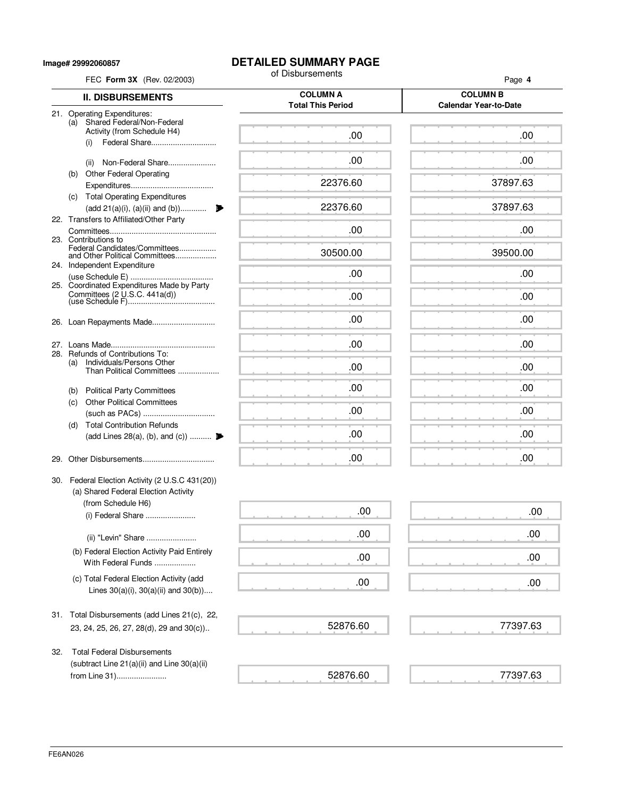**Image# 29992060857**

## **DETAILED SUMMARY PAGE**<br>of Disbursements

| FEC Form 3X (Rev. 02/2003)                                                              |  | of Disbursements                            | Page 4                                          |  |
|-----------------------------------------------------------------------------------------|--|---------------------------------------------|-------------------------------------------------|--|
| <b>II. DISBURSEMENTS</b>                                                                |  | <b>COLUMN A</b><br><b>Total This Period</b> | <b>COLUMN B</b><br><b>Calendar Year-to-Date</b> |  |
| 21. Operating Expenditures:                                                             |  |                                             |                                                 |  |
| (a) Shared Federal/Non-Federal<br>Activity (from Schedule H4)                           |  | .00                                         | .00                                             |  |
| Federal Share<br>(i)                                                                    |  |                                             |                                                 |  |
| Non-Federal Share<br>(ii)                                                               |  | .00                                         | .00                                             |  |
| <b>Other Federal Operating</b><br>(b)                                                   |  |                                             |                                                 |  |
|                                                                                         |  | 22376.60                                    | 37897.63                                        |  |
| (c) Total Operating Expenditures<br>(add 21(a)(i), (a)(ii) and (b))                     |  | 22376.60                                    | 37897.63                                        |  |
| 22. Transfers to Affiliated/Other Party                                                 |  |                                             |                                                 |  |
|                                                                                         |  | .00                                         | .00                                             |  |
| 23. Contributions to<br>Federal Candidates/Committees                                   |  | 30500.00                                    | 39500.00                                        |  |
| and Other Political Committees<br>24. Independent Expenditure                           |  |                                             |                                                 |  |
|                                                                                         |  | .00                                         | .00                                             |  |
| 25. Coordinated Expenditures Made by Party<br>Committees $(2 \cup S.C. 441a(d))$        |  | .00                                         | .00                                             |  |
|                                                                                         |  |                                             |                                                 |  |
|                                                                                         |  | .00                                         | .00                                             |  |
|                                                                                         |  |                                             |                                                 |  |
| 28. Refunds of Contributions To:                                                        |  | .00                                         | .00                                             |  |
| Individuals/Persons Other<br>(a)<br>Than Political Committees                           |  | .00                                         | .00                                             |  |
|                                                                                         |  |                                             |                                                 |  |
| (b) Political Party Committees                                                          |  | .00                                         | .00                                             |  |
| <b>Other Political Committees</b><br>(C)                                                |  | .00                                         | .00                                             |  |
| <b>Total Contribution Refunds</b><br>(d)                                                |  |                                             |                                                 |  |
| (add Lines 28(a), (b), and (c))                                                         |  | .00                                         | .00                                             |  |
| 29.                                                                                     |  | .00                                         | .00                                             |  |
|                                                                                         |  |                                             |                                                 |  |
| 30. Federal Election Activity (2 U.S.C 431(20))<br>(a) Shared Federal Election Activity |  |                                             |                                                 |  |
| (from Schedule H6)                                                                      |  |                                             |                                                 |  |
| (i) Federal Share                                                                       |  | .00                                         | .00                                             |  |
| (ii) "Levin" Share                                                                      |  | .00                                         | .00                                             |  |
| (b) Federal Election Activity Paid Entirely                                             |  | .00                                         | .00                                             |  |
| With Federal Funds                                                                      |  |                                             |                                                 |  |
| (c) Total Federal Election Activity (add                                                |  | .00                                         | .00                                             |  |
| Lines $30(a)(i)$ , $30(a)(ii)$ and $30(b)$ )                                            |  |                                             |                                                 |  |
| 31. Total Disbursements (add Lines 21(c), 22,                                           |  |                                             |                                                 |  |
| 23, 24, 25, 26, 27, 28(d), 29 and 30(c))                                                |  | 52876.60                                    | 77397.63                                        |  |
|                                                                                         |  |                                             |                                                 |  |
| <b>Total Federal Disbursements</b><br>32.                                               |  |                                             |                                                 |  |
| (subtract Line 21(a)(ii) and Line 30(a)(ii)<br>from Line 31)                            |  | 52876.60                                    | 77397.63                                        |  |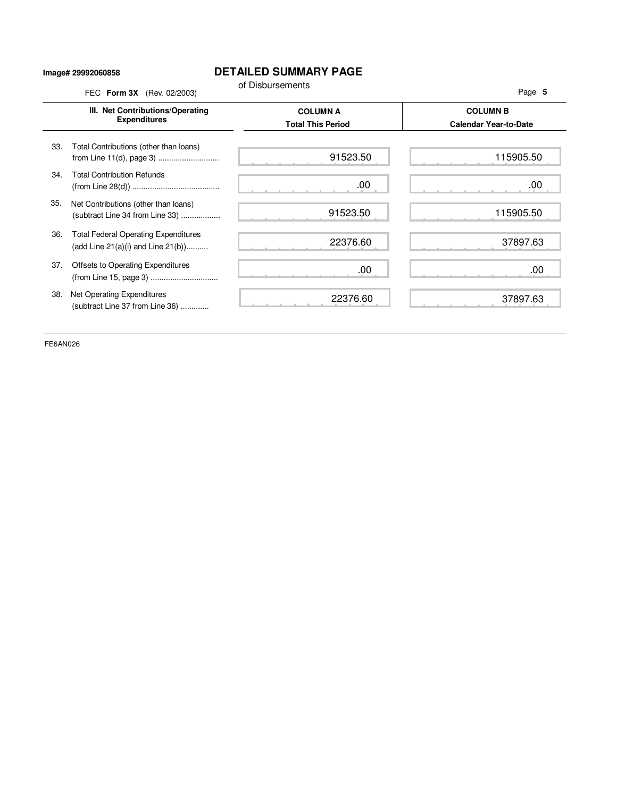## **Image# 29992060858**

## **DETAILED SUMMARY PAGE**

|     | III. Net Contributions/Operating<br><b>Expenditures</b>                                | <b>COLUMN A</b><br><b>Total This Period</b> | <b>COLUMN B</b><br><b>Calendar Year-to-Date</b> |
|-----|----------------------------------------------------------------------------------------|---------------------------------------------|-------------------------------------------------|
| 33. | Total Contributions (other than loans)<br>from Line 11(d), page 3)                     | 91523.50                                    | 115905.50                                       |
| 34. | <b>Total Contribution Refunds</b>                                                      | .00.                                        | .00                                             |
| 35. | Net Contributions (other than loans)<br>(subtract Line 34 from Line 33)                | 91523.50                                    | 115905.50                                       |
| 36. | <b>Total Federal Operating Expenditures</b><br>(add Line $21(a)(i)$ and Line $21(b)$ ) | 22376.60                                    | 37897.63                                        |
| 37. | Offsets to Operating Expenditures                                                      | .00                                         | .00                                             |
| 38. | Net Operating Expenditures<br>(subtract Line 37 from Line 36)                          | 22376.60                                    | 37897.63                                        |

FE6AN026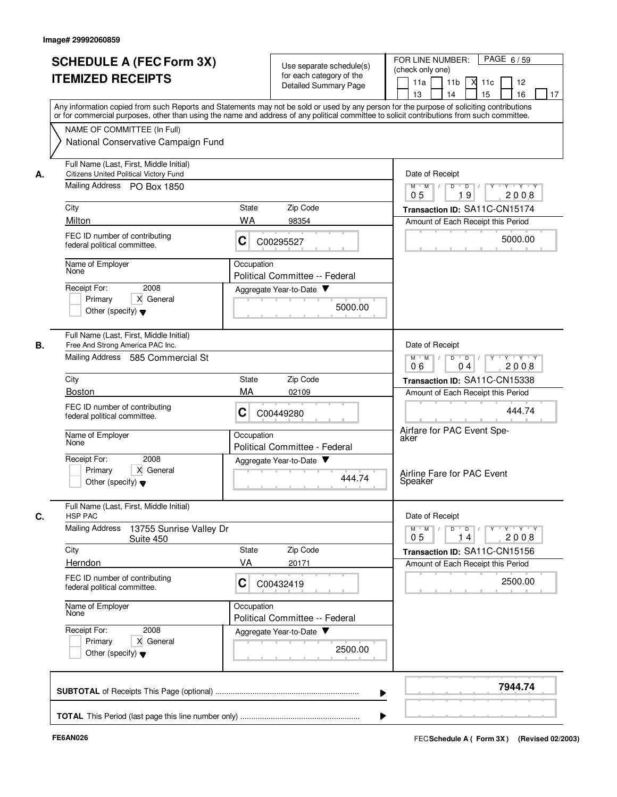|    | <b>SCHEDULE A (FEC Form 3X)</b><br><b>ITEMIZED RECEIPTS</b>                              | Use separate schedule(s)<br>for each category of the<br><b>Detailed Summary Page</b>                                                                                                                                                                                                    | FOR LINE NUMBER:<br>PAGE 6/59<br>(check only one)<br>11a<br>11 <sub>b</sub><br>$X$ 11 $c$<br>12<br>13<br>14<br>15<br>16<br>17 |
|----|------------------------------------------------------------------------------------------|-----------------------------------------------------------------------------------------------------------------------------------------------------------------------------------------------------------------------------------------------------------------------------------------|-------------------------------------------------------------------------------------------------------------------------------|
|    |                                                                                          | Any information copied from such Reports and Statements may not be sold or used by any person for the purpose of soliciting contributions<br>or for commercial purposes, other than using the name and address of any political committee to solicit contributions from such committee. |                                                                                                                               |
|    | NAME OF COMMITTEE (In Full)<br>National Conservative Campaign Fund                       |                                                                                                                                                                                                                                                                                         |                                                                                                                               |
| А. | Full Name (Last, First, Middle Initial)<br><b>Citizens United Political Victory Fund</b> |                                                                                                                                                                                                                                                                                         | Date of Receipt                                                                                                               |
|    | Mailing Address PO Box 1850                                                              |                                                                                                                                                                                                                                                                                         | $Y - Y - Y$<br>$M$ $M$ /<br>D<br>$\overline{D}$<br>9<br>2008<br>05<br>1                                                       |
|    | City                                                                                     | Zip Code<br>State                                                                                                                                                                                                                                                                       | Transaction ID: SA11C-CN15174                                                                                                 |
|    | Milton<br>FEC ID number of contributing<br>federal political committee.                  | <b>WA</b><br>98354<br>C<br>C00295527                                                                                                                                                                                                                                                    | Amount of Each Receipt this Period<br>5000.00                                                                                 |
|    | Name of Employer<br>None                                                                 | Occupation<br>Political Committee -- Federal                                                                                                                                                                                                                                            |                                                                                                                               |
|    | 2008<br>Receipt For:<br>X General<br>Primary<br>Other (specify) $\blacktriangledown$     | Aggregate Year-to-Date<br>5000.00                                                                                                                                                                                                                                                       |                                                                                                                               |
| В. | Full Name (Last, First, Middle Initial)<br>Free And Strong America PAC Inc.              |                                                                                                                                                                                                                                                                                         | Date of Receipt                                                                                                               |
|    | Mailing Address 585 Commercial St                                                        |                                                                                                                                                                                                                                                                                         | $M$ M<br>$\sqrt{ }$<br>D<br>$\overline{D}$<br>$Y + Y + Y$<br>2008<br>06<br>04                                                 |
|    | City                                                                                     | Zip Code<br>State                                                                                                                                                                                                                                                                       | Transaction ID: SA11C-CN15338                                                                                                 |
|    | <b>Boston</b><br>FEC ID number of contributing                                           | MA<br>02109<br>C                                                                                                                                                                                                                                                                        | Amount of Each Receipt this Period<br>444.74                                                                                  |
|    | federal political committee.                                                             | C00449280                                                                                                                                                                                                                                                                               | Airfare for PAC Event Spe-                                                                                                    |
|    | Name of Employer<br>None                                                                 | Occupation<br>Political Committee - Federal                                                                                                                                                                                                                                             | aker                                                                                                                          |
|    | Receipt For:<br>2008<br>X General<br>Primary<br>Other (specify) $\blacktriangledown$     | Aggregate Year-to-Date<br>444.74                                                                                                                                                                                                                                                        | Airline Fare for PAC Event<br>Speaker                                                                                         |
|    | Full Name (Last, First, Middle Initial)<br><b>HSP PAC</b>                                |                                                                                                                                                                                                                                                                                         | Date of Receipt                                                                                                               |
|    | <b>Mailing Address</b><br>13755 Sunrise Valley Dr<br>Suite 450                           |                                                                                                                                                                                                                                                                                         | $Y$ $Y$ $Y$<br>$D$ $D$ $I$<br>$Y$ <sup>U</sup><br>$M$ $M$<br>2008<br>0 <sub>5</sub><br>14                                     |
|    | City                                                                                     | State<br>Zip Code<br>VA                                                                                                                                                                                                                                                                 | Transaction ID: SA11C-CN15156                                                                                                 |
|    | Herndon<br>FEC ID number of contributing<br>federal political committee.                 | 20171<br>C<br>C00432419                                                                                                                                                                                                                                                                 | Amount of Each Receipt this Period<br>2500.00                                                                                 |
|    | Name of Employer<br>None                                                                 | Occupation<br>Political Committee -- Federal                                                                                                                                                                                                                                            |                                                                                                                               |
|    | Receipt For:<br>2008<br>X General<br>Primary<br>Other (specify) $\blacktriangledown$     | Aggregate Year-to-Date<br>2500.00                                                                                                                                                                                                                                                       |                                                                                                                               |
|    |                                                                                          |                                                                                                                                                                                                                                                                                         | 7944.74                                                                                                                       |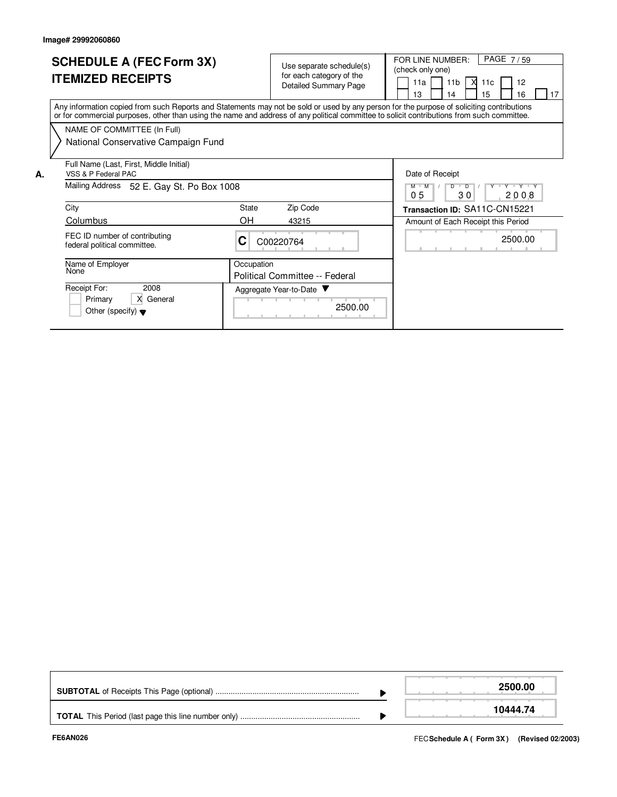Primary | X General Other (specify)  $\blacktriangledown$ 

|    | <b>SCHEDULE A (FEC Form 3X)</b><br><b>ITEMIZED RECEIPTS</b>                                                                                                                                                                                                                             |            | Use separate schedule(s)<br>for each category of the<br><b>Detailed Summary Page</b> | PAGE 7/59<br>FOR LINE NUMBER:<br>(check only one)<br>11a<br>11 <sub>b</sub><br>X<br>11c<br>12<br>15<br>13<br>16<br>17<br>14 |
|----|-----------------------------------------------------------------------------------------------------------------------------------------------------------------------------------------------------------------------------------------------------------------------------------------|------------|--------------------------------------------------------------------------------------|-----------------------------------------------------------------------------------------------------------------------------|
|    | Any information copied from such Reports and Statements may not be sold or used by any person for the purpose of soliciting contributions<br>or for commercial purposes, other than using the name and address of any political committee to solicit contributions from such committee. |            |                                                                                      |                                                                                                                             |
|    | NAME OF COMMITTEE (In Full)<br>National Conservative Campaign Fund                                                                                                                                                                                                                      |            |                                                                                      |                                                                                                                             |
| А. | Full Name (Last, First, Middle Initial)<br>VSS & P Federal PAC                                                                                                                                                                                                                          |            |                                                                                      | Date of Receipt                                                                                                             |
|    | Mailing Address<br>52 E. Gay St. Po Box 1008                                                                                                                                                                                                                                            |            |                                                                                      | Y Y Y Y Y<br>D<br>$\overline{D}$<br>05<br>30<br>2008                                                                        |
|    | City                                                                                                                                                                                                                                                                                    | State      | Zip Code                                                                             | Transaction ID: SA11C-CN15221                                                                                               |
|    | Columbus                                                                                                                                                                                                                                                                                | OH         | 43215                                                                                | Amount of Each Receipt this Period                                                                                          |
|    | FEC ID number of contributing<br>federal political committee.                                                                                                                                                                                                                           | С          | C00220764                                                                            | 2500.00                                                                                                                     |
|    | Name of Employer<br>None                                                                                                                                                                                                                                                                | Occupation | Political Committee -- Federal                                                       |                                                                                                                             |
|    | 2008<br>Receipt For:                                                                                                                                                                                                                                                                    |            | Aggregate Year-to-Date                                                               |                                                                                                                             |

2500.00

|  | 2500.00  |
|--|----------|
|  | 10444.74 |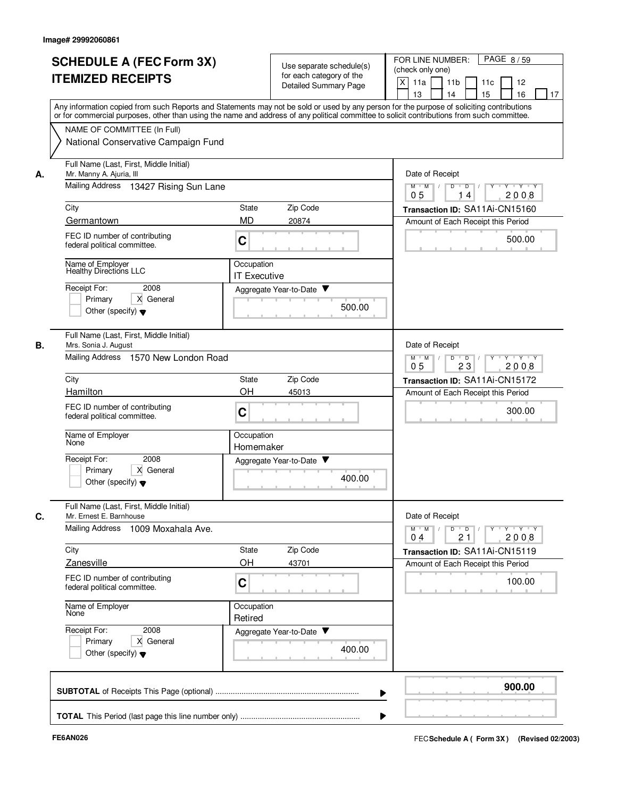|    |                                                                                                                                                                                                                                                                                         |                                   |                                                   |        | FOR LINE NUMBER:<br>PAGE 8/59                                               |
|----|-----------------------------------------------------------------------------------------------------------------------------------------------------------------------------------------------------------------------------------------------------------------------------------------|-----------------------------------|---------------------------------------------------|--------|-----------------------------------------------------------------------------|
|    | <b>SCHEDULE A (FEC Form 3X)</b>                                                                                                                                                                                                                                                         |                                   | Use separate schedule(s)                          |        | (check only one)                                                            |
|    | <b>ITEMIZED RECEIPTS</b>                                                                                                                                                                                                                                                                |                                   | for each category of the<br>Detailed Summary Page |        | X<br>11a<br>11 <sub>b</sub><br>11c<br>12                                    |
|    |                                                                                                                                                                                                                                                                                         |                                   |                                                   |        | 15<br>16<br>13<br>14<br>17                                                  |
|    | Any information copied from such Reports and Statements may not be sold or used by any person for the purpose of soliciting contributions<br>or for commercial purposes, other than using the name and address of any political committee to solicit contributions from such committee. |                                   |                                                   |        |                                                                             |
|    | NAME OF COMMITTEE (In Full)                                                                                                                                                                                                                                                             |                                   |                                                   |        |                                                                             |
|    | National Conservative Campaign Fund                                                                                                                                                                                                                                                     |                                   |                                                   |        |                                                                             |
| А. | Full Name (Last, First, Middle Initial)<br>Mr. Manny A. Ajuria, III                                                                                                                                                                                                                     |                                   |                                                   |        | Date of Receipt                                                             |
|    | Mailing Address 13427 Rising Sun Lane                                                                                                                                                                                                                                                   |                                   |                                                   |        | Y Y Y Y<br>$M$ $M$ /<br>D<br>$\overline{D}$<br>2008<br>0 <sub>5</sub><br>14 |
|    | City                                                                                                                                                                                                                                                                                    | State                             | Zip Code                                          |        | Transaction ID: SA11Ai-CN15160                                              |
|    | Germantown                                                                                                                                                                                                                                                                              | <b>MD</b>                         | 20874                                             |        | Amount of Each Receipt this Period                                          |
|    | FEC ID number of contributing<br>federal political committee.                                                                                                                                                                                                                           | C                                 |                                                   |        | 500.00                                                                      |
|    | Name of Employer<br><b>Healthy Directions LLC</b>                                                                                                                                                                                                                                       | Occupation<br><b>IT Executive</b> |                                                   |        |                                                                             |
|    | Receipt For:<br>2008                                                                                                                                                                                                                                                                    |                                   | Aggregate Year-to-Date                            |        |                                                                             |
|    | X General<br>Primary                                                                                                                                                                                                                                                                    |                                   |                                                   | 500.00 |                                                                             |
|    | Other (specify) $\blacktriangledown$                                                                                                                                                                                                                                                    |                                   |                                                   |        |                                                                             |
| В. | Full Name (Last, First, Middle Initial)<br>Mrs. Sonia J. August                                                                                                                                                                                                                         |                                   |                                                   |        | Date of Receipt                                                             |
|    | Mailing Address<br>1570 New London Road                                                                                                                                                                                                                                                 |                                   |                                                   |        | D<br>Y 'Y 'Y<br>$M$ $M$<br>$\overline{D}$<br>23<br>2008<br>05               |
|    | City                                                                                                                                                                                                                                                                                    | State                             | Zip Code                                          |        | Transaction ID: SA11Ai-CN15172                                              |
|    | Hamilton                                                                                                                                                                                                                                                                                | OH                                | 45013                                             |        | Amount of Each Receipt this Period                                          |
|    | FEC ID number of contributing<br>federal political committee.                                                                                                                                                                                                                           | C                                 |                                                   |        | 300.00                                                                      |
|    | Name of Employer<br>None                                                                                                                                                                                                                                                                | Occupation<br>Homemaker           |                                                   |        |                                                                             |
|    | Receipt For:<br>2008                                                                                                                                                                                                                                                                    |                                   | Aggregate Year-to-Date                            |        |                                                                             |
|    | Primary<br>X General<br>Other (specify) $\blacktriangledown$                                                                                                                                                                                                                            |                                   |                                                   | 400.00 |                                                                             |
| C. | Full Name (Last, First, Middle Initial)<br>Mr. Ernest E. Barnhouse                                                                                                                                                                                                                      |                                   |                                                   |        | Date of Receipt                                                             |
|    | Mailing Address 1009 Moxahala Ave.                                                                                                                                                                                                                                                      |                                   |                                                   |        | $M$ $M$ $/$<br>21<br>2008<br>0 <sub>4</sub>                                 |
|    | City                                                                                                                                                                                                                                                                                    | State                             | Zip Code                                          |        | Transaction ID: SA11Ai-CN15119                                              |
|    | Zanesville                                                                                                                                                                                                                                                                              | OH                                | 43701                                             |        | Amount of Each Receipt this Period                                          |
|    | FEC ID number of contributing<br>federal political committee.                                                                                                                                                                                                                           | C                                 |                                                   |        | 100.00                                                                      |
|    | Name of Employer<br>None                                                                                                                                                                                                                                                                | Occupation<br>Retired             |                                                   |        |                                                                             |
|    | Receipt For:<br>2008                                                                                                                                                                                                                                                                    |                                   | Aggregate Year-to-Date                            |        |                                                                             |
|    | X General<br>Primary                                                                                                                                                                                                                                                                    |                                   |                                                   | 400.00 |                                                                             |
|    | Other (specify) $\blacktriangledown$                                                                                                                                                                                                                                                    |                                   |                                                   |        |                                                                             |
|    |                                                                                                                                                                                                                                                                                         |                                   |                                                   |        | 900.00                                                                      |
|    |                                                                                                                                                                                                                                                                                         |                                   |                                                   |        |                                                                             |
|    |                                                                                                                                                                                                                                                                                         |                                   |                                                   |        |                                                                             |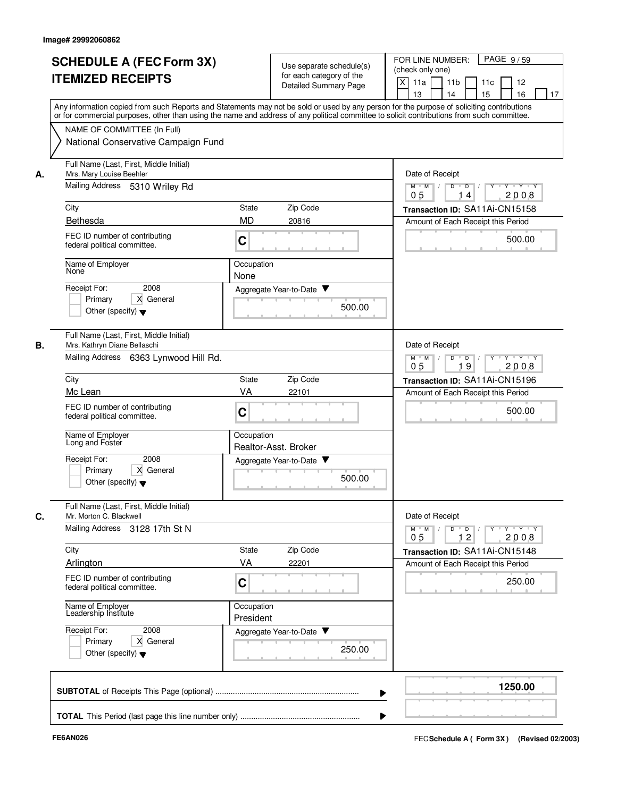| <b>ITEMIZED RECEIPTS</b><br>NAME OF COMMITTEE (In Full)<br>National Conservative Campaign Fund<br>Full Name (Last, First, Middle Initial)<br>Mrs. Mary Louise Beehler<br>А.<br>Mailing Address 5310 Wriley Rd<br>City<br>Bethesda<br>FEC ID number of contributing<br>federal political committee.<br>Name of Employer<br>None<br>Receipt For:<br>2008<br>X General<br>Primary<br>Other (specify) $\blacktriangledown$<br>Full Name (Last, First, Middle Initial)<br>В.<br>Mrs. Kathryn Diane Bellaschi<br>Mailing Address<br>6363 Lynwood Hill Rd.<br>City<br>Mc Lean<br>FEC ID number of contributing<br>federal political committee.<br>Name of Employer | Use separate schedule(s)<br>for each category of the<br>Detailed Summary Page<br>Any information copied from such Reports and Statements may not be sold or used by any person for the purpose of soliciting contributions<br>or for commercial purposes, other than using the name and address of any political committee to solicit contributions from such committee.<br>Zip Code<br>State<br><b>MD</b><br>20816<br>C<br>Occupation<br>None | (check only one)<br>X<br>11a<br>11 <sub>b</sub><br>11c<br>12<br>15<br>16<br>13<br>14<br>17<br>Date of Receipt<br>$Y - Y - Y$<br>$M$ $M$ /<br>D<br>$\overline{D}$<br>2008<br>0 <sub>5</sub><br>14<br>Transaction ID: SA11Ai-CN15158<br>Amount of Each Receipt this Period<br>500.00 |
|-------------------------------------------------------------------------------------------------------------------------------------------------------------------------------------------------------------------------------------------------------------------------------------------------------------------------------------------------------------------------------------------------------------------------------------------------------------------------------------------------------------------------------------------------------------------------------------------------------------------------------------------------------------|------------------------------------------------------------------------------------------------------------------------------------------------------------------------------------------------------------------------------------------------------------------------------------------------------------------------------------------------------------------------------------------------------------------------------------------------|------------------------------------------------------------------------------------------------------------------------------------------------------------------------------------------------------------------------------------------------------------------------------------|
|                                                                                                                                                                                                                                                                                                                                                                                                                                                                                                                                                                                                                                                             |                                                                                                                                                                                                                                                                                                                                                                                                                                                |                                                                                                                                                                                                                                                                                    |
|                                                                                                                                                                                                                                                                                                                                                                                                                                                                                                                                                                                                                                                             |                                                                                                                                                                                                                                                                                                                                                                                                                                                |                                                                                                                                                                                                                                                                                    |
|                                                                                                                                                                                                                                                                                                                                                                                                                                                                                                                                                                                                                                                             |                                                                                                                                                                                                                                                                                                                                                                                                                                                |                                                                                                                                                                                                                                                                                    |
|                                                                                                                                                                                                                                                                                                                                                                                                                                                                                                                                                                                                                                                             |                                                                                                                                                                                                                                                                                                                                                                                                                                                |                                                                                                                                                                                                                                                                                    |
|                                                                                                                                                                                                                                                                                                                                                                                                                                                                                                                                                                                                                                                             |                                                                                                                                                                                                                                                                                                                                                                                                                                                |                                                                                                                                                                                                                                                                                    |
|                                                                                                                                                                                                                                                                                                                                                                                                                                                                                                                                                                                                                                                             |                                                                                                                                                                                                                                                                                                                                                                                                                                                |                                                                                                                                                                                                                                                                                    |
|                                                                                                                                                                                                                                                                                                                                                                                                                                                                                                                                                                                                                                                             |                                                                                                                                                                                                                                                                                                                                                                                                                                                |                                                                                                                                                                                                                                                                                    |
|                                                                                                                                                                                                                                                                                                                                                                                                                                                                                                                                                                                                                                                             |                                                                                                                                                                                                                                                                                                                                                                                                                                                |                                                                                                                                                                                                                                                                                    |
|                                                                                                                                                                                                                                                                                                                                                                                                                                                                                                                                                                                                                                                             |                                                                                                                                                                                                                                                                                                                                                                                                                                                |                                                                                                                                                                                                                                                                                    |
|                                                                                                                                                                                                                                                                                                                                                                                                                                                                                                                                                                                                                                                             | Aggregate Year-to-Date ▼                                                                                                                                                                                                                                                                                                                                                                                                                       |                                                                                                                                                                                                                                                                                    |
|                                                                                                                                                                                                                                                                                                                                                                                                                                                                                                                                                                                                                                                             | 500.00                                                                                                                                                                                                                                                                                                                                                                                                                                         |                                                                                                                                                                                                                                                                                    |
|                                                                                                                                                                                                                                                                                                                                                                                                                                                                                                                                                                                                                                                             |                                                                                                                                                                                                                                                                                                                                                                                                                                                | Date of Receipt                                                                                                                                                                                                                                                                    |
|                                                                                                                                                                                                                                                                                                                                                                                                                                                                                                                                                                                                                                                             |                                                                                                                                                                                                                                                                                                                                                                                                                                                | D<br>$\Box$<br>Y 'Y 'Y<br>$M$ $M$<br>19<br>2008<br>05                                                                                                                                                                                                                              |
|                                                                                                                                                                                                                                                                                                                                                                                                                                                                                                                                                                                                                                                             | Zip Code<br>State                                                                                                                                                                                                                                                                                                                                                                                                                              | Transaction ID: SA11Ai-CN15196                                                                                                                                                                                                                                                     |
|                                                                                                                                                                                                                                                                                                                                                                                                                                                                                                                                                                                                                                                             | VA<br>22101                                                                                                                                                                                                                                                                                                                                                                                                                                    | Amount of Each Receipt this Period                                                                                                                                                                                                                                                 |
|                                                                                                                                                                                                                                                                                                                                                                                                                                                                                                                                                                                                                                                             | C                                                                                                                                                                                                                                                                                                                                                                                                                                              | 500.00                                                                                                                                                                                                                                                                             |
| Long and Foster                                                                                                                                                                                                                                                                                                                                                                                                                                                                                                                                                                                                                                             | Occupation<br>Realtor-Asst. Broker                                                                                                                                                                                                                                                                                                                                                                                                             |                                                                                                                                                                                                                                                                                    |
| Receipt For:<br>2008<br>Primary<br>X General<br>Other (specify) $\blacktriangledown$                                                                                                                                                                                                                                                                                                                                                                                                                                                                                                                                                                        | Aggregate Year-to-Date ▼<br>500.00                                                                                                                                                                                                                                                                                                                                                                                                             |                                                                                                                                                                                                                                                                                    |
| Full Name (Last, First, Middle Initial)<br>C.<br>Mr. Morton C. Blackwell                                                                                                                                                                                                                                                                                                                                                                                                                                                                                                                                                                                    |                                                                                                                                                                                                                                                                                                                                                                                                                                                | Date of Receipt                                                                                                                                                                                                                                                                    |
| Mailing Address 3128 17th St N                                                                                                                                                                                                                                                                                                                                                                                                                                                                                                                                                                                                                              |                                                                                                                                                                                                                                                                                                                                                                                                                                                | $M$ $M$ /<br>12<br>2008<br>0 <sub>5</sub>                                                                                                                                                                                                                                          |
| City<br>Arlington                                                                                                                                                                                                                                                                                                                                                                                                                                                                                                                                                                                                                                           | Zip Code<br>State<br>VA                                                                                                                                                                                                                                                                                                                                                                                                                        | Transaction ID: SA11Ai-CN15148                                                                                                                                                                                                                                                     |
| FEC ID number of contributing<br>federal political committee.                                                                                                                                                                                                                                                                                                                                                                                                                                                                                                                                                                                               | 22201<br>C                                                                                                                                                                                                                                                                                                                                                                                                                                     | Amount of Each Receipt this Period<br>250.00                                                                                                                                                                                                                                       |
| Name of Employer<br>Leadership Institute                                                                                                                                                                                                                                                                                                                                                                                                                                                                                                                                                                                                                    | Occupation<br>President                                                                                                                                                                                                                                                                                                                                                                                                                        |                                                                                                                                                                                                                                                                                    |
| Receipt For:<br>2008<br>X General<br>Primary<br>Other (specify) $\blacktriangledown$                                                                                                                                                                                                                                                                                                                                                                                                                                                                                                                                                                        | Aggregate Year-to-Date<br>250.00                                                                                                                                                                                                                                                                                                                                                                                                               |                                                                                                                                                                                                                                                                                    |
|                                                                                                                                                                                                                                                                                                                                                                                                                                                                                                                                                                                                                                                             |                                                                                                                                                                                                                                                                                                                                                                                                                                                | 1250.00                                                                                                                                                                                                                                                                            |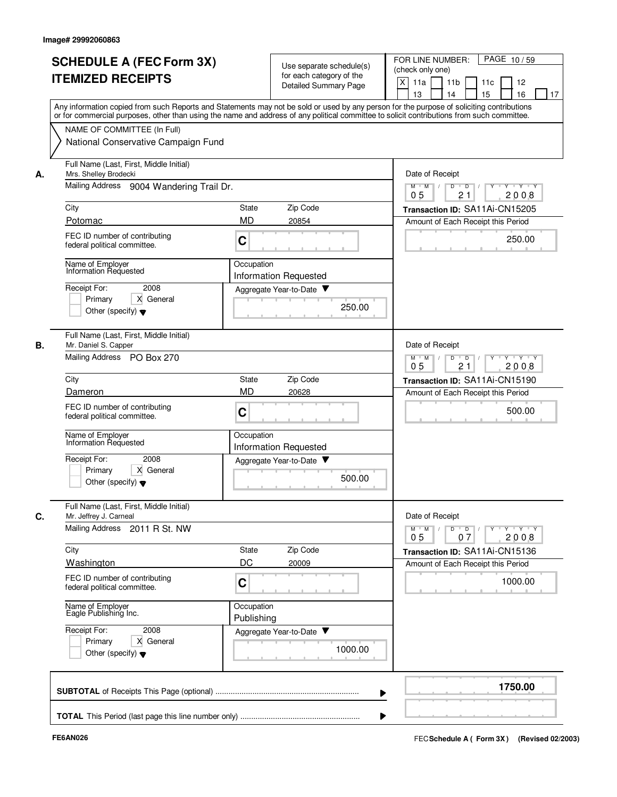|    | <b>SCHEDULE A (FEC Form 3X)</b><br><b>ITEMIZED RECEIPTS</b>                          | Use separate schedule(s)<br>for each category of the<br>Detailed Summary Page                                                                                                                                                                                                           | PAGE 10/59<br>FOR LINE NUMBER:<br>(check only one)<br>X<br>11a<br>11 <sub>b</sub><br>11c<br>12<br>13<br>14<br>15<br>16<br>17 |
|----|--------------------------------------------------------------------------------------|-----------------------------------------------------------------------------------------------------------------------------------------------------------------------------------------------------------------------------------------------------------------------------------------|------------------------------------------------------------------------------------------------------------------------------|
|    |                                                                                      | Any information copied from such Reports and Statements may not be sold or used by any person for the purpose of soliciting contributions<br>or for commercial purposes, other than using the name and address of any political committee to solicit contributions from such committee. |                                                                                                                              |
|    | NAME OF COMMITTEE (In Full)<br>National Conservative Campaign Fund                   |                                                                                                                                                                                                                                                                                         |                                                                                                                              |
| А. | Full Name (Last, First, Middle Initial)<br>Mrs. Shelley Brodecki                     |                                                                                                                                                                                                                                                                                         | Date of Receipt                                                                                                              |
|    | Mailing Address 9004 Wandering Trail Dr.                                             |                                                                                                                                                                                                                                                                                         | Y Y Y Y<br>D<br>$M$ $M$ /<br>$\overline{D}$ /<br>21<br>05<br>2008                                                            |
|    | City                                                                                 | Zip Code<br>State                                                                                                                                                                                                                                                                       | Transaction ID: SA11Ai-CN15205                                                                                               |
|    | Potomac                                                                              | <b>MD</b><br>20854                                                                                                                                                                                                                                                                      | Amount of Each Receipt this Period                                                                                           |
|    | FEC ID number of contributing<br>federal political committee.                        | C                                                                                                                                                                                                                                                                                       | 250.00                                                                                                                       |
|    | Name of Employer<br>Information Requested                                            | Occupation<br>Information Requested                                                                                                                                                                                                                                                     |                                                                                                                              |
|    | Receipt For:<br>2008                                                                 | Aggregate Year-to-Date                                                                                                                                                                                                                                                                  |                                                                                                                              |
|    | Primary<br>X General<br>Other (specify) $\blacktriangledown$                         | 250.00                                                                                                                                                                                                                                                                                  |                                                                                                                              |
| В. | Full Name (Last, First, Middle Initial)<br>Mr. Daniel S. Capper                      |                                                                                                                                                                                                                                                                                         | Date of Receipt                                                                                                              |
|    | Mailing Address<br><b>PO Box 270</b>                                                 |                                                                                                                                                                                                                                                                                         | $Y - Y - Y$<br>$M$ M<br>D<br>$\overline{D}$<br>$\sqrt{ }$<br>2008<br>05<br>21                                                |
|    | City                                                                                 | Zip Code<br>State                                                                                                                                                                                                                                                                       | Transaction ID: SA11Ai-CN15190                                                                                               |
|    | Dameron                                                                              | <b>MD</b><br>20628                                                                                                                                                                                                                                                                      | Amount of Each Receipt this Period                                                                                           |
|    | FEC ID number of contributing<br>federal political committee.                        | C                                                                                                                                                                                                                                                                                       | 500.00                                                                                                                       |
|    | Name of Employer<br>Information Requested                                            | Occupation<br><b>Information Requested</b>                                                                                                                                                                                                                                              |                                                                                                                              |
|    | Receipt For:<br>2008                                                                 | Aggregate Year-to-Date                                                                                                                                                                                                                                                                  |                                                                                                                              |
|    | X General<br>Primary<br>Other (specify) $\blacktriangledown$                         | 500.00                                                                                                                                                                                                                                                                                  |                                                                                                                              |
| С. | Full Name (Last, First, Middle Initial)<br>Mr. Jeffrey J. Carneal                    |                                                                                                                                                                                                                                                                                         | Date of Receipt                                                                                                              |
|    | Mailing Address 2011 R St. NW                                                        |                                                                                                                                                                                                                                                                                         | $Y$ $Y$ $Y$<br>$M$ $M$<br>D<br>$\overline{D}$<br>2008<br>0 <sub>5</sub><br>07                                                |
|    | City                                                                                 | Zip Code<br>State                                                                                                                                                                                                                                                                       | Transaction ID: SA11Ai-CN15136                                                                                               |
|    | Washington                                                                           | DC<br>20009                                                                                                                                                                                                                                                                             | Amount of Each Receipt this Period                                                                                           |
|    | FEC ID number of contributing<br>federal political committee.                        | C                                                                                                                                                                                                                                                                                       | 1000.00                                                                                                                      |
|    | Name of Employer<br>Eagle Publishing Inc.                                            | Occupation<br>Publishing                                                                                                                                                                                                                                                                |                                                                                                                              |
|    | 2008<br>Receipt For:<br>X General<br>Primary<br>Other (specify) $\blacktriangledown$ | Aggregate Year-to-Date<br>1000.00                                                                                                                                                                                                                                                       |                                                                                                                              |
|    |                                                                                      |                                                                                                                                                                                                                                                                                         | 1750.00                                                                                                                      |
|    |                                                                                      |                                                                                                                                                                                                                                                                                         |                                                                                                                              |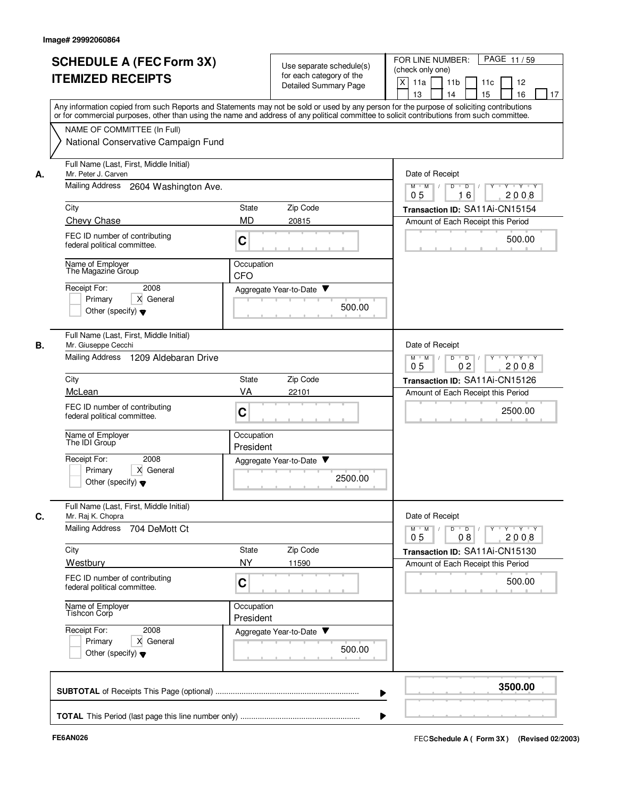|                                                     | <b>SCHEDULE A (FEC Form 3X)</b><br><b>ITEMIZED RECEIPTS</b>                     | Use separate schedule(s)<br>for each category of the<br>Detailed Summary Page | FOR LINE NUMBER:<br>(check only one)<br>X<br>11a<br>11 <sub>b</sub><br>11c<br>15<br>13<br>14                                                                                                                                                                                            | PAGE 11/59<br>12<br>16<br>17 |
|-----------------------------------------------------|---------------------------------------------------------------------------------|-------------------------------------------------------------------------------|-----------------------------------------------------------------------------------------------------------------------------------------------------------------------------------------------------------------------------------------------------------------------------------------|------------------------------|
|                                                     | NAME OF COMMITTEE (In Full)<br>National Conservative Campaign Fund              |                                                                               | Any information copied from such Reports and Statements may not be sold or used by any person for the purpose of soliciting contributions<br>or for commercial purposes, other than using the name and address of any political committee to solicit contributions from such committee. |                              |
| Mr. Peter J. Carven<br>А.                           | Full Name (Last, First, Middle Initial)<br>Mailing Address 2604 Washington Ave. |                                                                               | Date of Receipt<br>$M$ $M$ /<br>D<br>D<br>16<br>05                                                                                                                                                                                                                                      | $Y - Y - Y$<br>2008          |
| City                                                |                                                                                 | Zip Code<br>State                                                             | Transaction ID: SA11Ai-CN15154                                                                                                                                                                                                                                                          |                              |
| Chevy Chase                                         |                                                                                 | <b>MD</b><br>20815                                                            | Amount of Each Receipt this Period                                                                                                                                                                                                                                                      |                              |
|                                                     | FEC ID number of contributing<br>federal political committee.                   | C                                                                             |                                                                                                                                                                                                                                                                                         | 500.00                       |
| Name of Employer                                    | The Magazine Group                                                              | Occupation<br><b>CFO</b>                                                      |                                                                                                                                                                                                                                                                                         |                              |
| Receipt For:<br>Primary                             | 2008<br>X General<br>Other (specify) $\blacktriangledown$                       | Aggregate Year-to-Date                                                        | 500.00                                                                                                                                                                                                                                                                                  |                              |
| В.<br>Mr. Giuseppe Cecchi<br><b>Mailing Address</b> | Full Name (Last, First, Middle Initial)<br>1209 Aldebaran Drive                 |                                                                               | Date of Receipt<br>D<br>$M$ $M$<br>$\overline{D}$                                                                                                                                                                                                                                       | $\cdots$ Y $\cdots$ Y        |
|                                                     |                                                                                 |                                                                               | 0 <sub>2</sub><br>05                                                                                                                                                                                                                                                                    | 2008                         |
| City<br>McLean                                      |                                                                                 | Zip Code<br>State<br>VA<br>22101                                              | Transaction ID: SA11Ai-CN15126                                                                                                                                                                                                                                                          |                              |
|                                                     | FEC ID number of contributing<br>federal political committee.                   | C                                                                             | Amount of Each Receipt this Period                                                                                                                                                                                                                                                      | 2500.00                      |
| Name of Employer<br>The IDI Group                   |                                                                                 | Occupation<br>President                                                       |                                                                                                                                                                                                                                                                                         |                              |
| Receipt For:<br>Primary                             | 2008<br>X General<br>Other (specify) $\blacktriangledown$                       | Aggregate Year-to-Date ▼                                                      | 2500.00                                                                                                                                                                                                                                                                                 |                              |
| C.<br>Mr. Raj K. Chopra                             | Full Name (Last, First, Middle Initial)                                         |                                                                               | Date of Receipt                                                                                                                                                                                                                                                                         |                              |
|                                                     | Mailing Address 704 DeMott Ct                                                   |                                                                               | $D \quad D \quad / \quad   \quad Y \quad + \quad Y \quad + \quad Y \quad + \quad Y$<br>$M$ $M$<br>0 <sub>5</sub><br>08                                                                                                                                                                  | 2008                         |
| City                                                |                                                                                 | Zip Code<br>State                                                             | Transaction ID: SA11Ai-CN15130                                                                                                                                                                                                                                                          |                              |
| Westbury                                            |                                                                                 | <b>NY</b><br>11590                                                            | Amount of Each Receipt this Period                                                                                                                                                                                                                                                      |                              |
|                                                     | FEC ID number of contributing<br>federal political committee.                   | C                                                                             |                                                                                                                                                                                                                                                                                         | 500.00                       |
| Name of Employer<br>Tishcon Corp                    |                                                                                 | Occupation<br>President                                                       |                                                                                                                                                                                                                                                                                         |                              |
| Receipt For:<br>Primary                             | 2008<br>X General<br>Other (specify) $\blacktriangledown$                       | Aggregate Year-to-Date                                                        | 500.00                                                                                                                                                                                                                                                                                  |                              |
|                                                     |                                                                                 |                                                                               |                                                                                                                                                                                                                                                                                         | 3500.00                      |
|                                                     |                                                                                 |                                                                               |                                                                                                                                                                                                                                                                                         |                              |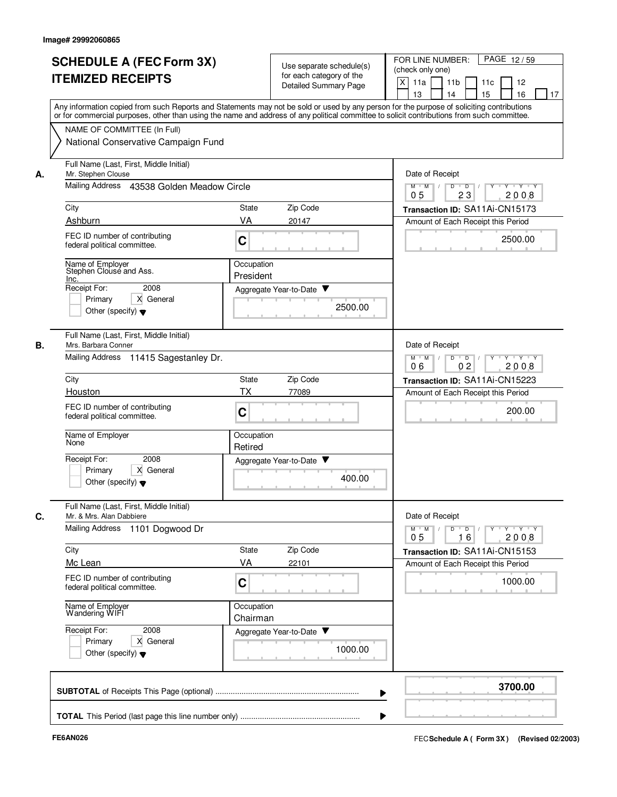|    | <b>SCHEDULE A (FEC Form 3X)</b><br><b>ITEMIZED RECEIPTS</b>         | Use separate schedule(s)<br>for each category of the<br><b>Detailed Summary Page</b>                                                                                                                                                                                                    | PAGE 12/59<br>FOR LINE NUMBER:<br>(check only one)<br>X<br>11a<br>11 <sub>b</sub><br>11c<br>12<br>13<br>14<br>15<br>16<br>17 |
|----|---------------------------------------------------------------------|-----------------------------------------------------------------------------------------------------------------------------------------------------------------------------------------------------------------------------------------------------------------------------------------|------------------------------------------------------------------------------------------------------------------------------|
|    |                                                                     | Any information copied from such Reports and Statements may not be sold or used by any person for the purpose of soliciting contributions<br>or for commercial purposes, other than using the name and address of any political committee to solicit contributions from such committee. |                                                                                                                              |
|    | NAME OF COMMITTEE (In Full)<br>National Conservative Campaign Fund  |                                                                                                                                                                                                                                                                                         |                                                                                                                              |
| А. | Full Name (Last, First, Middle Initial)<br>Mr. Stephen Clouse       |                                                                                                                                                                                                                                                                                         | Date of Receipt                                                                                                              |
|    | Mailing Address 43538 Golden Meadow Circle                          |                                                                                                                                                                                                                                                                                         | Y Y Y Y<br>D<br>$\Box$<br>$M$ $M$ /<br>23<br>05<br>2008                                                                      |
|    | City                                                                | Zip Code<br>State                                                                                                                                                                                                                                                                       | Transaction ID: SA11Ai-CN15173                                                                                               |
|    | Ashburn                                                             | VA<br>20147                                                                                                                                                                                                                                                                             | Amount of Each Receipt this Period                                                                                           |
|    | FEC ID number of contributing<br>federal political committee.       | C                                                                                                                                                                                                                                                                                       | 2500.00                                                                                                                      |
|    | Name of Employer<br>Stephen Clouse and Ass.                         | Occupation<br>President                                                                                                                                                                                                                                                                 |                                                                                                                              |
|    | Inc.<br>Receipt For:<br>2008                                        | Aggregate Year-to-Date                                                                                                                                                                                                                                                                  |                                                                                                                              |
|    | Primary<br>X General<br>Other (specify) $\blacktriangledown$        | 2500.00                                                                                                                                                                                                                                                                                 |                                                                                                                              |
| В. | Full Name (Last, First, Middle Initial)<br>Mrs. Barbara Conner      |                                                                                                                                                                                                                                                                                         | Date of Receipt                                                                                                              |
|    | Mailing Address<br>11415 Sagestanley Dr.                            |                                                                                                                                                                                                                                                                                         | $M$ M<br>D<br>$\overline{D}$<br>$Y - Y - Y$<br>$\sqrt{ }$<br>0 <sub>2</sub><br>2008<br>06                                    |
|    | City                                                                | Zip Code<br>State                                                                                                                                                                                                                                                                       | Transaction ID: SA11Ai-CN15223                                                                                               |
|    | Houston                                                             | ТX<br>77089                                                                                                                                                                                                                                                                             | Amount of Each Receipt this Period                                                                                           |
|    | FEC ID number of contributing<br>federal political committee.       | C                                                                                                                                                                                                                                                                                       | 200.00                                                                                                                       |
|    | Name of Employer<br>None                                            | Occupation<br>Retired                                                                                                                                                                                                                                                                   |                                                                                                                              |
|    | Receipt For:<br>2008                                                | Aggregate Year-to-Date ▼                                                                                                                                                                                                                                                                |                                                                                                                              |
|    | X General<br>Primarv<br>Other (specify) $\blacktriangledown$        | 400.00                                                                                                                                                                                                                                                                                  |                                                                                                                              |
| С. | Full Name (Last, First, Middle Initial)<br>Mr. & Mrs. Alan Dabbiere |                                                                                                                                                                                                                                                                                         | Date of Receipt                                                                                                              |
|    | Mailing Address 1101 Dogwood Dr                                     |                                                                                                                                                                                                                                                                                         | $Y$ $Y$ $Y$<br>$M$ $M$<br>D<br>$\overline{D}$<br>2008<br>0 <sub>5</sub><br>16                                                |
|    | City                                                                | Zip Code<br>State                                                                                                                                                                                                                                                                       | Transaction ID: SA11Ai-CN15153                                                                                               |
|    | Mc Lean                                                             | VA<br>22101                                                                                                                                                                                                                                                                             | Amount of Each Receipt this Period                                                                                           |
|    | FEC ID number of contributing<br>federal political committee.       | C                                                                                                                                                                                                                                                                                       | 1000.00                                                                                                                      |
|    | Name of Employer<br>Wandering WIFI                                  | Occupation<br>Chairman                                                                                                                                                                                                                                                                  |                                                                                                                              |
|    | Receipt For:<br>2008<br>X General<br>Primary                        | Aggregate Year-to-Date                                                                                                                                                                                                                                                                  |                                                                                                                              |
|    | Other (specify) $\blacktriangledown$                                | 1000.00                                                                                                                                                                                                                                                                                 |                                                                                                                              |
|    |                                                                     |                                                                                                                                                                                                                                                                                         | 3700.00                                                                                                                      |
|    |                                                                     |                                                                                                                                                                                                                                                                                         |                                                                                                                              |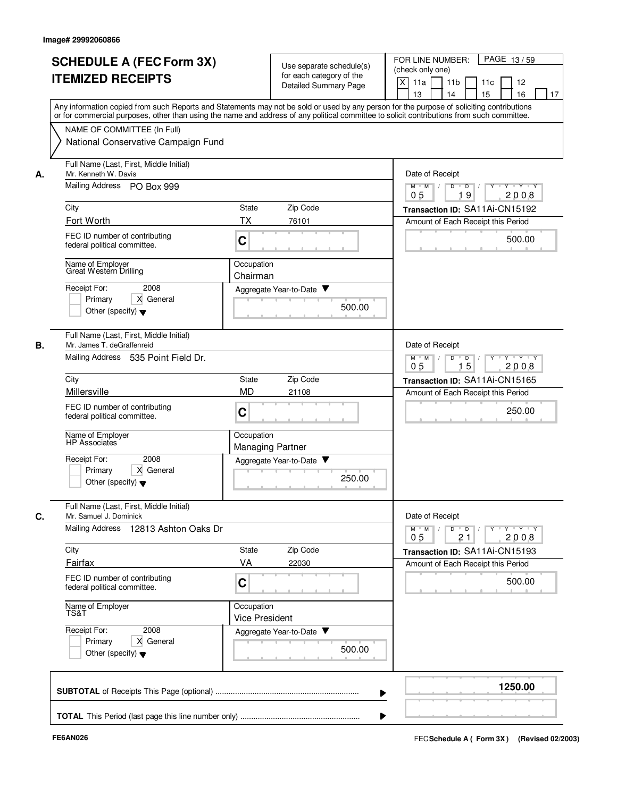|    | <b>SCHEDULE A (FEC Form 3X)</b><br><b>ITEMIZED RECEIPTS</b>                                                                                                                                                                                                                                                                                                   |                                       | Use separate schedule(s)<br>for each category of the<br><b>Detailed Summary Page</b> | FOR LINE NUMBER:<br>PAGE 13/59<br>(check only one)<br>X<br>11a<br>11 <sub>b</sub><br>11c<br>12<br>15<br>16<br>13<br>14<br>17     |
|----|---------------------------------------------------------------------------------------------------------------------------------------------------------------------------------------------------------------------------------------------------------------------------------------------------------------------------------------------------------------|---------------------------------------|--------------------------------------------------------------------------------------|----------------------------------------------------------------------------------------------------------------------------------|
|    | Any information copied from such Reports and Statements may not be sold or used by any person for the purpose of soliciting contributions<br>or for commercial purposes, other than using the name and address of any political committee to solicit contributions from such committee.<br>NAME OF COMMITTEE (In Full)<br>National Conservative Campaign Fund |                                       |                                                                                      |                                                                                                                                  |
| А. | Full Name (Last, First, Middle Initial)<br>Mr. Kenneth W. Davis<br>Mailing Address PO Box 999                                                                                                                                                                                                                                                                 |                                       |                                                                                      | Date of Receipt<br>$Y - Y - Y$<br>$M$ $M$ /<br>D<br>$\overline{D}$<br>19<br>2008<br>05                                           |
|    | City                                                                                                                                                                                                                                                                                                                                                          | State                                 | Zip Code                                                                             | Transaction ID: SA11Ai-CN15192                                                                                                   |
|    | Fort Worth                                                                                                                                                                                                                                                                                                                                                    | TX                                    | 76101                                                                                | Amount of Each Receipt this Period                                                                                               |
|    | FEC ID number of contributing<br>federal political committee.                                                                                                                                                                                                                                                                                                 | C                                     |                                                                                      | 500.00                                                                                                                           |
|    | Name of Employer<br>Great Western Drilling                                                                                                                                                                                                                                                                                                                    | Occupation<br>Chairman                |                                                                                      |                                                                                                                                  |
|    | Receipt For:<br>2008<br>X General<br>Primary<br>Other (specify) $\blacktriangledown$                                                                                                                                                                                                                                                                          | Aggregate Year-to-Date                | 500.00                                                                               |                                                                                                                                  |
| В. | Full Name (Last, First, Middle Initial)<br>Mr. James T. deGraffenreid<br>Mailing Address 535 Point Field Dr.                                                                                                                                                                                                                                                  |                                       |                                                                                      | Date of Receipt<br>D<br>D<br>Y 'Y 'Y<br>$M$ $M$                                                                                  |
|    | City                                                                                                                                                                                                                                                                                                                                                          | State                                 | Zip Code                                                                             | 15<br>2008<br>05                                                                                                                 |
|    | Millersville                                                                                                                                                                                                                                                                                                                                                  | <b>MD</b>                             | 21108                                                                                | Transaction ID: SA11Ai-CN15165<br>Amount of Each Receipt this Period                                                             |
|    | FEC ID number of contributing<br>federal political committee.                                                                                                                                                                                                                                                                                                 | C                                     |                                                                                      | 250.00                                                                                                                           |
|    | Name of Employer<br>HP Associates                                                                                                                                                                                                                                                                                                                             | Occupation<br><b>Managing Partner</b> |                                                                                      |                                                                                                                                  |
|    | Receipt For:<br>2008<br>Primary<br>X General<br>Other (specify) $\blacktriangledown$                                                                                                                                                                                                                                                                          | Aggregate Year-to-Date                | 250.00                                                                               |                                                                                                                                  |
| C. | Full Name (Last, First, Middle Initial)<br>Mr. Samuel J. Dominick                                                                                                                                                                                                                                                                                             |                                       |                                                                                      | Date of Receipt                                                                                                                  |
|    | Mailing Address 12813 Ashton Oaks Dr                                                                                                                                                                                                                                                                                                                          |                                       |                                                                                      | $D \quad D \quad / \quad   \quad Y \quad + \quad Y \quad + \quad Y \quad + \quad Y$<br>$M$ $M$ /<br>21<br>2008<br>0 <sub>5</sub> |
|    | City                                                                                                                                                                                                                                                                                                                                                          | State                                 | Zip Code                                                                             | Transaction ID: SA11Ai-CN15193                                                                                                   |
|    | Fairfax                                                                                                                                                                                                                                                                                                                                                       | VA                                    | 22030                                                                                | Amount of Each Receipt this Period                                                                                               |
|    | FEC ID number of contributing<br>federal political committee.                                                                                                                                                                                                                                                                                                 | C                                     |                                                                                      | 500.00                                                                                                                           |
|    | Name of Employer<br>TS&T                                                                                                                                                                                                                                                                                                                                      | Occupation<br><b>Vice President</b>   |                                                                                      |                                                                                                                                  |
|    | Receipt For:<br>2008<br>X General<br>Primary<br>Other (specify) $\blacktriangledown$                                                                                                                                                                                                                                                                          | Aggregate Year-to-Date ▼              | 500.00                                                                               |                                                                                                                                  |
|    |                                                                                                                                                                                                                                                                                                                                                               |                                       |                                                                                      | 1250.00                                                                                                                          |
|    |                                                                                                                                                                                                                                                                                                                                                               |                                       |                                                                                      |                                                                                                                                  |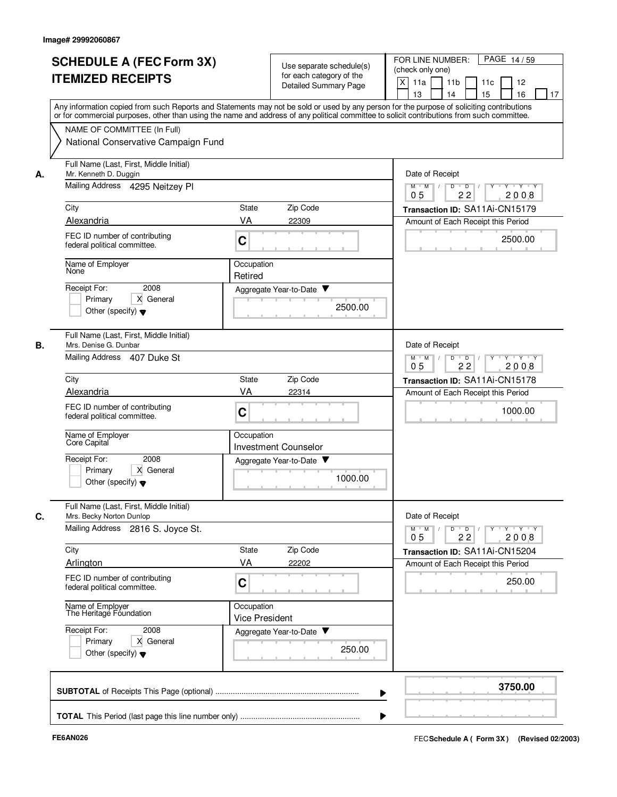|    | <b>SCHEDULE A (FEC Form 3X)</b><br><b>ITEMIZED RECEIPTS</b>                                         | Use separate schedule(s)<br>for each category of the<br><b>Detailed Summary Page</b>                                                                                                                                                                                                    | FOR LINE NUMBER:<br>PAGE 14/59<br>(check only one)<br>X<br>11a<br>11 <sub>b</sub><br>11c<br>12<br>15<br>16<br>13<br>14<br>17 |
|----|-----------------------------------------------------------------------------------------------------|-----------------------------------------------------------------------------------------------------------------------------------------------------------------------------------------------------------------------------------------------------------------------------------------|------------------------------------------------------------------------------------------------------------------------------|
|    | NAME OF COMMITTEE (In Full)<br>National Conservative Campaign Fund                                  | Any information copied from such Reports and Statements may not be sold or used by any person for the purpose of soliciting contributions<br>or for commercial purposes, other than using the name and address of any political committee to solicit contributions from such committee. |                                                                                                                              |
| А. | Full Name (Last, First, Middle Initial)<br>Mr. Kenneth D. Duggin<br>Mailing Address 4295 Neitzey Pl |                                                                                                                                                                                                                                                                                         | Date of Receipt<br>$Y - Y - Y$<br>$M$ $M$ /<br>D<br>$\overline{D}$<br>22<br>2008<br>0 <sub>5</sub>                           |
|    | City                                                                                                | Zip Code<br>State                                                                                                                                                                                                                                                                       | Transaction ID: SA11Ai-CN15179                                                                                               |
|    | Alexandria                                                                                          | VA<br>22309                                                                                                                                                                                                                                                                             | Amount of Each Receipt this Period                                                                                           |
|    | FEC ID number of contributing<br>federal political committee.                                       | C                                                                                                                                                                                                                                                                                       | 2500.00                                                                                                                      |
|    | Name of Employer<br>None                                                                            | Occupation<br>Retired                                                                                                                                                                                                                                                                   |                                                                                                                              |
|    | Receipt For:<br>2008<br>X General<br>Primary<br>Other (specify) $\blacktriangledown$                | Aggregate Year-to-Date ▼<br>2500.00                                                                                                                                                                                                                                                     |                                                                                                                              |
| В. | Full Name (Last, First, Middle Initial)<br>Mrs. Denise G. Dunbar<br>Mailing Address 407 Duke St     |                                                                                                                                                                                                                                                                                         | Date of Receipt<br>D<br>Y 'Y 'Y<br>$M$ $M$<br>$\overline{D}$                                                                 |
|    | City                                                                                                | Zip Code<br>State                                                                                                                                                                                                                                                                       | 22<br>2008<br>05<br>Transaction ID: SA11Ai-CN15178                                                                           |
|    | Alexandria                                                                                          | VA<br>22314                                                                                                                                                                                                                                                                             | Amount of Each Receipt this Period                                                                                           |
|    | FEC ID number of contributing<br>federal political committee.                                       | C                                                                                                                                                                                                                                                                                       | 1000.00                                                                                                                      |
|    | Name of Employer<br>Core Capital                                                                    | Occupation<br><b>Investment Counselor</b>                                                                                                                                                                                                                                               |                                                                                                                              |
|    | Receipt For:<br>2008<br>Primary<br>X General<br>Other (specify) $\blacktriangledown$                | Aggregate Year-to-Date<br>1000.00                                                                                                                                                                                                                                                       |                                                                                                                              |
| C. | Full Name (Last, First, Middle Initial)<br>Mrs. Becky Norton Dunlop                                 |                                                                                                                                                                                                                                                                                         | Date of Receipt                                                                                                              |
|    | Mailing Address 2816 S. Joyce St.                                                                   |                                                                                                                                                                                                                                                                                         | $\mathsf{Y} \dashv \mathsf{Y} \dashv \mathsf{Y}$<br>$D$ $D$ $I$<br>$\Gamma Y$<br>$M$ $M$ /<br>22<br>2008<br>0 <sub>5</sub>   |
|    | City                                                                                                | Zip Code<br>State                                                                                                                                                                                                                                                                       | Transaction ID: SA11Ai-CN15204                                                                                               |
|    | Arlington                                                                                           | VA<br>22202                                                                                                                                                                                                                                                                             | Amount of Each Receipt this Period                                                                                           |
|    | FEC ID number of contributing<br>federal political committee.                                       | C                                                                                                                                                                                                                                                                                       | 250.00                                                                                                                       |
|    | Name of Employer<br>The Heritage Foundation                                                         | Occupation<br><b>Vice President</b>                                                                                                                                                                                                                                                     |                                                                                                                              |
|    | Receipt For:<br>2008<br>X General<br>Primary<br>Other (specify) $\blacktriangledown$                | Aggregate Year-to-Date<br>250.00                                                                                                                                                                                                                                                        |                                                                                                                              |
|    |                                                                                                     |                                                                                                                                                                                                                                                                                         | 3750.00                                                                                                                      |
|    |                                                                                                     |                                                                                                                                                                                                                                                                                         |                                                                                                                              |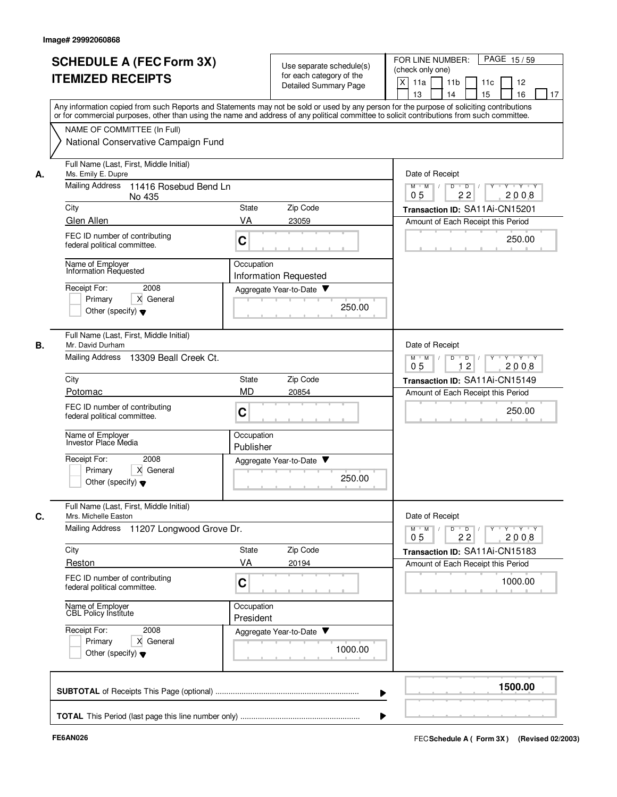|    | <b>SCHEDULE A (FEC Form 3X)</b><br><b>ITEMIZED RECEIPTS</b>                                                    | Use separate schedule(s)<br>for each category of the<br><b>Detailed Summary Page</b>                                                                                                                                                                                                    | FOR LINE NUMBER:<br>PAGE 15/59<br>(check only one)<br>X<br>11a<br>11 <sub>b</sub><br>12<br>11c<br>13<br>14<br>15<br>16<br>17 |
|----|----------------------------------------------------------------------------------------------------------------|-----------------------------------------------------------------------------------------------------------------------------------------------------------------------------------------------------------------------------------------------------------------------------------------|------------------------------------------------------------------------------------------------------------------------------|
|    | NAME OF COMMITTEE (In Full)                                                                                    | Any information copied from such Reports and Statements may not be sold or used by any person for the purpose of soliciting contributions<br>or for commercial purposes, other than using the name and address of any political committee to solicit contributions from such committee. |                                                                                                                              |
|    | National Conservative Campaign Fund                                                                            |                                                                                                                                                                                                                                                                                         |                                                                                                                              |
| А. | Full Name (Last, First, Middle Initial)<br>Ms. Emily E. Dupre                                                  |                                                                                                                                                                                                                                                                                         | Date of Receipt                                                                                                              |
|    | <b>Mailing Address</b><br>11416 Rosebud Bend Ln<br>No 435                                                      |                                                                                                                                                                                                                                                                                         | $Y - Y - Y$<br>$M$ $M$ /<br>D<br>$\overline{D}$<br>22<br>2008<br>05                                                          |
|    | City                                                                                                           | Zip Code<br>State                                                                                                                                                                                                                                                                       | Transaction ID: SA11Ai-CN15201                                                                                               |
|    | Glen Allen<br>FEC ID number of contributing<br>federal political committee.                                    | VA<br>23059<br>C                                                                                                                                                                                                                                                                        | Amount of Each Receipt this Period<br>250.00                                                                                 |
|    | Name of Employer<br>Information Requested                                                                      | Occupation<br><b>Information Requested</b>                                                                                                                                                                                                                                              |                                                                                                                              |
|    | Receipt For:<br>2008<br>Primary<br>X General<br>Other (specify) $\blacktriangledown$                           | Aggregate Year-to-Date<br>250.00                                                                                                                                                                                                                                                        |                                                                                                                              |
| В. | Full Name (Last, First, Middle Initial)<br>Mr. David Durham<br><b>Mailing Address</b><br>13309 Beall Creek Ct. |                                                                                                                                                                                                                                                                                         | Date of Receipt<br>$M$ $M$<br>D<br>$\overline{D}$<br>$Y + Y + Y$                                                             |
|    |                                                                                                                |                                                                                                                                                                                                                                                                                         | 12<br>2008<br>05                                                                                                             |
|    | City<br>Potomac                                                                                                | Zip Code<br>State<br><b>MD</b><br>20854                                                                                                                                                                                                                                                 | Transaction ID: SA11Ai-CN15149<br>Amount of Each Receipt this Period                                                         |
|    | FEC ID number of contributing<br>federal political committee.                                                  | C                                                                                                                                                                                                                                                                                       | 250.00                                                                                                                       |
|    | Name of Employer<br>Investor Place Media                                                                       | Occupation<br>Publisher                                                                                                                                                                                                                                                                 |                                                                                                                              |
|    | Receipt For:<br>2008<br>X General<br>Primary<br>Other (specify) $\blacktriangledown$                           | Aggregate Year-to-Date<br>250.00                                                                                                                                                                                                                                                        |                                                                                                                              |
| C. | Full Name (Last, First, Middle Initial)<br>Mrs. Michelle Easton<br>Mailing Address<br>11207 Longwood Grove Dr. |                                                                                                                                                                                                                                                                                         | Date of Receipt<br>$Y$ $Y$ $Y$<br>$\overline{D}$<br>Y<br>$M$ $M$<br>D                                                        |
|    |                                                                                                                |                                                                                                                                                                                                                                                                                         | 22<br>2008<br>0 <sub>5</sub>                                                                                                 |
|    | City<br>Reston                                                                                                 | State<br>Zip Code<br>VA<br>20194                                                                                                                                                                                                                                                        | Transaction ID: SA11Ai-CN15183<br>Amount of Each Receipt this Period                                                         |
|    | FEC ID number of contributing<br>federal political committee.                                                  | C                                                                                                                                                                                                                                                                                       | 1000.00                                                                                                                      |
|    | Name of Employer<br>CBL Policy Institute                                                                       | Occupation<br>President                                                                                                                                                                                                                                                                 |                                                                                                                              |
|    | Receipt For:<br>2008<br>X General<br>Primary<br>Other (specify) $\blacktriangledown$                           | Aggregate Year-to-Date<br>1000.00                                                                                                                                                                                                                                                       |                                                                                                                              |
|    |                                                                                                                |                                                                                                                                                                                                                                                                                         | 1500.00                                                                                                                      |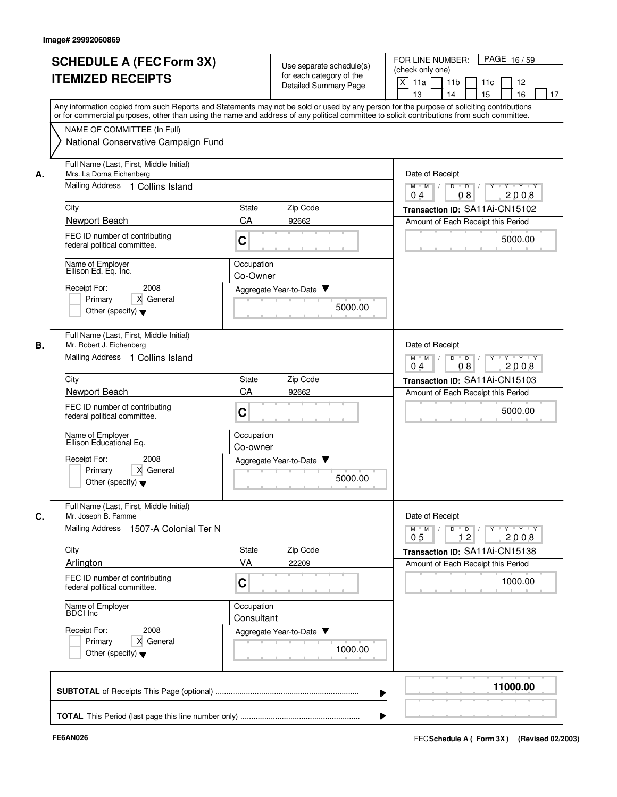|    | <b>SCHEDULE A (FEC Form 3X)</b><br><b>ITEMIZED RECEIPTS</b>                                                                                                                                                                                                                             |                          | Use separate schedule(s)<br>for each category of the<br><b>Detailed Summary Page</b> | FOR LINE NUMBER:<br>PAGE 16/59<br>(check only one)<br>X<br>11a<br>11 <sub>b</sub><br>11c<br>12<br>13<br>14<br>15<br>16<br>17 |
|----|-----------------------------------------------------------------------------------------------------------------------------------------------------------------------------------------------------------------------------------------------------------------------------------------|--------------------------|--------------------------------------------------------------------------------------|------------------------------------------------------------------------------------------------------------------------------|
|    | Any information copied from such Reports and Statements may not be sold or used by any person for the purpose of soliciting contributions<br>or for commercial purposes, other than using the name and address of any political committee to solicit contributions from such committee. |                          |                                                                                      |                                                                                                                              |
|    | NAME OF COMMITTEE (In Full)<br>National Conservative Campaign Fund                                                                                                                                                                                                                      |                          |                                                                                      |                                                                                                                              |
| А. | Full Name (Last, First, Middle Initial)<br>Mrs. La Dorna Eichenberg                                                                                                                                                                                                                     |                          |                                                                                      | Date of Receipt                                                                                                              |
|    | Mailing Address 1 Collins Island                                                                                                                                                                                                                                                        |                          |                                                                                      | $M$ $M$ /<br>Y 'Y 'Y<br>D<br>$\overline{\phantom{0}}$ D<br>08<br>2008<br>0 <sub>4</sub>                                      |
|    | City                                                                                                                                                                                                                                                                                    | State                    | Zip Code                                                                             | Transaction ID: SA11Ai-CN15102                                                                                               |
|    | Newport Beach<br>FEC ID number of contributing<br>federal political committee.                                                                                                                                                                                                          | CA<br>C                  | 92662                                                                                | Amount of Each Receipt this Period<br>5000.00                                                                                |
|    | Name of Employer<br>Ellison Ed. Eq. Inc.                                                                                                                                                                                                                                                | Occupation<br>Co-Owner   |                                                                                      |                                                                                                                              |
|    | Receipt For:<br>2008<br>Primary<br>X General<br>Other (specify) $\blacktriangledown$                                                                                                                                                                                                    |                          | Aggregate Year-to-Date ▼<br>5000.00                                                  |                                                                                                                              |
| В. | Full Name (Last, First, Middle Initial)<br>Mr. Robert J. Eichenberg<br>Mailing Address 1 Collins Island                                                                                                                                                                                 |                          |                                                                                      | Date of Receipt<br>D<br>$Y - Y - Y$<br>$M$ M<br>$\sqrt{ }$<br>$\overline{D}$<br>$\sqrt{ }$                                   |
|    |                                                                                                                                                                                                                                                                                         |                          |                                                                                      | 04<br>08<br>2008                                                                                                             |
|    | City<br>Newport Beach                                                                                                                                                                                                                                                                   | State<br>CA              | Zip Code<br>92662                                                                    | Transaction ID: SA11Ai-CN15103<br>Amount of Each Receipt this Period                                                         |
|    | FEC ID number of contributing<br>federal political committee.                                                                                                                                                                                                                           | C                        |                                                                                      | 5000.00                                                                                                                      |
|    | Name of Employer<br>Ellison Educational Eq.                                                                                                                                                                                                                                             | Occupation<br>Co-owner   |                                                                                      |                                                                                                                              |
|    | Receipt For:<br>2008<br>X General<br>Primary<br>Other (specify) $\blacktriangledown$                                                                                                                                                                                                    |                          | Aggregate Year-to-Date<br>5000.00                                                    |                                                                                                                              |
| C. | Full Name (Last, First, Middle Initial)<br>Mr. Joseph B. Famme                                                                                                                                                                                                                          |                          |                                                                                      | Date of Receipt                                                                                                              |
|    | Mailing Address 1507-A Colonial Ter N                                                                                                                                                                                                                                                   |                          |                                                                                      | $\mathsf{Y} \dashv \mathsf{Y} \dashv \mathsf{Y}$<br>$D$ $D$ $I$<br><b>Y</b><br>$M$ $M$ /<br>12<br>2008<br>0 <sub>5</sub>     |
|    | City                                                                                                                                                                                                                                                                                    | State                    | Zip Code                                                                             | Transaction ID: SA11Ai-CN15138                                                                                               |
|    | Arlington<br>FEC ID number of contributing<br>federal political committee.                                                                                                                                                                                                              | VA<br>C                  | 22209                                                                                | Amount of Each Receipt this Period<br>1000.00                                                                                |
|    | Name of Employer<br>BDCI Inc                                                                                                                                                                                                                                                            | Occupation<br>Consultant |                                                                                      |                                                                                                                              |
|    | Receipt For:<br>2008<br>X General<br>Primary<br>Other (specify) $\blacktriangledown$                                                                                                                                                                                                    |                          | Aggregate Year-to-Date<br>1000.00                                                    |                                                                                                                              |
|    |                                                                                                                                                                                                                                                                                         |                          |                                                                                      | 11000.00                                                                                                                     |
|    |                                                                                                                                                                                                                                                                                         |                          |                                                                                      |                                                                                                                              |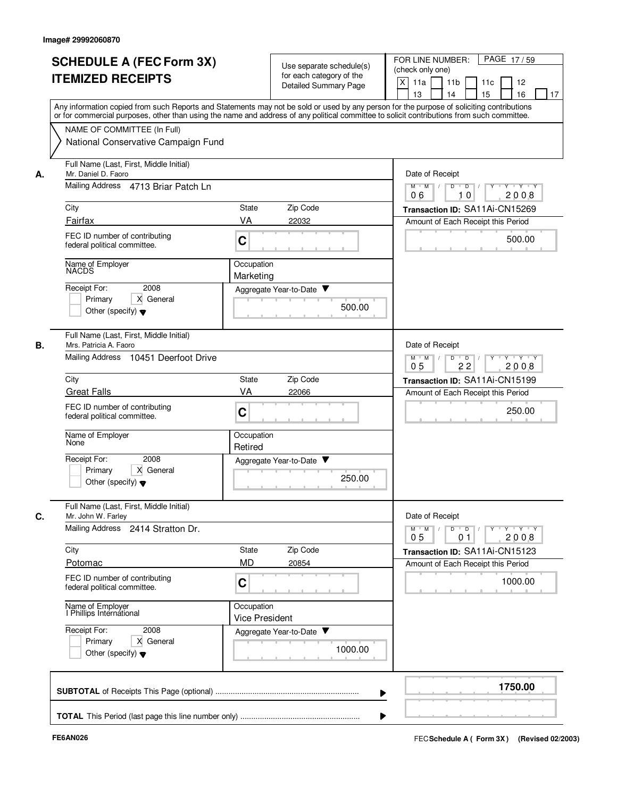|    |                                                                                                                                                                                                                                                                                         |                                     |                                                          |         | PAGE 17/59<br>FOR LINE NUMBER:                                                                              |
|----|-----------------------------------------------------------------------------------------------------------------------------------------------------------------------------------------------------------------------------------------------------------------------------------------|-------------------------------------|----------------------------------------------------------|---------|-------------------------------------------------------------------------------------------------------------|
|    | <b>SCHEDULE A (FEC Form 3X)</b>                                                                                                                                                                                                                                                         |                                     | Use separate schedule(s)                                 |         | (check only one)                                                                                            |
|    | <b>ITEMIZED RECEIPTS</b>                                                                                                                                                                                                                                                                |                                     | for each category of the<br><b>Detailed Summary Page</b> |         | X<br>11a<br>11 <sub>b</sub><br>11c<br>12                                                                    |
|    |                                                                                                                                                                                                                                                                                         |                                     |                                                          |         | 15<br>16<br>13<br>14<br>17                                                                                  |
|    | Any information copied from such Reports and Statements may not be sold or used by any person for the purpose of soliciting contributions<br>or for commercial purposes, other than using the name and address of any political committee to solicit contributions from such committee. |                                     |                                                          |         |                                                                                                             |
|    | NAME OF COMMITTEE (In Full)                                                                                                                                                                                                                                                             |                                     |                                                          |         |                                                                                                             |
|    | National Conservative Campaign Fund                                                                                                                                                                                                                                                     |                                     |                                                          |         |                                                                                                             |
| А. | Full Name (Last, First, Middle Initial)<br>Mr. Daniel D. Faoro                                                                                                                                                                                                                          |                                     |                                                          |         | Date of Receipt                                                                                             |
|    | Mailing Address 4713 Briar Patch Ln                                                                                                                                                                                                                                                     |                                     |                                                          |         | $M$ $M$ $/$<br>$Y - Y - Y$<br>D<br>$\overline{D}$<br>2008<br>06<br>10                                       |
|    | City                                                                                                                                                                                                                                                                                    | State                               | Zip Code                                                 |         | Transaction ID: SA11Ai-CN15269                                                                              |
|    | Fairfax                                                                                                                                                                                                                                                                                 | VA                                  | 22032                                                    |         | Amount of Each Receipt this Period                                                                          |
|    | FEC ID number of contributing<br>federal political committee.                                                                                                                                                                                                                           | C                                   |                                                          |         | 500.00                                                                                                      |
|    | Name of Employer<br>NACDS                                                                                                                                                                                                                                                               | Occupation<br>Marketing             |                                                          |         |                                                                                                             |
|    | Receipt For:<br>2008                                                                                                                                                                                                                                                                    |                                     | Aggregate Year-to-Date ▼                                 |         |                                                                                                             |
|    | Primary<br>X General                                                                                                                                                                                                                                                                    |                                     |                                                          | 500.00  |                                                                                                             |
|    | Other (specify) $\blacktriangledown$                                                                                                                                                                                                                                                    |                                     |                                                          |         |                                                                                                             |
| В. | Full Name (Last, First, Middle Initial)<br>Mrs. Patricia A. Faoro                                                                                                                                                                                                                       |                                     |                                                          |         | Date of Receipt                                                                                             |
|    | Mailing Address<br>10451 Deerfoot Drive                                                                                                                                                                                                                                                 |                                     |                                                          |         | D<br>$\overline{D}$<br>Y 'Y 'Y<br>$M$ $M$<br>2008<br>05<br>22                                               |
|    | City                                                                                                                                                                                                                                                                                    | State                               | Zip Code                                                 |         | Transaction ID: SA11Ai-CN15199                                                                              |
|    | <b>Great Falls</b>                                                                                                                                                                                                                                                                      | VA                                  | 22066                                                    |         | Amount of Each Receipt this Period                                                                          |
|    | FEC ID number of contributing<br>federal political committee.                                                                                                                                                                                                                           | C                                   |                                                          |         | 250.00                                                                                                      |
|    | Name of Employer<br>None                                                                                                                                                                                                                                                                | Occupation<br>Retired               |                                                          |         |                                                                                                             |
|    | Receipt For:<br>2008                                                                                                                                                                                                                                                                    |                                     | Aggregate Year-to-Date ▼                                 |         |                                                                                                             |
|    | Primary<br>X General<br>Other (specify) $\blacktriangledown$                                                                                                                                                                                                                            |                                     |                                                          | 250.00  |                                                                                                             |
| C. | Full Name (Last, First, Middle Initial)<br>Mr. John W. Farley                                                                                                                                                                                                                           |                                     |                                                          |         | Date of Receipt                                                                                             |
|    | Mailing Address 2414 Stratton Dr.                                                                                                                                                                                                                                                       |                                     |                                                          |         | $Y \dashv Y \dashv Y$<br>$D$ $D$ $I$<br>$\Gamma Y$<br>$M$ $M$ /<br>2008<br>0 <sub>5</sub><br>0 <sub>1</sub> |
|    | City                                                                                                                                                                                                                                                                                    | State                               | Zip Code                                                 |         | Transaction ID: SA11Ai-CN15123                                                                              |
|    | Potomac                                                                                                                                                                                                                                                                                 | <b>MD</b>                           | 20854                                                    |         | Amount of Each Receipt this Period                                                                          |
|    | FEC ID number of contributing<br>federal political committee.                                                                                                                                                                                                                           | C                                   |                                                          |         | 1000.00                                                                                                     |
|    | Name of Employer<br>I Phillips International                                                                                                                                                                                                                                            | Occupation<br><b>Vice President</b> |                                                          |         |                                                                                                             |
|    | Receipt For:<br>2008                                                                                                                                                                                                                                                                    |                                     | Aggregate Year-to-Date                                   |         |                                                                                                             |
|    | X General<br>Primary                                                                                                                                                                                                                                                                    |                                     |                                                          | 1000.00 |                                                                                                             |
|    | Other (specify) $\blacktriangledown$                                                                                                                                                                                                                                                    |                                     |                                                          |         |                                                                                                             |
|    |                                                                                                                                                                                                                                                                                         |                                     |                                                          |         | 1750.00                                                                                                     |
|    |                                                                                                                                                                                                                                                                                         |                                     |                                                          |         |                                                                                                             |
|    |                                                                                                                                                                                                                                                                                         |                                     |                                                          |         |                                                                                                             |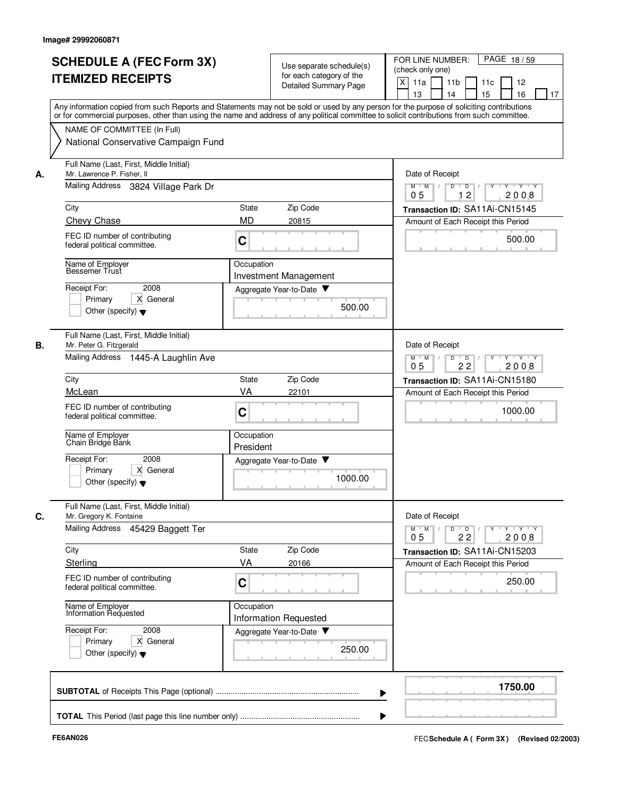| <b>SCHEDULE A (FEC Form 3X)</b><br><b>ITEMIZED RECEIPTS</b>                                                                                                                                                                                                                                                                             | Use separate schedule(s)<br>for each category of the<br><b>Detailed Summary Page</b><br>Any information copied from such Reports and Statements may not be sold or used by any person for the purpose of soliciting contributions | FOR LINE NUMBER:<br>PAGE 18/59<br>(check only one)<br>X<br>11a<br>11 <sub>b</sub><br>11c<br>12<br>13<br>14<br>15<br>16<br>17                                                 |
|-----------------------------------------------------------------------------------------------------------------------------------------------------------------------------------------------------------------------------------------------------------------------------------------------------------------------------------------|-----------------------------------------------------------------------------------------------------------------------------------------------------------------------------------------------------------------------------------|------------------------------------------------------------------------------------------------------------------------------------------------------------------------------|
| NAME OF COMMITTEE (In Full)<br>National Conservative Campaign Fund                                                                                                                                                                                                                                                                      | or for commercial purposes, other than using the name and address of any political committee to solicit contributions from such committee.                                                                                        |                                                                                                                                                                              |
| Full Name (Last, First, Middle Initial)<br>Mr. Lawrence P. Fisher, II<br>А.<br>Mailing Address 3824 Village Park Dr<br>City<br><b>Chevy Chase</b><br>FEC ID number of contributing<br>federal political committee.<br>Name of Employer<br>Bessemer Trust<br>Receipt For:<br>2008<br>X General                                           | Zip Code<br><b>State</b><br><b>MD</b><br>20815<br>C<br>Occupation<br>Investment Management<br>Aggregate Year-to-Date                                                                                                              | Date of Receipt<br>$M$ $M$ /<br>Y 'Y 'Y<br>D<br>D<br>12<br>2008<br>05<br>Transaction ID: SA11Ai-CN15145<br>Amount of Each Receipt this Period<br>500.00                      |
| Primary<br>Other (specify) $\blacktriangledown$<br>Full Name (Last, First, Middle Initial)<br>В.<br>Mr. Peter G. Fitzgerald                                                                                                                                                                                                             | 500.00                                                                                                                                                                                                                            | Date of Receipt                                                                                                                                                              |
| Mailing Address<br>1445-A Laughlin Ave<br>City<br>McLean<br>FEC ID number of contributing<br>federal political committee.<br>Name of Employer<br>Chain Bridge Bánk<br>Receipt For:<br>2008<br>X General<br>Primary<br>Other (specify) $\blacktriangledown$                                                                              | Zip Code<br>State<br>VA<br>22101<br>C<br>Occupation<br>President<br>Aggregate Year-to-Date<br>1000.00                                                                                                                             | D<br>$Y - Y - Y$<br>$M$ M<br>$\overline{D}$<br>$\sqrt{ }$<br>0 <sub>5</sub><br>22<br>2008<br>Transaction ID: SA11Ai-CN15180<br>Amount of Each Receipt this Period<br>1000.00 |
| Full Name (Last, First, Middle Initial)<br>C.<br>Mr. Gregory K. Fontaine<br>Mailing Address 45429 Baggett Ter<br>City<br>Sterling<br>FEC ID number of contributing<br>federal political committee.<br>Name of Employer<br>Information Requested<br>Receipt For:<br>2008<br>X General<br>Primary<br>Other (specify) $\blacktriangledown$ | State<br>Zip Code<br>VA<br>20166<br>C<br>Occupation<br><b>Information Requested</b><br>Aggregate Year-to-Date<br>250.00                                                                                                           | Date of Receipt<br>$Y$ $Y$ $Y$<br>$D$ $D$<br>Y<br>$M$ $M$<br>22<br>2008<br>0 <sub>5</sub><br>Transaction ID: SA11Ai-CN15203<br>Amount of Each Receipt this Period<br>250.00  |
|                                                                                                                                                                                                                                                                                                                                         |                                                                                                                                                                                                                                   | 1750.00                                                                                                                                                                      |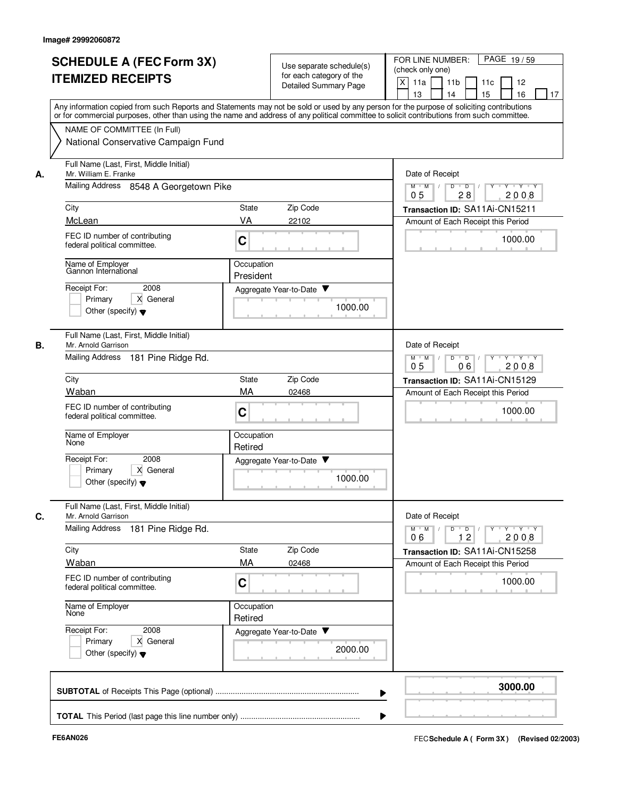|    | <b>SCHEDULE A (FEC Form 3X)</b><br><b>ITEMIZED RECEIPTS</b>                                                    | Use separate schedule(s)<br>for each category of the<br><b>Detailed Summary Page</b>                                                                                                                                                                                                    | FOR LINE NUMBER:<br>PAGE 19/59<br>(check only one)<br>X<br>11a<br>11 <sub>b</sub><br>11c<br>12<br>15<br>16<br>13<br>14<br>17 |
|----|----------------------------------------------------------------------------------------------------------------|-----------------------------------------------------------------------------------------------------------------------------------------------------------------------------------------------------------------------------------------------------------------------------------------|------------------------------------------------------------------------------------------------------------------------------|
|    | NAME OF COMMITTEE (In Full)<br>National Conservative Campaign Fund                                             | Any information copied from such Reports and Statements may not be sold or used by any person for the purpose of soliciting contributions<br>or for commercial purposes, other than using the name and address of any political committee to solicit contributions from such committee. |                                                                                                                              |
| А. | Full Name (Last, First, Middle Initial)<br>Mr. William E. Franke<br>Mailing Address 8548 A Georgetown Pike     |                                                                                                                                                                                                                                                                                         | Date of Receipt<br>Y Y Y Y<br>$M$ $M$ /<br>D<br>$\overline{D}$                                                               |
|    | City                                                                                                           | State<br>Zip Code                                                                                                                                                                                                                                                                       | 28<br>2008<br>0 <sub>5</sub><br>Transaction ID: SA11Ai-CN15211                                                               |
|    | McLean                                                                                                         | VA<br>22102                                                                                                                                                                                                                                                                             | Amount of Each Receipt this Period                                                                                           |
|    | FEC ID number of contributing<br>federal political committee.                                                  | C                                                                                                                                                                                                                                                                                       | 1000.00                                                                                                                      |
|    | Name of Employer<br>Gannon International                                                                       | Occupation<br>President                                                                                                                                                                                                                                                                 |                                                                                                                              |
|    | Receipt For:<br>2008<br>X General<br>Primarv<br>Other (specify) $\blacktriangledown$                           | Aggregate Year-to-Date<br>1000.00                                                                                                                                                                                                                                                       |                                                                                                                              |
| В. | Full Name (Last, First, Middle Initial)<br>Mr. Arnold Garrison<br><b>Mailing Address</b><br>181 Pine Ridge Rd. |                                                                                                                                                                                                                                                                                         | Date of Receipt<br>D<br>$\overline{D}$<br>Y 'Y 'Y<br>$M$ $M$<br>$\sqrt{ }$                                                   |
|    | City                                                                                                           | Zip Code<br>State                                                                                                                                                                                                                                                                       | 2008<br>05<br>06                                                                                                             |
|    | Waban                                                                                                          | MA<br>02468                                                                                                                                                                                                                                                                             | Transaction ID: SA11Ai-CN15129<br>Amount of Each Receipt this Period                                                         |
|    | FEC ID number of contributing<br>federal political committee.                                                  | C                                                                                                                                                                                                                                                                                       | 1000.00                                                                                                                      |
|    | Name of Employer<br>None                                                                                       | Occupation<br>Retired                                                                                                                                                                                                                                                                   |                                                                                                                              |
|    | Receipt For:<br>2008<br>Primary<br>X General<br>Other (specify) $\blacktriangledown$                           | Aggregate Year-to-Date ▼<br>1000.00                                                                                                                                                                                                                                                     |                                                                                                                              |
| C. | Full Name (Last, First, Middle Initial)<br>Mr. Arnold Garrison                                                 |                                                                                                                                                                                                                                                                                         | Date of Receipt                                                                                                              |
|    | <b>Mailing Address</b><br>181 Pine Ridge Rd.                                                                   |                                                                                                                                                                                                                                                                                         | $D \quad D \quad / \quad \boxed{Y \quad Y \quad Y \quad Y \quad Y \quad Y}$<br>$M$ $M$<br>12<br>2008<br>06                   |
|    | City                                                                                                           | State<br>Zip Code                                                                                                                                                                                                                                                                       | Transaction ID: SA11Ai-CN15258                                                                                               |
|    | Waban                                                                                                          | MA<br>02468                                                                                                                                                                                                                                                                             | Amount of Each Receipt this Period                                                                                           |
|    | FEC ID number of contributing<br>federal political committee.                                                  | C                                                                                                                                                                                                                                                                                       | 1000.00                                                                                                                      |
|    | Name of Employer<br>None                                                                                       | Occupation<br>Retired                                                                                                                                                                                                                                                                   |                                                                                                                              |
|    | Receipt For:<br>2008<br>X General<br>Primary<br>Other (specify) $\blacktriangledown$                           | Aggregate Year-to-Date<br>2000.00                                                                                                                                                                                                                                                       |                                                                                                                              |
|    |                                                                                                                |                                                                                                                                                                                                                                                                                         | 3000.00                                                                                                                      |
|    |                                                                                                                |                                                                                                                                                                                                                                                                                         |                                                                                                                              |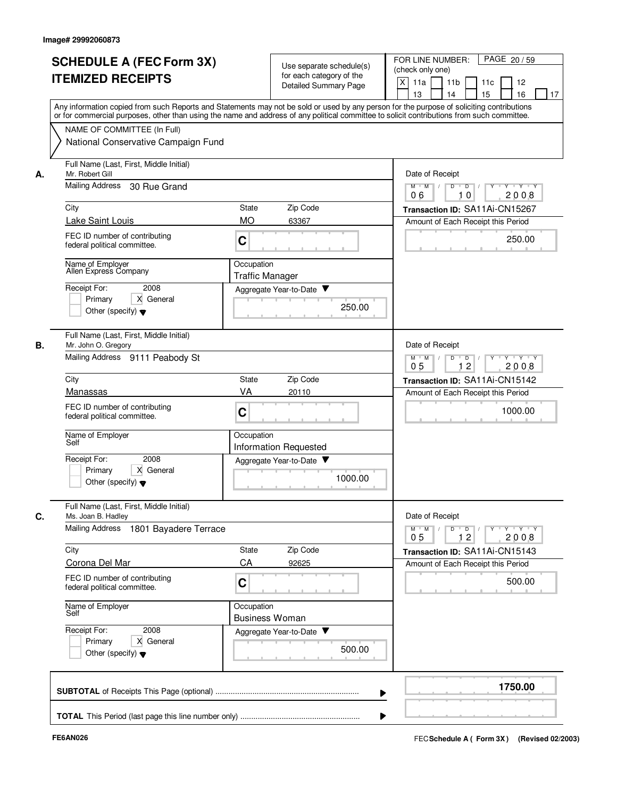| Use separate schedule(s)<br>(check only one)<br>for each category of the<br><b>ITEMIZED RECEIPTS</b><br>$\times$<br>11a<br>11 <sub>b</sub><br>11c<br>12<br><b>Detailed Summary Page</b><br>16<br>13<br>14<br>15<br>Any information copied from such Reports and Statements may not be sold or used by any person for the purpose of soliciting contributions<br>or for commercial purposes, other than using the name and address of any political committee to solicit contributions from such committee.<br>NAME OF COMMITTEE (In Full)<br>National Conservative Campaign Fund<br>Full Name (Last, First, Middle Initial)<br>Mr. Robert Gill<br>Date of Receipt<br>А.<br>Mailing Address<br>30 Rue Grand<br>$M$ $M$<br>Y Y Y Y<br>D<br>$\overline{D}$ /<br>2008<br>06<br>10<br>Zip Code<br>City<br>State<br>Transaction ID: SA11Ai-CN15267<br>Lake Saint Louis<br><b>MO</b><br>63367<br>Amount of Each Receipt this Period<br>FEC ID number of contributing<br>250.00<br>C<br>federal political committee.<br>Occupation<br>Name of Employer<br>Allen Express Company<br><b>Traffic Manager</b><br>Receipt For:<br>2008<br>Aggregate Year-to-Date<br>X General<br>Primary<br>250.00<br>Other (specify) $\blacktriangledown$<br>Full Name (Last, First, Middle Initial)<br>Date of Receipt<br>В.<br>Mr. John O. Gregory<br>Mailing Address 9111 Peabody St<br>$M$ M<br>D<br>D<br>$+Y+Y$<br>12<br>2008<br>05<br>Zip Code<br>City<br>State<br>Transaction ID: SA11Ai-CN15142<br>VA<br>Manassas<br>20110<br>Amount of Each Receipt this Period<br>FEC ID number of contributing<br>1000.00<br>C<br>federal political committee.<br>Name of Employer<br>Occupation<br>Self<br><b>Information Requested</b><br>Receipt For:<br>2008<br>Aggregate Year-to-Date<br>Primary<br>X General<br>1000.00<br>Other (specify) $\blacktriangledown$<br>Full Name (Last, First, Middle Initial)<br>Date of Receipt<br>Ms. Joan B. Hadley<br>С.<br><b>Mailing Address</b><br>1801 Bayadere Terrace<br>$Y$ $Y$ $Y$ $Y$<br>$D$ $D$ $/$<br>$M$ $M$<br>$Y$ <sup>U</sup><br>2008<br>0 <sub>5</sub><br>12<br>City<br>State<br>Zip Code<br>Transaction ID: SA11Ai-CN15143<br>CA<br>Corona Del Mar<br>92625<br>Amount of Each Receipt this Period<br>FEC ID number of contributing<br>500.00<br>C<br>federal political committee.<br>Occupation<br>Name of Employer<br>Self<br><b>Business Woman</b><br>Receipt For:<br>2008<br>Aggregate Year-to-Date<br>X General<br>Primary<br>500.00<br>Other (specify) $\blacktriangledown$ | <b>SCHEDULE A (FEC Form 3X)</b> | FOR LINE NUMBER:<br>PAGE 20 / 59 |
|---------------------------------------------------------------------------------------------------------------------------------------------------------------------------------------------------------------------------------------------------------------------------------------------------------------------------------------------------------------------------------------------------------------------------------------------------------------------------------------------------------------------------------------------------------------------------------------------------------------------------------------------------------------------------------------------------------------------------------------------------------------------------------------------------------------------------------------------------------------------------------------------------------------------------------------------------------------------------------------------------------------------------------------------------------------------------------------------------------------------------------------------------------------------------------------------------------------------------------------------------------------------------------------------------------------------------------------------------------------------------------------------------------------------------------------------------------------------------------------------------------------------------------------------------------------------------------------------------------------------------------------------------------------------------------------------------------------------------------------------------------------------------------------------------------------------------------------------------------------------------------------------------------------------------------------------------------------------------------------------------------------------------------------------------------------------------------------------------------------------------------------------------------------------------------------------------------------------------------------------------------------------------------------------------------------------------------------------------------------------------------------------------------------------------------------------------------------------------------------------------------|---------------------------------|----------------------------------|
|                                                                                                                                                                                                                                                                                                                                                                                                                                                                                                                                                                                                                                                                                                                                                                                                                                                                                                                                                                                                                                                                                                                                                                                                                                                                                                                                                                                                                                                                                                                                                                                                                                                                                                                                                                                                                                                                                                                                                                                                                                                                                                                                                                                                                                                                                                                                                                                                                                                                                                         |                                 |                                  |
|                                                                                                                                                                                                                                                                                                                                                                                                                                                                                                                                                                                                                                                                                                                                                                                                                                                                                                                                                                                                                                                                                                                                                                                                                                                                                                                                                                                                                                                                                                                                                                                                                                                                                                                                                                                                                                                                                                                                                                                                                                                                                                                                                                                                                                                                                                                                                                                                                                                                                                         |                                 |                                  |
|                                                                                                                                                                                                                                                                                                                                                                                                                                                                                                                                                                                                                                                                                                                                                                                                                                                                                                                                                                                                                                                                                                                                                                                                                                                                                                                                                                                                                                                                                                                                                                                                                                                                                                                                                                                                                                                                                                                                                                                                                                                                                                                                                                                                                                                                                                                                                                                                                                                                                                         |                                 | 17                               |
|                                                                                                                                                                                                                                                                                                                                                                                                                                                                                                                                                                                                                                                                                                                                                                                                                                                                                                                                                                                                                                                                                                                                                                                                                                                                                                                                                                                                                                                                                                                                                                                                                                                                                                                                                                                                                                                                                                                                                                                                                                                                                                                                                                                                                                                                                                                                                                                                                                                                                                         |                                 |                                  |
|                                                                                                                                                                                                                                                                                                                                                                                                                                                                                                                                                                                                                                                                                                                                                                                                                                                                                                                                                                                                                                                                                                                                                                                                                                                                                                                                                                                                                                                                                                                                                                                                                                                                                                                                                                                                                                                                                                                                                                                                                                                                                                                                                                                                                                                                                                                                                                                                                                                                                                         |                                 |                                  |
|                                                                                                                                                                                                                                                                                                                                                                                                                                                                                                                                                                                                                                                                                                                                                                                                                                                                                                                                                                                                                                                                                                                                                                                                                                                                                                                                                                                                                                                                                                                                                                                                                                                                                                                                                                                                                                                                                                                                                                                                                                                                                                                                                                                                                                                                                                                                                                                                                                                                                                         |                                 |                                  |
|                                                                                                                                                                                                                                                                                                                                                                                                                                                                                                                                                                                                                                                                                                                                                                                                                                                                                                                                                                                                                                                                                                                                                                                                                                                                                                                                                                                                                                                                                                                                                                                                                                                                                                                                                                                                                                                                                                                                                                                                                                                                                                                                                                                                                                                                                                                                                                                                                                                                                                         |                                 |                                  |
|                                                                                                                                                                                                                                                                                                                                                                                                                                                                                                                                                                                                                                                                                                                                                                                                                                                                                                                                                                                                                                                                                                                                                                                                                                                                                                                                                                                                                                                                                                                                                                                                                                                                                                                                                                                                                                                                                                                                                                                                                                                                                                                                                                                                                                                                                                                                                                                                                                                                                                         |                                 |                                  |
|                                                                                                                                                                                                                                                                                                                                                                                                                                                                                                                                                                                                                                                                                                                                                                                                                                                                                                                                                                                                                                                                                                                                                                                                                                                                                                                                                                                                                                                                                                                                                                                                                                                                                                                                                                                                                                                                                                                                                                                                                                                                                                                                                                                                                                                                                                                                                                                                                                                                                                         |                                 |                                  |
|                                                                                                                                                                                                                                                                                                                                                                                                                                                                                                                                                                                                                                                                                                                                                                                                                                                                                                                                                                                                                                                                                                                                                                                                                                                                                                                                                                                                                                                                                                                                                                                                                                                                                                                                                                                                                                                                                                                                                                                                                                                                                                                                                                                                                                                                                                                                                                                                                                                                                                         |                                 |                                  |
|                                                                                                                                                                                                                                                                                                                                                                                                                                                                                                                                                                                                                                                                                                                                                                                                                                                                                                                                                                                                                                                                                                                                                                                                                                                                                                                                                                                                                                                                                                                                                                                                                                                                                                                                                                                                                                                                                                                                                                                                                                                                                                                                                                                                                                                                                                                                                                                                                                                                                                         |                                 |                                  |
|                                                                                                                                                                                                                                                                                                                                                                                                                                                                                                                                                                                                                                                                                                                                                                                                                                                                                                                                                                                                                                                                                                                                                                                                                                                                                                                                                                                                                                                                                                                                                                                                                                                                                                                                                                                                                                                                                                                                                                                                                                                                                                                                                                                                                                                                                                                                                                                                                                                                                                         |                                 |                                  |
|                                                                                                                                                                                                                                                                                                                                                                                                                                                                                                                                                                                                                                                                                                                                                                                                                                                                                                                                                                                                                                                                                                                                                                                                                                                                                                                                                                                                                                                                                                                                                                                                                                                                                                                                                                                                                                                                                                                                                                                                                                                                                                                                                                                                                                                                                                                                                                                                                                                                                                         |                                 |                                  |
|                                                                                                                                                                                                                                                                                                                                                                                                                                                                                                                                                                                                                                                                                                                                                                                                                                                                                                                                                                                                                                                                                                                                                                                                                                                                                                                                                                                                                                                                                                                                                                                                                                                                                                                                                                                                                                                                                                                                                                                                                                                                                                                                                                                                                                                                                                                                                                                                                                                                                                         |                                 |                                  |
|                                                                                                                                                                                                                                                                                                                                                                                                                                                                                                                                                                                                                                                                                                                                                                                                                                                                                                                                                                                                                                                                                                                                                                                                                                                                                                                                                                                                                                                                                                                                                                                                                                                                                                                                                                                                                                                                                                                                                                                                                                                                                                                                                                                                                                                                                                                                                                                                                                                                                                         |                                 |                                  |
|                                                                                                                                                                                                                                                                                                                                                                                                                                                                                                                                                                                                                                                                                                                                                                                                                                                                                                                                                                                                                                                                                                                                                                                                                                                                                                                                                                                                                                                                                                                                                                                                                                                                                                                                                                                                                                                                                                                                                                                                                                                                                                                                                                                                                                                                                                                                                                                                                                                                                                         |                                 |                                  |
|                                                                                                                                                                                                                                                                                                                                                                                                                                                                                                                                                                                                                                                                                                                                                                                                                                                                                                                                                                                                                                                                                                                                                                                                                                                                                                                                                                                                                                                                                                                                                                                                                                                                                                                                                                                                                                                                                                                                                                                                                                                                                                                                                                                                                                                                                                                                                                                                                                                                                                         |                                 |                                  |
|                                                                                                                                                                                                                                                                                                                                                                                                                                                                                                                                                                                                                                                                                                                                                                                                                                                                                                                                                                                                                                                                                                                                                                                                                                                                                                                                                                                                                                                                                                                                                                                                                                                                                                                                                                                                                                                                                                                                                                                                                                                                                                                                                                                                                                                                                                                                                                                                                                                                                                         |                                 |                                  |
|                                                                                                                                                                                                                                                                                                                                                                                                                                                                                                                                                                                                                                                                                                                                                                                                                                                                                                                                                                                                                                                                                                                                                                                                                                                                                                                                                                                                                                                                                                                                                                                                                                                                                                                                                                                                                                                                                                                                                                                                                                                                                                                                                                                                                                                                                                                                                                                                                                                                                                         |                                 |                                  |
|                                                                                                                                                                                                                                                                                                                                                                                                                                                                                                                                                                                                                                                                                                                                                                                                                                                                                                                                                                                                                                                                                                                                                                                                                                                                                                                                                                                                                                                                                                                                                                                                                                                                                                                                                                                                                                                                                                                                                                                                                                                                                                                                                                                                                                                                                                                                                                                                                                                                                                         |                                 |                                  |
|                                                                                                                                                                                                                                                                                                                                                                                                                                                                                                                                                                                                                                                                                                                                                                                                                                                                                                                                                                                                                                                                                                                                                                                                                                                                                                                                                                                                                                                                                                                                                                                                                                                                                                                                                                                                                                                                                                                                                                                                                                                                                                                                                                                                                                                                                                                                                                                                                                                                                                         |                                 |                                  |
|                                                                                                                                                                                                                                                                                                                                                                                                                                                                                                                                                                                                                                                                                                                                                                                                                                                                                                                                                                                                                                                                                                                                                                                                                                                                                                                                                                                                                                                                                                                                                                                                                                                                                                                                                                                                                                                                                                                                                                                                                                                                                                                                                                                                                                                                                                                                                                                                                                                                                                         |                                 |                                  |
|                                                                                                                                                                                                                                                                                                                                                                                                                                                                                                                                                                                                                                                                                                                                                                                                                                                                                                                                                                                                                                                                                                                                                                                                                                                                                                                                                                                                                                                                                                                                                                                                                                                                                                                                                                                                                                                                                                                                                                                                                                                                                                                                                                                                                                                                                                                                                                                                                                                                                                         |                                 |                                  |
|                                                                                                                                                                                                                                                                                                                                                                                                                                                                                                                                                                                                                                                                                                                                                                                                                                                                                                                                                                                                                                                                                                                                                                                                                                                                                                                                                                                                                                                                                                                                                                                                                                                                                                                                                                                                                                                                                                                                                                                                                                                                                                                                                                                                                                                                                                                                                                                                                                                                                                         |                                 |                                  |
|                                                                                                                                                                                                                                                                                                                                                                                                                                                                                                                                                                                                                                                                                                                                                                                                                                                                                                                                                                                                                                                                                                                                                                                                                                                                                                                                                                                                                                                                                                                                                                                                                                                                                                                                                                                                                                                                                                                                                                                                                                                                                                                                                                                                                                                                                                                                                                                                                                                                                                         |                                 |                                  |
|                                                                                                                                                                                                                                                                                                                                                                                                                                                                                                                                                                                                                                                                                                                                                                                                                                                                                                                                                                                                                                                                                                                                                                                                                                                                                                                                                                                                                                                                                                                                                                                                                                                                                                                                                                                                                                                                                                                                                                                                                                                                                                                                                                                                                                                                                                                                                                                                                                                                                                         |                                 |                                  |
|                                                                                                                                                                                                                                                                                                                                                                                                                                                                                                                                                                                                                                                                                                                                                                                                                                                                                                                                                                                                                                                                                                                                                                                                                                                                                                                                                                                                                                                                                                                                                                                                                                                                                                                                                                                                                                                                                                                                                                                                                                                                                                                                                                                                                                                                                                                                                                                                                                                                                                         |                                 |                                  |
|                                                                                                                                                                                                                                                                                                                                                                                                                                                                                                                                                                                                                                                                                                                                                                                                                                                                                                                                                                                                                                                                                                                                                                                                                                                                                                                                                                                                                                                                                                                                                                                                                                                                                                                                                                                                                                                                                                                                                                                                                                                                                                                                                                                                                                                                                                                                                                                                                                                                                                         |                                 |                                  |
|                                                                                                                                                                                                                                                                                                                                                                                                                                                                                                                                                                                                                                                                                                                                                                                                                                                                                                                                                                                                                                                                                                                                                                                                                                                                                                                                                                                                                                                                                                                                                                                                                                                                                                                                                                                                                                                                                                                                                                                                                                                                                                                                                                                                                                                                                                                                                                                                                                                                                                         |                                 |                                  |
|                                                                                                                                                                                                                                                                                                                                                                                                                                                                                                                                                                                                                                                                                                                                                                                                                                                                                                                                                                                                                                                                                                                                                                                                                                                                                                                                                                                                                                                                                                                                                                                                                                                                                                                                                                                                                                                                                                                                                                                                                                                                                                                                                                                                                                                                                                                                                                                                                                                                                                         |                                 |                                  |
|                                                                                                                                                                                                                                                                                                                                                                                                                                                                                                                                                                                                                                                                                                                                                                                                                                                                                                                                                                                                                                                                                                                                                                                                                                                                                                                                                                                                                                                                                                                                                                                                                                                                                                                                                                                                                                                                                                                                                                                                                                                                                                                                                                                                                                                                                                                                                                                                                                                                                                         |                                 |                                  |
|                                                                                                                                                                                                                                                                                                                                                                                                                                                                                                                                                                                                                                                                                                                                                                                                                                                                                                                                                                                                                                                                                                                                                                                                                                                                                                                                                                                                                                                                                                                                                                                                                                                                                                                                                                                                                                                                                                                                                                                                                                                                                                                                                                                                                                                                                                                                                                                                                                                                                                         |                                 |                                  |
|                                                                                                                                                                                                                                                                                                                                                                                                                                                                                                                                                                                                                                                                                                                                                                                                                                                                                                                                                                                                                                                                                                                                                                                                                                                                                                                                                                                                                                                                                                                                                                                                                                                                                                                                                                                                                                                                                                                                                                                                                                                                                                                                                                                                                                                                                                                                                                                                                                                                                                         |                                 |                                  |
|                                                                                                                                                                                                                                                                                                                                                                                                                                                                                                                                                                                                                                                                                                                                                                                                                                                                                                                                                                                                                                                                                                                                                                                                                                                                                                                                                                                                                                                                                                                                                                                                                                                                                                                                                                                                                                                                                                                                                                                                                                                                                                                                                                                                                                                                                                                                                                                                                                                                                                         |                                 | 1750.00                          |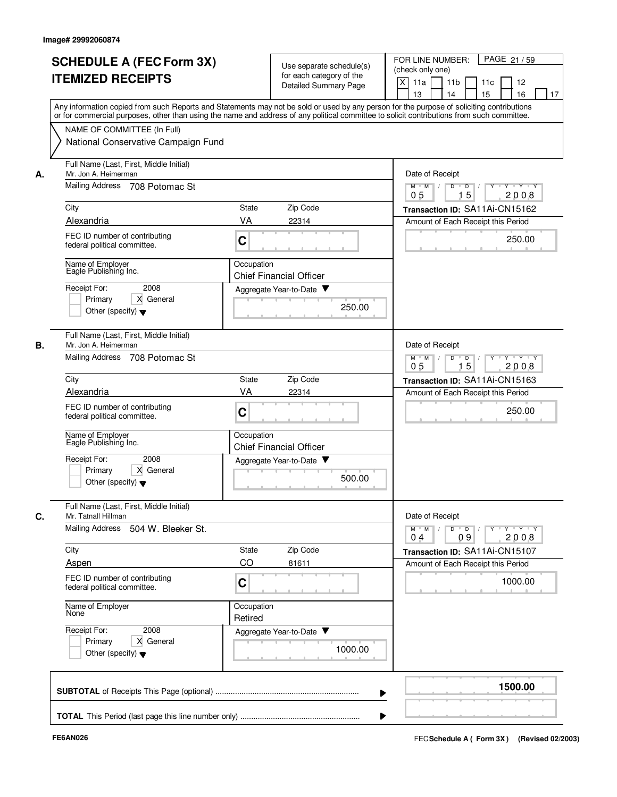|    | <b>SCHEDULE A (FEC Form 3X)</b><br><b>ITEMIZED RECEIPTS</b>                                          | Use separate schedule(s)<br>for each category of the<br><b>Detailed Summary Page</b>                                                                                                                                                                                                    | FOR LINE NUMBER:<br>PAGE 21/59<br>(check only one)<br>X<br>11a<br>11 <sub>b</sub><br>11c<br>12<br>13<br>14<br>15<br>16<br>17 |
|----|------------------------------------------------------------------------------------------------------|-----------------------------------------------------------------------------------------------------------------------------------------------------------------------------------------------------------------------------------------------------------------------------------------|------------------------------------------------------------------------------------------------------------------------------|
|    |                                                                                                      | Any information copied from such Reports and Statements may not be sold or used by any person for the purpose of soliciting contributions<br>or for commercial purposes, other than using the name and address of any political committee to solicit contributions from such committee. |                                                                                                                              |
|    | NAME OF COMMITTEE (In Full)<br>National Conservative Campaign Fund                                   |                                                                                                                                                                                                                                                                                         |                                                                                                                              |
| А. | Full Name (Last, First, Middle Initial)<br>Mr. Jon A. Heimerman                                      |                                                                                                                                                                                                                                                                                         | Date of Receipt                                                                                                              |
|    | Mailing Address<br>708 Potomac St                                                                    |                                                                                                                                                                                                                                                                                         | $M$ $M$ /<br>Y 'Y 'Y<br>D<br>D<br>15<br>2008<br>05                                                                           |
|    | City                                                                                                 | Zip Code<br>State                                                                                                                                                                                                                                                                       | Transaction ID: SA11Ai-CN15162                                                                                               |
|    | Alexandria<br>FEC ID number of contributing<br>federal political committee.                          | VA<br>22314<br>C                                                                                                                                                                                                                                                                        | Amount of Each Receipt this Period<br>250.00                                                                                 |
|    | Name of Employer<br>Eagle Publishing Inc.                                                            | Occupation<br><b>Chief Financial Officer</b>                                                                                                                                                                                                                                            |                                                                                                                              |
|    | Receipt For:<br>2008<br>Primary<br>X General<br>Other (specify) $\blacktriangledown$                 | Aggregate Year-to-Date<br>250.00                                                                                                                                                                                                                                                        |                                                                                                                              |
| В. | Full Name (Last, First, Middle Initial)<br>Mr. Jon A. Heimerman                                      |                                                                                                                                                                                                                                                                                         | Date of Receipt                                                                                                              |
|    | <b>Mailing Address</b><br>708 Potomac St                                                             |                                                                                                                                                                                                                                                                                         | D<br>$\Box$<br>$Y - Y - Y$<br>$M$ M<br>$\sqrt{ }$<br>0 <sub>5</sub><br>15<br>2008                                            |
|    | City                                                                                                 | Zip Code<br>State                                                                                                                                                                                                                                                                       | Transaction ID: SA11Ai-CN15163                                                                                               |
|    | Alexandria<br>FEC ID number of contributing<br>federal political committee.                          | VA<br>22314<br>C                                                                                                                                                                                                                                                                        | Amount of Each Receipt this Period<br>250.00                                                                                 |
|    | Name of Employer<br>Eagle Publishing Inc.                                                            | Occupation<br><b>Chief Financial Officer</b>                                                                                                                                                                                                                                            |                                                                                                                              |
|    | Receipt For:<br>2008<br>X General<br>Primary<br>Other (specify) $\blacktriangledown$                 | Aggregate Year-to-Date<br>500.00                                                                                                                                                                                                                                                        |                                                                                                                              |
| C. | Full Name (Last, First, Middle Initial)<br>Mr. Tatnall Hillman<br>Mailing Address 504 W. Bleeker St. |                                                                                                                                                                                                                                                                                         | Date of Receipt<br>$Y$ $Y$ $Y$<br>$M$ $M$ /<br>$D$ $D$ $I$<br>$Y$ <sup>-1</sup>                                              |
|    | City                                                                                                 | State<br>Zip Code                                                                                                                                                                                                                                                                       | 09<br>2008<br>04<br>Transaction ID: SA11Ai-CN15107                                                                           |
|    | Aspen                                                                                                | CO<br>81611                                                                                                                                                                                                                                                                             | Amount of Each Receipt this Period                                                                                           |
|    | FEC ID number of contributing<br>federal political committee.                                        | C                                                                                                                                                                                                                                                                                       | 1000.00                                                                                                                      |
|    | Name of Employer<br>None                                                                             | Occupation<br>Retired                                                                                                                                                                                                                                                                   |                                                                                                                              |
|    | Receipt For:<br>2008<br>X General<br>Primary<br>Other (specify) $\blacktriangledown$                 | Aggregate Year-to-Date<br>1000.00                                                                                                                                                                                                                                                       |                                                                                                                              |
|    |                                                                                                      |                                                                                                                                                                                                                                                                                         | 1500.00                                                                                                                      |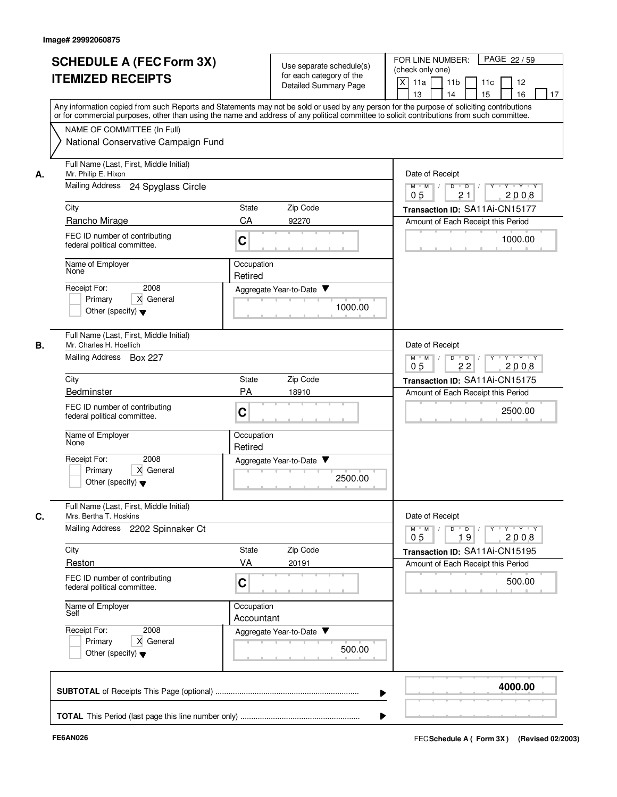|    |                                                                                                                                                                                                                                                                                         |                          |                              | FOR LINE NUMBER:<br>PAGE 22/59                                                                                                   |
|----|-----------------------------------------------------------------------------------------------------------------------------------------------------------------------------------------------------------------------------------------------------------------------------------------|--------------------------|------------------------------|----------------------------------------------------------------------------------------------------------------------------------|
|    | <b>SCHEDULE A (FEC Form 3X)</b>                                                                                                                                                                                                                                                         |                          | Use separate schedule(s)     | (check only one)                                                                                                                 |
|    | <b>ITEMIZED RECEIPTS</b>                                                                                                                                                                                                                                                                |                          | for each category of the     | X<br>11a<br>11 <sub>b</sub><br>11c<br>12                                                                                         |
|    |                                                                                                                                                                                                                                                                                         |                          | <b>Detailed Summary Page</b> | 15<br>16<br>13<br>14<br>17                                                                                                       |
|    | Any information copied from such Reports and Statements may not be sold or used by any person for the purpose of soliciting contributions<br>or for commercial purposes, other than using the name and address of any political committee to solicit contributions from such committee. |                          |                              |                                                                                                                                  |
|    | NAME OF COMMITTEE (In Full)                                                                                                                                                                                                                                                             |                          |                              |                                                                                                                                  |
|    | National Conservative Campaign Fund                                                                                                                                                                                                                                                     |                          |                              |                                                                                                                                  |
| А. | Full Name (Last, First, Middle Initial)<br>Mr. Philip E. Hixon                                                                                                                                                                                                                          |                          |                              | Date of Receipt                                                                                                                  |
|    | Mailing Address<br>24 Spyglass Circle                                                                                                                                                                                                                                                   |                          |                              | Y Y Y Y<br>$M$ $M$ /<br>D<br>$\overline{D}$<br>21<br>2008<br>0 <sub>5</sub>                                                      |
|    | City                                                                                                                                                                                                                                                                                    | State                    | Zip Code                     | Transaction ID: SA11Ai-CN15177                                                                                                   |
|    | Rancho Mirage                                                                                                                                                                                                                                                                           | CA                       | 92270                        | Amount of Each Receipt this Period                                                                                               |
|    | FEC ID number of contributing<br>federal political committee.                                                                                                                                                                                                                           | C                        |                              | 1000.00                                                                                                                          |
|    | Name of Employer<br>None                                                                                                                                                                                                                                                                | Occupation<br>Retired    |                              |                                                                                                                                  |
|    | Receipt For:<br>2008                                                                                                                                                                                                                                                                    |                          | Aggregate Year-to-Date       |                                                                                                                                  |
|    | X General<br>Primary                                                                                                                                                                                                                                                                    |                          | 1000.00                      |                                                                                                                                  |
|    | Other (specify) $\blacktriangledown$                                                                                                                                                                                                                                                    |                          |                              |                                                                                                                                  |
| В. | Full Name (Last, First, Middle Initial)<br>Mr. Charles H. Hoeflich                                                                                                                                                                                                                      |                          |                              | Date of Receipt                                                                                                                  |
|    | Mailing Address Box 227                                                                                                                                                                                                                                                                 |                          |                              | D<br>Y 'Y 'Y<br>$M$ $M$<br>$\overline{D}$<br>22<br>2008<br>05                                                                    |
|    | City                                                                                                                                                                                                                                                                                    | State                    | Zip Code                     | Transaction ID: SA11Ai-CN15175                                                                                                   |
|    | Bedminster                                                                                                                                                                                                                                                                              | <b>PA</b>                | 18910                        | Amount of Each Receipt this Period                                                                                               |
|    | FEC ID number of contributing<br>federal political committee.                                                                                                                                                                                                                           | C                        |                              | 2500.00                                                                                                                          |
|    | Name of Employer<br>None                                                                                                                                                                                                                                                                | Occupation<br>Retired    |                              |                                                                                                                                  |
|    | Receipt For:<br>2008                                                                                                                                                                                                                                                                    |                          | Aggregate Year-to-Date ▼     |                                                                                                                                  |
|    | Primary<br>X General<br>Other (specify) $\blacktriangledown$                                                                                                                                                                                                                            |                          | 2500.00                      |                                                                                                                                  |
| C. | Full Name (Last, First, Middle Initial)<br>Mrs. Bertha T. Hoskins                                                                                                                                                                                                                       |                          |                              | Date of Receipt                                                                                                                  |
|    | Mailing Address 2202 Spinnaker Ct                                                                                                                                                                                                                                                       |                          |                              | $D \quad D \quad / \quad   \quad Y \quad + \quad Y \quad + \quad Y \quad + \quad Y$<br>$M$ $M$ /<br>19<br>2008<br>0 <sub>5</sub> |
|    | City                                                                                                                                                                                                                                                                                    | State                    | Zip Code                     | Transaction ID: SA11Ai-CN15195                                                                                                   |
|    | Reston                                                                                                                                                                                                                                                                                  | VA                       | 20191                        | Amount of Each Receipt this Period                                                                                               |
|    | FEC ID number of contributing<br>federal political committee.                                                                                                                                                                                                                           | C                        |                              | 500.00                                                                                                                           |
|    | Name of Employer<br>Self                                                                                                                                                                                                                                                                | Occupation<br>Accountant |                              |                                                                                                                                  |
|    | Receipt For:<br>2008                                                                                                                                                                                                                                                                    |                          | Aggregate Year-to-Date       |                                                                                                                                  |
|    | X General<br>Primary                                                                                                                                                                                                                                                                    |                          | 500.00                       |                                                                                                                                  |
|    | Other (specify) $\blacktriangledown$                                                                                                                                                                                                                                                    |                          |                              |                                                                                                                                  |
|    |                                                                                                                                                                                                                                                                                         |                          |                              | 4000.00                                                                                                                          |
|    |                                                                                                                                                                                                                                                                                         |                          |                              |                                                                                                                                  |
|    |                                                                                                                                                                                                                                                                                         |                          |                              |                                                                                                                                  |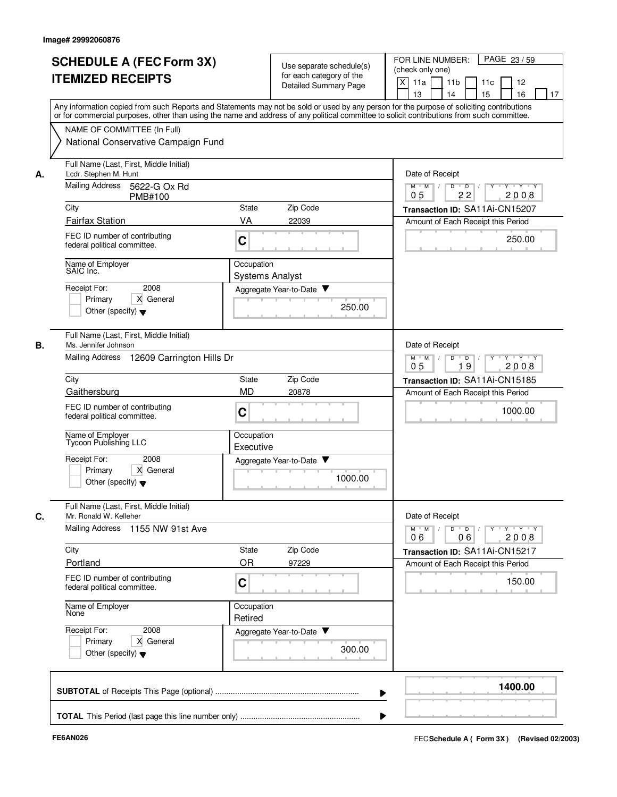|    | <b>SCHEDULE A (FEC Form 3X)</b><br><b>ITEMIZED RECEIPTS</b>        | Use separate schedule(s)<br>for each category of the<br><b>Detailed Summary Page</b>                                                                                                                                                                                                    | FOR LINE NUMBER:<br>PAGE 23/59<br>(check only one)<br>X<br>11a<br>11 <sub>b</sub><br>11c<br>12<br>15<br>16<br>13<br>14<br>17                                                                                                                                                                                                                                                                                                                       |  |
|----|--------------------------------------------------------------------|-----------------------------------------------------------------------------------------------------------------------------------------------------------------------------------------------------------------------------------------------------------------------------------------|----------------------------------------------------------------------------------------------------------------------------------------------------------------------------------------------------------------------------------------------------------------------------------------------------------------------------------------------------------------------------------------------------------------------------------------------------|--|
|    |                                                                    | Any information copied from such Reports and Statements may not be sold or used by any person for the purpose of soliciting contributions<br>or for commercial purposes, other than using the name and address of any political committee to solicit contributions from such committee. |                                                                                                                                                                                                                                                                                                                                                                                                                                                    |  |
|    | NAME OF COMMITTEE (In Full)<br>National Conservative Campaign Fund |                                                                                                                                                                                                                                                                                         |                                                                                                                                                                                                                                                                                                                                                                                                                                                    |  |
| А. | Full Name (Last, First, Middle Initial)<br>Lcdr. Stephen M. Hunt   | Date of Receipt                                                                                                                                                                                                                                                                         |                                                                                                                                                                                                                                                                                                                                                                                                                                                    |  |
|    | Mailing Address<br>5622-G Ox Rd<br><b>PMB#100</b>                  | $Y \cup Y \cup Y$<br>$M$ $M$ /<br>D<br>$\overline{D}$<br>22<br>2008<br>05                                                                                                                                                                                                               |                                                                                                                                                                                                                                                                                                                                                                                                                                                    |  |
|    | City                                                               | Zip Code<br><b>State</b>                                                                                                                                                                                                                                                                | Transaction ID: SA11Ai-CN15207                                                                                                                                                                                                                                                                                                                                                                                                                     |  |
|    | <b>Fairfax Station</b>                                             | VA<br>22039                                                                                                                                                                                                                                                                             | Amount of Each Receipt this Period                                                                                                                                                                                                                                                                                                                                                                                                                 |  |
|    | FEC ID number of contributing<br>federal political committee.      | C                                                                                                                                                                                                                                                                                       | 250.00                                                                                                                                                                                                                                                                                                                                                                                                                                             |  |
|    | Name of Employer<br>SAIC Inc.                                      | Occupation<br><b>Systems Analyst</b>                                                                                                                                                                                                                                                    |                                                                                                                                                                                                                                                                                                                                                                                                                                                    |  |
|    | Receipt For:<br>2008                                               | Aggregate Year-to-Date                                                                                                                                                                                                                                                                  |                                                                                                                                                                                                                                                                                                                                                                                                                                                    |  |
|    | Primary<br>X General<br>Other (specify) $\blacktriangledown$       | 250.00                                                                                                                                                                                                                                                                                  |                                                                                                                                                                                                                                                                                                                                                                                                                                                    |  |
| В. | Full Name (Last, First, Middle Initial)<br>Ms. Jennifer Johnson    |                                                                                                                                                                                                                                                                                         | Date of Receipt                                                                                                                                                                                                                                                                                                                                                                                                                                    |  |
|    | Mailing Address 12609 Carrington Hills Dr                          | D<br>$\overline{D}$<br>Y 'Y 'Y<br>$M$ M<br>19<br>2008<br>05                                                                                                                                                                                                                             |                                                                                                                                                                                                                                                                                                                                                                                                                                                    |  |
|    | City                                                               | Zip Code<br>State                                                                                                                                                                                                                                                                       | Transaction ID: SA11Ai-CN15185                                                                                                                                                                                                                                                                                                                                                                                                                     |  |
|    | Gaithersburg                                                       | <b>MD</b><br>20878                                                                                                                                                                                                                                                                      | Amount of Each Receipt this Period                                                                                                                                                                                                                                                                                                                                                                                                                 |  |
|    | FEC ID number of contributing<br>federal political committee.      | C                                                                                                                                                                                                                                                                                       | 1000.00                                                                                                                                                                                                                                                                                                                                                                                                                                            |  |
|    | Name of Employer<br>Tycoon Publishing LLC                          | Occupation<br>Executive                                                                                                                                                                                                                                                                 |                                                                                                                                                                                                                                                                                                                                                                                                                                                    |  |
|    | Receipt For:<br>2008                                               | Aggregate Year-to-Date ▼                                                                                                                                                                                                                                                                |                                                                                                                                                                                                                                                                                                                                                                                                                                                    |  |
|    | Primary<br>X General<br>Other (specify) $\blacktriangledown$       | 1000.00                                                                                                                                                                                                                                                                                 |                                                                                                                                                                                                                                                                                                                                                                                                                                                    |  |
| C. | Full Name (Last, First, Middle Initial)<br>Mr. Ronald W. Kelleher  |                                                                                                                                                                                                                                                                                         | Date of Receipt                                                                                                                                                                                                                                                                                                                                                                                                                                    |  |
|    | Mailing Address 1155 NW 91st Ave                                   |                                                                                                                                                                                                                                                                                         | $\begin{array}{c c c c c c c c} \hline \textbf{0} & \textbf{0} & \textbf{0} & \textbf{0} & \textbf{0} & \textbf{0} & \textbf{0} & \textbf{0} & \textbf{0} & \textbf{0} & \textbf{0} & \textbf{0} & \textbf{0} & \textbf{0} & \textbf{0} & \textbf{0} & \textbf{0} & \textbf{0} & \textbf{0} & \textbf{0} & \textbf{0} & \textbf{0} & \textbf{0} & \textbf{0} & \textbf{0} & \textbf{0} & \textbf{0} & \textbf{0} &$<br>$M$ $M$<br>2008<br>06<br>06 |  |
|    | City                                                               | State<br>Zip Code                                                                                                                                                                                                                                                                       | Transaction ID: SA11Ai-CN15217                                                                                                                                                                                                                                                                                                                                                                                                                     |  |
|    | Portland                                                           | OR<br>97229                                                                                                                                                                                                                                                                             | Amount of Each Receipt this Period                                                                                                                                                                                                                                                                                                                                                                                                                 |  |
|    | FEC ID number of contributing<br>federal political committee.      | C                                                                                                                                                                                                                                                                                       | 150.00                                                                                                                                                                                                                                                                                                                                                                                                                                             |  |
|    | Name of Employer<br>None                                           | Occupation<br>Retired                                                                                                                                                                                                                                                                   |                                                                                                                                                                                                                                                                                                                                                                                                                                                    |  |
|    | Receipt For:<br>2008                                               | Aggregate Year-to-Date                                                                                                                                                                                                                                                                  |                                                                                                                                                                                                                                                                                                                                                                                                                                                    |  |
|    | X General<br>Primary<br>Other (specify) $\blacktriangledown$       | 300.00                                                                                                                                                                                                                                                                                  |                                                                                                                                                                                                                                                                                                                                                                                                                                                    |  |
|    |                                                                    |                                                                                                                                                                                                                                                                                         | 1400.00                                                                                                                                                                                                                                                                                                                                                                                                                                            |  |
|    |                                                                    |                                                                                                                                                                                                                                                                                         |                                                                                                                                                                                                                                                                                                                                                                                                                                                    |  |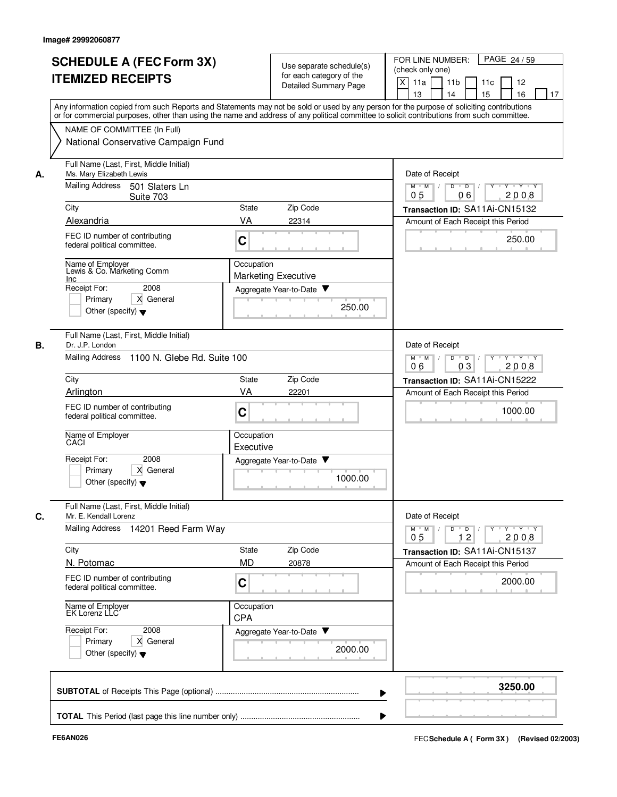| Use separate schedule(s)<br>for each category of the<br><b>Detailed Summary Page</b><br>State<br>Zip Code<br>22314<br>Occupation<br><b>Marketing Executive</b><br>Aggregate Year-to-Date<br>250.00 | FOR LINE NUMBER:<br>PAGE 24/59<br>(check only one)<br>X<br>11a<br>11 <sub>b</sub><br>11c<br>12<br>15<br>16<br>13<br>14<br>17<br>Any information copied from such Reports and Statements may not be sold or used by any person for the purpose of soliciting contributions<br>or for commercial purposes, other than using the name and address of any political committee to solicit contributions from such committee.<br>Date of Receipt<br>Y Y Y Y<br>$M$ $M$ /<br>D<br>$\overline{D}$<br>06<br>2008<br>0 <sub>5</sub><br>Transaction ID: SA11Ai-CN15132<br>Amount of Each Receipt this Period<br>250.00 |  |
|----------------------------------------------------------------------------------------------------------------------------------------------------------------------------------------------------|-------------------------------------------------------------------------------------------------------------------------------------------------------------------------------------------------------------------------------------------------------------------------------------------------------------------------------------------------------------------------------------------------------------------------------------------------------------------------------------------------------------------------------------------------------------------------------------------------------------|--|
|                                                                                                                                                                                                    |                                                                                                                                                                                                                                                                                                                                                                                                                                                                                                                                                                                                             |  |
|                                                                                                                                                                                                    |                                                                                                                                                                                                                                                                                                                                                                                                                                                                                                                                                                                                             |  |
|                                                                                                                                                                                                    |                                                                                                                                                                                                                                                                                                                                                                                                                                                                                                                                                                                                             |  |
|                                                                                                                                                                                                    |                                                                                                                                                                                                                                                                                                                                                                                                                                                                                                                                                                                                             |  |
|                                                                                                                                                                                                    |                                                                                                                                                                                                                                                                                                                                                                                                                                                                                                                                                                                                             |  |
|                                                                                                                                                                                                    |                                                                                                                                                                                                                                                                                                                                                                                                                                                                                                                                                                                                             |  |
|                                                                                                                                                                                                    |                                                                                                                                                                                                                                                                                                                                                                                                                                                                                                                                                                                                             |  |
|                                                                                                                                                                                                    |                                                                                                                                                                                                                                                                                                                                                                                                                                                                                                                                                                                                             |  |
|                                                                                                                                                                                                    |                                                                                                                                                                                                                                                                                                                                                                                                                                                                                                                                                                                                             |  |
|                                                                                                                                                                                                    |                                                                                                                                                                                                                                                                                                                                                                                                                                                                                                                                                                                                             |  |
|                                                                                                                                                                                                    |                                                                                                                                                                                                                                                                                                                                                                                                                                                                                                                                                                                                             |  |
|                                                                                                                                                                                                    |                                                                                                                                                                                                                                                                                                                                                                                                                                                                                                                                                                                                             |  |
|                                                                                                                                                                                                    |                                                                                                                                                                                                                                                                                                                                                                                                                                                                                                                                                                                                             |  |
|                                                                                                                                                                                                    |                                                                                                                                                                                                                                                                                                                                                                                                                                                                                                                                                                                                             |  |
|                                                                                                                                                                                                    |                                                                                                                                                                                                                                                                                                                                                                                                                                                                                                                                                                                                             |  |
|                                                                                                                                                                                                    |                                                                                                                                                                                                                                                                                                                                                                                                                                                                                                                                                                                                             |  |
|                                                                                                                                                                                                    |                                                                                                                                                                                                                                                                                                                                                                                                                                                                                                                                                                                                             |  |
|                                                                                                                                                                                                    |                                                                                                                                                                                                                                                                                                                                                                                                                                                                                                                                                                                                             |  |
|                                                                                                                                                                                                    |                                                                                                                                                                                                                                                                                                                                                                                                                                                                                                                                                                                                             |  |
|                                                                                                                                                                                                    |                                                                                                                                                                                                                                                                                                                                                                                                                                                                                                                                                                                                             |  |
|                                                                                                                                                                                                    |                                                                                                                                                                                                                                                                                                                                                                                                                                                                                                                                                                                                             |  |
|                                                                                                                                                                                                    |                                                                                                                                                                                                                                                                                                                                                                                                                                                                                                                                                                                                             |  |
|                                                                                                                                                                                                    |                                                                                                                                                                                                                                                                                                                                                                                                                                                                                                                                                                                                             |  |
|                                                                                                                                                                                                    |                                                                                                                                                                                                                                                                                                                                                                                                                                                                                                                                                                                                             |  |
|                                                                                                                                                                                                    |                                                                                                                                                                                                                                                                                                                                                                                                                                                                                                                                                                                                             |  |
|                                                                                                                                                                                                    |                                                                                                                                                                                                                                                                                                                                                                                                                                                                                                                                                                                                             |  |
|                                                                                                                                                                                                    |                                                                                                                                                                                                                                                                                                                                                                                                                                                                                                                                                                                                             |  |
| Full Name (Last, First, Middle Initial)<br>Dr. J.P. London                                                                                                                                         |                                                                                                                                                                                                                                                                                                                                                                                                                                                                                                                                                                                                             |  |
|                                                                                                                                                                                                    |                                                                                                                                                                                                                                                                                                                                                                                                                                                                                                                                                                                                             |  |
| <b>Mailing Address</b><br>1100 N. Glebe Rd. Suite 100                                                                                                                                              |                                                                                                                                                                                                                                                                                                                                                                                                                                                                                                                                                                                                             |  |
| City<br><b>State</b>                                                                                                                                                                               |                                                                                                                                                                                                                                                                                                                                                                                                                                                                                                                                                                                                             |  |
|                                                                                                                                                                                                    | Transaction ID: SA11Ai-CN15222                                                                                                                                                                                                                                                                                                                                                                                                                                                                                                                                                                              |  |
|                                                                                                                                                                                                    | Amount of Each Receipt this Period                                                                                                                                                                                                                                                                                                                                                                                                                                                                                                                                                                          |  |
|                                                                                                                                                                                                    | 1000.00                                                                                                                                                                                                                                                                                                                                                                                                                                                                                                                                                                                                     |  |
|                                                                                                                                                                                                    |                                                                                                                                                                                                                                                                                                                                                                                                                                                                                                                                                                                                             |  |
|                                                                                                                                                                                                    |                                                                                                                                                                                                                                                                                                                                                                                                                                                                                                                                                                                                             |  |
|                                                                                                                                                                                                    |                                                                                                                                                                                                                                                                                                                                                                                                                                                                                                                                                                                                             |  |
|                                                                                                                                                                                                    |                                                                                                                                                                                                                                                                                                                                                                                                                                                                                                                                                                                                             |  |
|                                                                                                                                                                                                    |                                                                                                                                                                                                                                                                                                                                                                                                                                                                                                                                                                                                             |  |
|                                                                                                                                                                                                    |                                                                                                                                                                                                                                                                                                                                                                                                                                                                                                                                                                                                             |  |
|                                                                                                                                                                                                    |                                                                                                                                                                                                                                                                                                                                                                                                                                                                                                                                                                                                             |  |
|                                                                                                                                                                                                    |                                                                                                                                                                                                                                                                                                                                                                                                                                                                                                                                                                                                             |  |
|                                                                                                                                                                                                    |                                                                                                                                                                                                                                                                                                                                                                                                                                                                                                                                                                                                             |  |
|                                                                                                                                                                                                    | Date of Receipt                                                                                                                                                                                                                                                                                                                                                                                                                                                                                                                                                                                             |  |
|                                                                                                                                                                                                    |                                                                                                                                                                                                                                                                                                                                                                                                                                                                                                                                                                                                             |  |
|                                                                                                                                                                                                    | $D \quad D \quad / \quad   \quad Y \quad + \quad Y \quad + \quad Y \quad + \quad Y$<br>$M$ $M$ /<br>12<br>2008<br>0 <sub>5</sub>                                                                                                                                                                                                                                                                                                                                                                                                                                                                            |  |
|                                                                                                                                                                                                    |                                                                                                                                                                                                                                                                                                                                                                                                                                                                                                                                                                                                             |  |
|                                                                                                                                                                                                    | Transaction ID: SA11Ai-CN15137                                                                                                                                                                                                                                                                                                                                                                                                                                                                                                                                                                              |  |
|                                                                                                                                                                                                    | Amount of Each Receipt this Period                                                                                                                                                                                                                                                                                                                                                                                                                                                                                                                                                                          |  |
|                                                                                                                                                                                                    | 2000.00                                                                                                                                                                                                                                                                                                                                                                                                                                                                                                                                                                                                     |  |
|                                                                                                                                                                                                    |                                                                                                                                                                                                                                                                                                                                                                                                                                                                                                                                                                                                             |  |
|                                                                                                                                                                                                    |                                                                                                                                                                                                                                                                                                                                                                                                                                                                                                                                                                                                             |  |
|                                                                                                                                                                                                    |                                                                                                                                                                                                                                                                                                                                                                                                                                                                                                                                                                                                             |  |
|                                                                                                                                                                                                    |                                                                                                                                                                                                                                                                                                                                                                                                                                                                                                                                                                                                             |  |
|                                                                                                                                                                                                    |                                                                                                                                                                                                                                                                                                                                                                                                                                                                                                                                                                                                             |  |
|                                                                                                                                                                                                    |                                                                                                                                                                                                                                                                                                                                                                                                                                                                                                                                                                                                             |  |
| 2000.00                                                                                                                                                                                            |                                                                                                                                                                                                                                                                                                                                                                                                                                                                                                                                                                                                             |  |
|                                                                                                                                                                                                    |                                                                                                                                                                                                                                                                                                                                                                                                                                                                                                                                                                                                             |  |
|                                                                                                                                                                                                    |                                                                                                                                                                                                                                                                                                                                                                                                                                                                                                                                                                                                             |  |
|                                                                                                                                                                                                    | 3250.00                                                                                                                                                                                                                                                                                                                                                                                                                                                                                                                                                                                                     |  |
|                                                                                                                                                                                                    |                                                                                                                                                                                                                                                                                                                                                                                                                                                                                                                                                                                                             |  |
|                                                                                                                                                                                                    |                                                                                                                                                                                                                                                                                                                                                                                                                                                                                                                                                                                                             |  |
|                                                                                                                                                                                                    | Zip Code<br>22201<br>Occupation<br>Executive<br>Aggregate Year-to-Date ▼<br>1000.00<br>State<br>Zip Code<br>20878<br>Occupation<br>Aggregate Year-to-Date                                                                                                                                                                                                                                                                                                                                                                                                                                                   |  |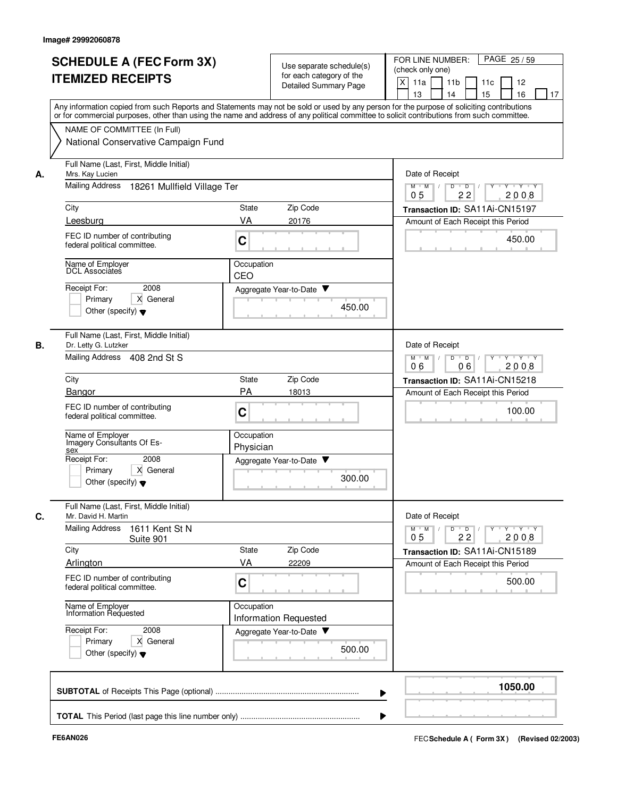|    | <b>SCHEDULE A (FEC Form 3X)</b><br><b>ITEMIZED RECEIPTS</b>                                                                                                                                                                                                                             | Use separate schedule(s)<br>for each category of the<br><b>Detailed Summary Page</b> | FOR LINE NUMBER:<br>PAGE 25/59<br>(check only one)<br>X<br>11a<br>11 <sub>b</sub><br>11c<br>12<br>13<br>14<br>15<br>16<br>17 |
|----|-----------------------------------------------------------------------------------------------------------------------------------------------------------------------------------------------------------------------------------------------------------------------------------------|--------------------------------------------------------------------------------------|------------------------------------------------------------------------------------------------------------------------------|
|    | Any information copied from such Reports and Statements may not be sold or used by any person for the purpose of soliciting contributions<br>or for commercial purposes, other than using the name and address of any political committee to solicit contributions from such committee. |                                                                                      |                                                                                                                              |
|    | NAME OF COMMITTEE (In Full)<br>National Conservative Campaign Fund                                                                                                                                                                                                                      |                                                                                      |                                                                                                                              |
| А. | Full Name (Last, First, Middle Initial)<br>Mrs. Kay Lucien                                                                                                                                                                                                                              | Date of Receipt                                                                      |                                                                                                                              |
|    | Mailing Address<br>18261 Mullfield Village Ter                                                                                                                                                                                                                                          | Y Y Y Y<br>D<br>$\overline{D}$ /<br>$M$ $M$ /<br>22<br>05<br>2008                    |                                                                                                                              |
|    | City                                                                                                                                                                                                                                                                                    | Zip Code<br>State                                                                    | Transaction ID: SA11Ai-CN15197                                                                                               |
|    | Leesburg<br>FEC ID number of contributing<br>federal political committee.                                                                                                                                                                                                               | VA<br>20176<br>C                                                                     | Amount of Each Receipt this Period<br>450.00                                                                                 |
|    | Name of Employer<br>DCL Associates                                                                                                                                                                                                                                                      | Occupation<br>CEO                                                                    |                                                                                                                              |
|    | Receipt For:<br>2008<br>Primary<br>X General<br>Other (specify) $\blacktriangledown$                                                                                                                                                                                                    | Aggregate Year-to-Date ▼<br>450.00                                                   |                                                                                                                              |
| В. | Full Name (Last, First, Middle Initial)<br>Dr. Letty G. Lutzker<br>Mailing Address<br>408 2nd St S                                                                                                                                                                                      |                                                                                      | Date of Receipt<br>$M$ M<br>D<br>$\overline{D}$<br>$Y - Y - Y$<br>$\sqrt{ }$<br>2008<br>06<br>06                             |
|    | City                                                                                                                                                                                                                                                                                    | Zip Code<br>State                                                                    | Transaction ID: SA11Ai-CN15218                                                                                               |
|    | Bangor                                                                                                                                                                                                                                                                                  | <b>PA</b><br>18013                                                                   | Amount of Each Receipt this Period                                                                                           |
|    | FEC ID number of contributing<br>federal political committee.                                                                                                                                                                                                                           | C                                                                                    | 100.00                                                                                                                       |
|    | Name of Employer<br>Imagery Consultants Of Es-<br>sex                                                                                                                                                                                                                                   | Occupation<br>Physician                                                              |                                                                                                                              |
|    | Receipt For:<br>2008<br>X General<br>Primary<br>Other (specify) $\blacktriangledown$                                                                                                                                                                                                    | Aggregate Year-to-Date<br>300.00                                                     |                                                                                                                              |
| С. | Full Name (Last, First, Middle Initial)<br>Mr. David H. Martin                                                                                                                                                                                                                          |                                                                                      | Date of Receipt                                                                                                              |
|    | <b>Mailing Address</b><br>1611 Kent St N<br>Suite 901                                                                                                                                                                                                                                   |                                                                                      | $Y$ $Y$ $Y$ $Y$<br>$M$ M<br>D<br>$\overline{D}$<br>22<br>2008<br>0 <sub>5</sub>                                              |
|    | City<br>Arlington                                                                                                                                                                                                                                                                       | Zip Code<br>State<br>VA<br>22209                                                     | Transaction ID: SA11Ai-CN15189                                                                                               |
|    | FEC ID number of contributing<br>federal political committee.                                                                                                                                                                                                                           | C                                                                                    | Amount of Each Receipt this Period<br>500.00                                                                                 |
|    | Name of Employer<br>Information Requested                                                                                                                                                                                                                                               | Occupation<br><b>Information Requested</b>                                           |                                                                                                                              |
|    | Receipt For:<br>2008<br>X General<br>Primary<br>Other (specify) $\blacktriangledown$                                                                                                                                                                                                    | Aggregate Year-to-Date<br>500.00                                                     |                                                                                                                              |
|    |                                                                                                                                                                                                                                                                                         |                                                                                      | 1050.00                                                                                                                      |
|    |                                                                                                                                                                                                                                                                                         |                                                                                      |                                                                                                                              |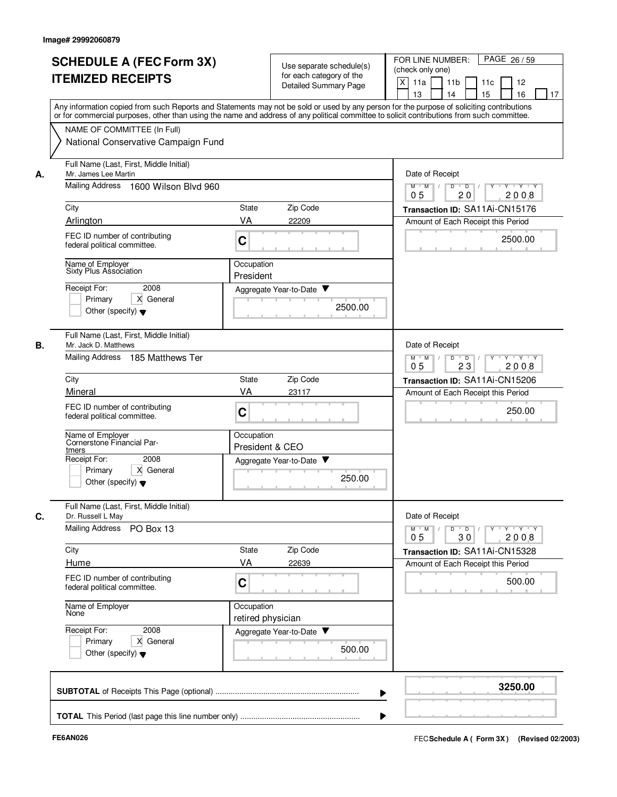| <b>SCHEDULE A (FEC Form 3X)</b><br><b>ITEMIZED RECEIPTS</b>                                                                                                                                                                                                        | Use separate schedule(s)<br>for each category of the<br><b>Detailed Summary Page</b><br>Any information copied from such Reports and Statements may not be sold or used by any person for the purpose of soliciting contributions | FOR LINE NUMBER:<br>PAGE 26/59<br>(check only one)<br>X<br>11a<br>11 <sub>b</sub><br>11c<br>12<br>13<br>14<br>15<br>16<br>17                                                                                 |
|--------------------------------------------------------------------------------------------------------------------------------------------------------------------------------------------------------------------------------------------------------------------|-----------------------------------------------------------------------------------------------------------------------------------------------------------------------------------------------------------------------------------|--------------------------------------------------------------------------------------------------------------------------------------------------------------------------------------------------------------|
| NAME OF COMMITTEE (In Full)<br>National Conservative Campaign Fund                                                                                                                                                                                                 | or for commercial purposes, other than using the name and address of any political committee to solicit contributions from such committee.                                                                                        |                                                                                                                                                                                                              |
| Full Name (Last, First, Middle Initial)<br>Mr. James Lee Martin<br>А.<br><b>Mailing Address</b><br>1600 Wilson Blvd 960<br>City<br>Arlington<br>FEC ID number of contributing<br>federal political committee.<br>Name of Employer<br>Sixty Plus Association        | Zip Code<br>State<br>VA<br>22209<br>C<br>Occupation                                                                                                                                                                               | Date of Receipt<br>$M$ $M$ /<br>Y 'Y 'Y<br>D<br>$\overline{D}$<br>20<br>2008<br>05<br>Transaction ID: SA11Ai-CN15176<br>Amount of Each Receipt this Period<br>2500.00                                        |
| Receipt For:<br>2008<br>Primary<br>X General<br>Other (specify) $\blacktriangledown$                                                                                                                                                                               | President<br>Aggregate Year-to-Date ▼<br>2500.00                                                                                                                                                                                  |                                                                                                                                                                                                              |
| Full Name (Last, First, Middle Initial)<br>В.<br>Mr. Jack D. Matthews<br><b>Mailing Address</b><br>185 Matthews Ter<br>City<br>Mineral<br>FEC ID number of contributing<br>federal political committee.<br>Name of Employer<br>Cornerstone Financial Par-<br>tmers | Zip Code<br>State<br>VA<br>23117<br>C<br>Occupation<br>President & CEO                                                                                                                                                            | Date of Receipt<br>D<br>$Y - Y - Y$<br>$M$ M<br>$\overline{D}$<br>$\sqrt{ }$<br>$\sqrt{ }$<br>0 <sub>5</sub><br>2008<br>23<br>Transaction ID: SA11Ai-CN15206<br>Amount of Each Receipt this Period<br>250.00 |
| Receipt For:<br>2008<br>X General<br>Primary<br>Other (specify) $\blacktriangledown$                                                                                                                                                                               | Aggregate Year-to-Date<br>250.00                                                                                                                                                                                                  |                                                                                                                                                                                                              |
| Full Name (Last, First, Middle Initial)<br>C.<br>Dr. Russell L May<br>Mailing Address PO Box 13<br>City<br>Hume<br>FEC ID number of contributing<br>federal political committee.<br>Name of Employer                                                               | State<br>Zip Code<br>VA<br>22639<br>C                                                                                                                                                                                             | Date of Receipt<br>$Y$ $Y$ $Y$<br>$D$ $D$ $I$<br>$Y$ <sup>-1</sup><br>$M^+$ M<br>30<br>2008<br>0 <sub>5</sub><br>Transaction ID: SA11Ai-CN15328<br>Amount of Each Receipt this Period<br>500.00              |
| None<br>Receipt For:<br>2008<br>X General<br>Primary<br>Other (specify) $\blacktriangledown$                                                                                                                                                                       | Occupation<br>retired physician<br>Aggregate Year-to-Date<br>500.00                                                                                                                                                               |                                                                                                                                                                                                              |
|                                                                                                                                                                                                                                                                    |                                                                                                                                                                                                                                   | 3250.00                                                                                                                                                                                                      |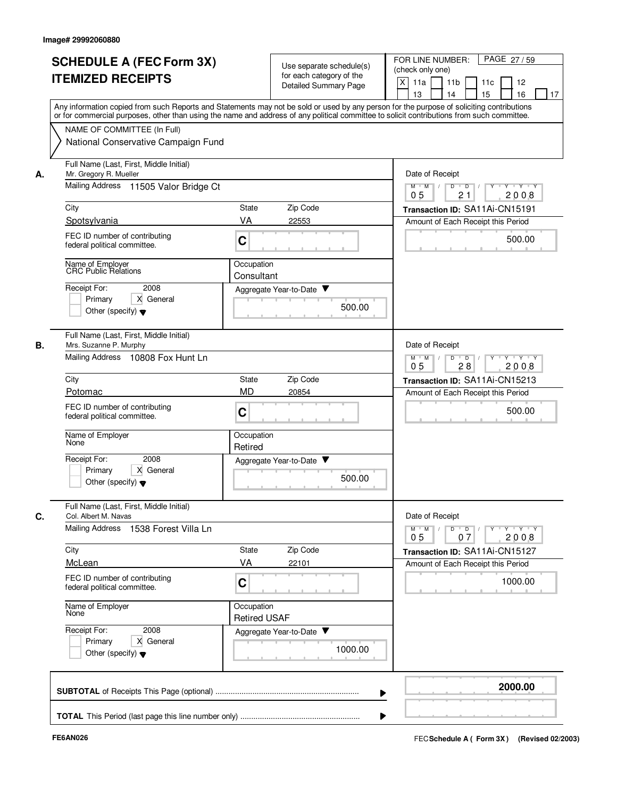|    | <b>SCHEDULE A (FEC Form 3X)</b><br><b>ITEMIZED RECEIPTS</b>                                             | Use separate schedule(s)<br>for each category of the<br><b>Detailed Summary Page</b>                    | FOR LINE NUMBER:<br>PAGE 27/59<br>(check only one)<br>X<br>11a<br>11 <sub>b</sub><br>11c<br>12<br>13<br>14<br>15<br>16<br>17                                                                                                                                                            |
|----|---------------------------------------------------------------------------------------------------------|---------------------------------------------------------------------------------------------------------|-----------------------------------------------------------------------------------------------------------------------------------------------------------------------------------------------------------------------------------------------------------------------------------------|
|    | NAME OF COMMITTEE (In Full)                                                                             |                                                                                                         | Any information copied from such Reports and Statements may not be sold or used by any person for the purpose of soliciting contributions<br>or for commercial purposes, other than using the name and address of any political committee to solicit contributions from such committee. |
|    | National Conservative Campaign Fund                                                                     |                                                                                                         |                                                                                                                                                                                                                                                                                         |
| А. | Full Name (Last, First, Middle Initial)<br>Mr. Gregory R. Mueller                                       | Date of Receipt                                                                                         |                                                                                                                                                                                                                                                                                         |
|    | Mailing Address 11505 Valor Bridge Ct                                                                   | $M$ $M$ /<br>Y 'Y 'Y<br>D<br>$\overline{D}$<br>21<br>2008<br>05                                         |                                                                                                                                                                                                                                                                                         |
|    | City                                                                                                    | Zip Code<br><b>State</b>                                                                                | Transaction ID: SA11Ai-CN15191                                                                                                                                                                                                                                                          |
|    | Spotsylvania                                                                                            | VA<br>22553                                                                                             | Amount of Each Receipt this Period                                                                                                                                                                                                                                                      |
|    | FEC ID number of contributing<br>federal political committee.                                           | C                                                                                                       | 500.00                                                                                                                                                                                                                                                                                  |
|    | Name of Employer<br>CRC Public Relations                                                                | Occupation<br>Consultant                                                                                |                                                                                                                                                                                                                                                                                         |
|    | Receipt For:<br>2008                                                                                    | Aggregate Year-to-Date ▼                                                                                |                                                                                                                                                                                                                                                                                         |
|    | Primary<br>X General<br>Other (specify) $\blacktriangledown$                                            |                                                                                                         | 500.00                                                                                                                                                                                                                                                                                  |
| В. | Full Name (Last, First, Middle Initial)<br>Mrs. Suzanne P. Murphy                                       |                                                                                                         | Date of Receipt                                                                                                                                                                                                                                                                         |
|    | Mailing Address 10808 Fox Hunt Ln                                                                       | D<br>$Y - Y - Y$<br>$M$ M<br>$\overline{D}$<br>$\sqrt{ }$<br>$\sqrt{ }$<br>0 <sub>5</sub><br>2008<br>28 |                                                                                                                                                                                                                                                                                         |
|    | City                                                                                                    | Transaction ID: SA11Ai-CN15213                                                                          |                                                                                                                                                                                                                                                                                         |
|    | Potomac                                                                                                 | <b>MD</b><br>20854                                                                                      | Amount of Each Receipt this Period                                                                                                                                                                                                                                                      |
|    | FEC ID number of contributing<br>federal political committee.                                           | C                                                                                                       | 500.00                                                                                                                                                                                                                                                                                  |
|    | Name of Employer<br>None                                                                                | Occupation<br>Retired                                                                                   |                                                                                                                                                                                                                                                                                         |
|    | Receipt For:<br>2008<br>X General<br>Primary<br>Other (specify) $\blacktriangledown$                    | Aggregate Year-to-Date ▼                                                                                | 500.00                                                                                                                                                                                                                                                                                  |
| C. | Full Name (Last, First, Middle Initial)<br>Col. Albert M. Navas<br>Mailing Address 1538 Forest Villa Ln |                                                                                                         | Date of Receipt<br>$\mathsf{Y} \dashv \mathsf{Y} \dashv \mathsf{Y}$<br>$D$ $D$ $I$<br>$Y$ <sup>U</sup><br>$M$ $M$ /                                                                                                                                                                     |
|    |                                                                                                         |                                                                                                         | 07<br>2008<br>0 <sub>5</sub>                                                                                                                                                                                                                                                            |
|    | City<br>McLean                                                                                          | State<br>Zip Code<br>VA<br>22101                                                                        | Transaction ID: SA11Ai-CN15127<br>Amount of Each Receipt this Period                                                                                                                                                                                                                    |
|    | FEC ID number of contributing<br>federal political committee.                                           | C                                                                                                       | 1000.00                                                                                                                                                                                                                                                                                 |
|    | Name of Employer<br>None                                                                                | Occupation<br><b>Retired USAF</b>                                                                       |                                                                                                                                                                                                                                                                                         |
|    | Receipt For:<br>2008<br>X General<br>Primary<br>Other (specify) $\blacktriangledown$                    | Aggregate Year-to-Date<br>1000.00                                                                       |                                                                                                                                                                                                                                                                                         |
|    |                                                                                                         |                                                                                                         | 2000.00                                                                                                                                                                                                                                                                                 |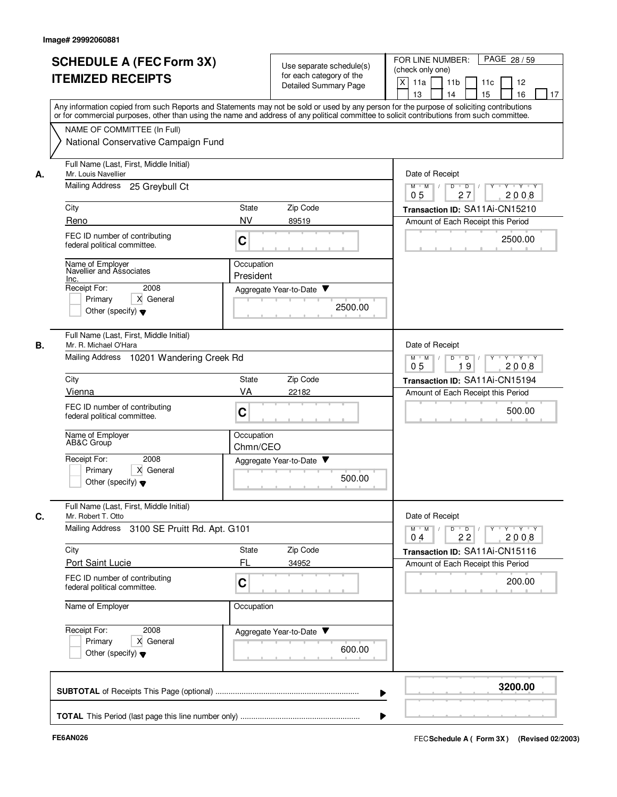|    | <b>SCHEDULE A (FEC Form 3X)</b><br><b>ITEMIZED RECEIPTS</b>                                                     | Use separate schedule(s)<br>for each category of the<br><b>Detailed Summary Page</b>                                                                                                                                                                                                    | FOR LINE NUMBER:<br>PAGE 28/59<br>(check only one)<br>X<br>11a<br>11 <sub>b</sub><br>11c<br>12<br>15<br>16<br>13<br>14<br>17 |  |  |
|----|-----------------------------------------------------------------------------------------------------------------|-----------------------------------------------------------------------------------------------------------------------------------------------------------------------------------------------------------------------------------------------------------------------------------------|------------------------------------------------------------------------------------------------------------------------------|--|--|
| А. | NAME OF COMMITTEE (In Full)<br>National Conservative Campaign Fund                                              | Any information copied from such Reports and Statements may not be sold or used by any person for the purpose of soliciting contributions<br>or for commercial purposes, other than using the name and address of any political committee to solicit contributions from such committee. |                                                                                                                              |  |  |
|    | Full Name (Last, First, Middle Initial)<br>Mr. Louis Navellier<br>Mailing Address<br>25 Greybull Ct             | Date of Receipt<br>Y Y Y Y<br>$M$ $M$ /<br>D<br>$\overline{D}$<br>27<br>2008<br>0 <sub>5</sub>                                                                                                                                                                                          |                                                                                                                              |  |  |
|    | City                                                                                                            | Zip Code<br>State                                                                                                                                                                                                                                                                       | Transaction ID: SA11Ai-CN15210                                                                                               |  |  |
|    | Reno                                                                                                            | <b>NV</b><br>89519                                                                                                                                                                                                                                                                      | Amount of Each Receipt this Period                                                                                           |  |  |
|    | FEC ID number of contributing<br>federal political committee.                                                   | C                                                                                                                                                                                                                                                                                       | 2500.00                                                                                                                      |  |  |
|    | Name of Employer<br>Navellier and Associates<br>Inc.                                                            | Occupation<br>President                                                                                                                                                                                                                                                                 |                                                                                                                              |  |  |
|    | Receipt For:<br>2008<br>X General<br>Primary<br>Other (specify) $\blacktriangledown$                            | Aggregate Year-to-Date<br>2500.00                                                                                                                                                                                                                                                       |                                                                                                                              |  |  |
| В. | Full Name (Last, First, Middle Initial)<br>Mr. R. Michael O'Hara<br>Mailing Address<br>10201 Wandering Creek Rd | Date of Receipt<br>D<br>$\Box$<br>Y 'Y 'Y<br>$M$ $M$                                                                                                                                                                                                                                    |                                                                                                                              |  |  |
|    |                                                                                                                 | 19<br>2008<br>05                                                                                                                                                                                                                                                                        |                                                                                                                              |  |  |
|    | City<br>Vienna                                                                                                  | Zip Code<br><b>State</b><br>VA                                                                                                                                                                                                                                                          | Transaction ID: SA11Ai-CN15194                                                                                               |  |  |
|    | FEC ID number of contributing<br>federal political committee.                                                   | 22182<br>C                                                                                                                                                                                                                                                                              | Amount of Each Receipt this Period<br>500.00                                                                                 |  |  |
|    | Name of Employer<br>AB&C Group                                                                                  | Occupation<br>Chmn/CEO                                                                                                                                                                                                                                                                  |                                                                                                                              |  |  |
|    | Receipt For:<br>2008<br>Primary<br>X General<br>Other (specify) $\blacktriangledown$                            | Aggregate Year-to-Date ▼<br>500.00                                                                                                                                                                                                                                                      |                                                                                                                              |  |  |
| C. | Full Name (Last, First, Middle Initial)<br>Mr. Robert T. Otto                                                   |                                                                                                                                                                                                                                                                                         | Date of Receipt                                                                                                              |  |  |
|    | Mailing Address 3100 SE Pruitt Rd. Apt. G101                                                                    |                                                                                                                                                                                                                                                                                         | $Y \dashv Y \dashv Y$<br>$D$ $D$ $I$<br>$\Gamma Y$<br>$M$ $M$ /<br>22<br>2008<br>0 <sub>4</sub>                              |  |  |
|    | City                                                                                                            | Zip Code<br>State                                                                                                                                                                                                                                                                       | Transaction ID: SA11Ai-CN15116                                                                                               |  |  |
|    | <b>Port Saint Lucie</b><br>FEC ID number of contributing<br>federal political committee.                        | FL<br>34952<br>C                                                                                                                                                                                                                                                                        | Amount of Each Receipt this Period<br>200.00                                                                                 |  |  |
|    | Name of Employer                                                                                                | Occupation                                                                                                                                                                                                                                                                              |                                                                                                                              |  |  |
|    | Receipt For:<br>2008<br>X General<br>Primary<br>Other (specify) $\blacktriangledown$                            | Aggregate Year-to-Date<br>600.00                                                                                                                                                                                                                                                        |                                                                                                                              |  |  |
|    |                                                                                                                 |                                                                                                                                                                                                                                                                                         | 3200.00                                                                                                                      |  |  |
|    |                                                                                                                 |                                                                                                                                                                                                                                                                                         |                                                                                                                              |  |  |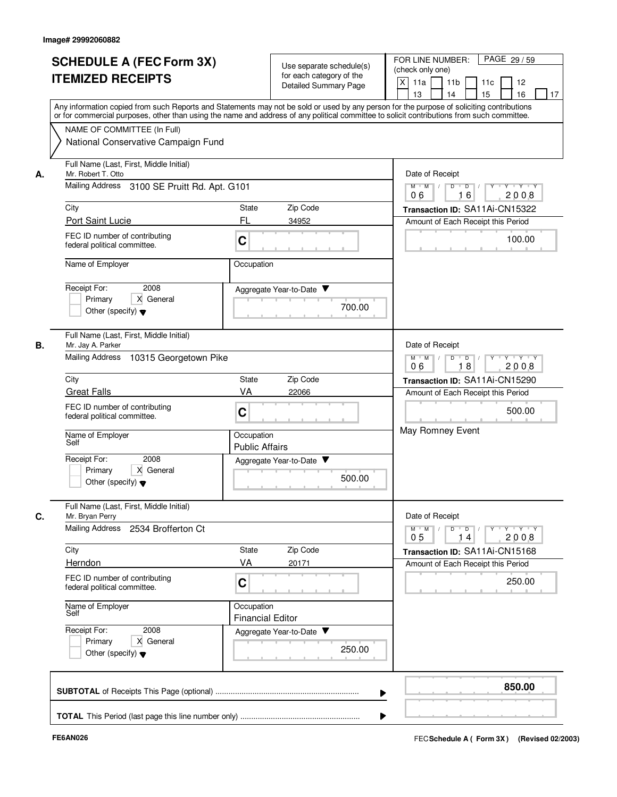|    | <b>SCHEDULE A (FEC Form 3X)</b><br><b>ITEMIZED RECEIPTS</b><br>Any information copied from such Reports and Statements may not be sold or used by any person for the purpose of soliciting contributions |                                                                 | Use separate schedule(s)<br>for each category of the<br><b>Detailed Summary Page</b> | FOR LINE NUMBER:<br>PAGE 29/59<br>(check only one)<br>X<br>11a<br>11 <sub>b</sub><br>11c<br>12<br>13<br>14<br>15<br>16<br>17    |
|----|----------------------------------------------------------------------------------------------------------------------------------------------------------------------------------------------------------|-----------------------------------------------------------------|--------------------------------------------------------------------------------------|---------------------------------------------------------------------------------------------------------------------------------|
|    | or for commercial purposes, other than using the name and address of any political committee to solicit contributions from such committee.                                                               |                                                                 |                                                                                      |                                                                                                                                 |
|    | NAME OF COMMITTEE (In Full)                                                                                                                                                                              |                                                                 |                                                                                      |                                                                                                                                 |
| А. | National Conservative Campaign Fund                                                                                                                                                                      |                                                                 |                                                                                      |                                                                                                                                 |
|    | Full Name (Last, First, Middle Initial)<br>Mr. Robert T. Otto                                                                                                                                            |                                                                 |                                                                                      | Date of Receipt                                                                                                                 |
|    | Mailing Address<br>3100 SE Pruitt Rd. Apt. G101                                                                                                                                                          | $M$ $M$ /<br>Y 'Y 'Y<br>D<br>$\overline{D}$<br>16<br>2008<br>06 |                                                                                      |                                                                                                                                 |
|    | City<br>Zip Code<br>State                                                                                                                                                                                |                                                                 |                                                                                      | Transaction ID: SA11Ai-CN15322                                                                                                  |
|    | Port Saint Lucie                                                                                                                                                                                         | FL                                                              | 34952                                                                                | Amount of Each Receipt this Period                                                                                              |
|    | FEC ID number of contributing<br>federal political committee.                                                                                                                                            | C                                                               |                                                                                      | 100.00                                                                                                                          |
|    | Name of Employer                                                                                                                                                                                         | Occupation                                                      |                                                                                      |                                                                                                                                 |
|    | Receipt For:<br>2008                                                                                                                                                                                     |                                                                 | Aggregate Year-to-Date ▼                                                             |                                                                                                                                 |
|    | Primary<br>X General                                                                                                                                                                                     |                                                                 |                                                                                      |                                                                                                                                 |
|    | Other (specify) $\blacktriangledown$                                                                                                                                                                     |                                                                 | 700.00                                                                               |                                                                                                                                 |
|    | Full Name (Last, First, Middle Initial)                                                                                                                                                                  |                                                                 |                                                                                      |                                                                                                                                 |
| В. | Mr. Jay A. Parker<br><b>Mailing Address</b><br>10315 Georgetown Pike                                                                                                                                     |                                                                 |                                                                                      | Date of Receipt<br>D<br>$Y - Y - Y$<br>$M$ M<br>$\Box$<br>$\overline{D}$<br>$\top$                                              |
|    |                                                                                                                                                                                                          |                                                                 |                                                                                      | 06<br>18<br>2008                                                                                                                |
|    | City<br>State<br>VA                                                                                                                                                                                      |                                                                 | Zip Code<br>22066                                                                    | Transaction ID: SA11Ai-CN15290                                                                                                  |
|    | <b>Great Falls</b><br>FEC ID number of contributing                                                                                                                                                      |                                                                 |                                                                                      | Amount of Each Receipt this Period                                                                                              |
|    | federal political committee.                                                                                                                                                                             | C                                                               |                                                                                      | 500.00                                                                                                                          |
|    | Name of Employer<br>Self                                                                                                                                                                                 | Occupation<br><b>Public Affairs</b>                             |                                                                                      | May Romney Event                                                                                                                |
|    | Receipt For:<br>2008                                                                                                                                                                                     |                                                                 | Aggregate Year-to-Date                                                               |                                                                                                                                 |
|    | X General<br>Primary                                                                                                                                                                                     |                                                                 | 500.00                                                                               |                                                                                                                                 |
|    | Other (specify) $\blacktriangledown$                                                                                                                                                                     |                                                                 |                                                                                      |                                                                                                                                 |
| C. | Full Name (Last, First, Middle Initial)<br>Mr. Bryan Perry                                                                                                                                               |                                                                 |                                                                                      | Date of Receipt                                                                                                                 |
|    | Mailing Address 2534 Brofferton Ct                                                                                                                                                                       |                                                                 |                                                                                      | $\mathsf{Y} \dashv \mathsf{Y} \dashv \mathsf{Y}$<br>$D$ $D$ $I$<br>$Y$ <sup>-1</sup><br>$M$ $M$<br>2008<br>0 <sub>5</sub><br>14 |
|    | City                                                                                                                                                                                                     | State                                                           | Zip Code                                                                             | Transaction ID: SA11Ai-CN15168                                                                                                  |
|    | Herndon                                                                                                                                                                                                  | VA                                                              | 20171                                                                                | Amount of Each Receipt this Period                                                                                              |
|    | FEC ID number of contributing<br>federal political committee.                                                                                                                                            | C                                                               |                                                                                      | 250.00                                                                                                                          |
|    | Name of Employer<br>Self                                                                                                                                                                                 | Occupation<br><b>Financial Editor</b>                           |                                                                                      |                                                                                                                                 |
|    | Receipt For:<br>2008                                                                                                                                                                                     |                                                                 | Aggregate Year-to-Date                                                               |                                                                                                                                 |
|    | X General<br>Primary<br>Other (specify) $\blacktriangledown$                                                                                                                                             |                                                                 | 250.00                                                                               |                                                                                                                                 |
|    |                                                                                                                                                                                                          |                                                                 |                                                                                      |                                                                                                                                 |
|    |                                                                                                                                                                                                          |                                                                 |                                                                                      | 850.00                                                                                                                          |
|    |                                                                                                                                                                                                          |                                                                 |                                                                                      |                                                                                                                                 |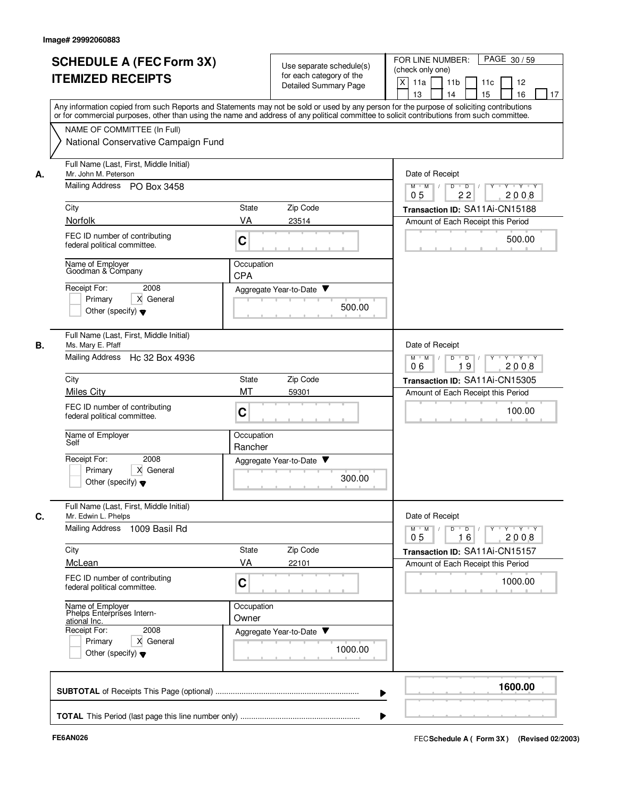|    | <b>SCHEDULE A (FEC Form 3X)</b><br><b>ITEMIZED RECEIPTS</b>                                                                                            | Use separate schedule(s)<br>for each category of the<br><b>Detailed Summary Page</b>                                                                                                                                                                                                    | FOR LINE NUMBER:<br>PAGE 30/59<br>(check only one)<br>X<br>11a<br>11 <sub>b</sub><br>11c<br>12<br>15<br>16<br>13<br>14<br>17                                                                                                                                                                                                                                                                                                                                       |
|----|--------------------------------------------------------------------------------------------------------------------------------------------------------|-----------------------------------------------------------------------------------------------------------------------------------------------------------------------------------------------------------------------------------------------------------------------------------------|--------------------------------------------------------------------------------------------------------------------------------------------------------------------------------------------------------------------------------------------------------------------------------------------------------------------------------------------------------------------------------------------------------------------------------------------------------------------|
| А. | NAME OF COMMITTEE (In Full)<br>National Conservative Campaign Fund                                                                                     | Any information copied from such Reports and Statements may not be sold or used by any person for the purpose of soliciting contributions<br>or for commercial purposes, other than using the name and address of any political committee to solicit contributions from such committee. |                                                                                                                                                                                                                                                                                                                                                                                                                                                                    |
|    | Full Name (Last, First, Middle Initial)<br>Mr. John M. Peterson<br>Mailing Address PO Box 3458                                                         | Date of Receipt<br>Y Y Y Y<br>$M$ $M$ /<br>D<br>$\overline{D}$<br>22<br>2008<br>0 <sub>5</sub>                                                                                                                                                                                          |                                                                                                                                                                                                                                                                                                                                                                                                                                                                    |
|    | City                                                                                                                                                   | Zip Code<br>State                                                                                                                                                                                                                                                                       | Transaction ID: SA11Ai-CN15188                                                                                                                                                                                                                                                                                                                                                                                                                                     |
|    | Norfolk                                                                                                                                                | VA<br>23514                                                                                                                                                                                                                                                                             | Amount of Each Receipt this Period                                                                                                                                                                                                                                                                                                                                                                                                                                 |
|    | FEC ID number of contributing<br>federal political committee.                                                                                          | C                                                                                                                                                                                                                                                                                       | 500.00                                                                                                                                                                                                                                                                                                                                                                                                                                                             |
|    | Name of Employer<br>Goodman & Company                                                                                                                  | Occupation<br><b>CPA</b>                                                                                                                                                                                                                                                                |                                                                                                                                                                                                                                                                                                                                                                                                                                                                    |
|    | Receipt For:<br>2008<br>X General<br>Primary<br>Other (specify) $\blacktriangledown$                                                                   | Aggregate Year-to-Date<br>500.00                                                                                                                                                                                                                                                        |                                                                                                                                                                                                                                                                                                                                                                                                                                                                    |
| В. | Full Name (Last, First, Middle Initial)<br>Ms. Mary E. Pfaff<br><b>Mailing Address</b><br>Hc 32 Box 4936                                               | Date of Receipt<br>$M$ M<br>D<br>$\Box$<br>Y 'Y 'Y<br>$\sqrt{ }$                                                                                                                                                                                                                        |                                                                                                                                                                                                                                                                                                                                                                                                                                                                    |
|    |                                                                                                                                                        | 19<br>2008<br>06                                                                                                                                                                                                                                                                        |                                                                                                                                                                                                                                                                                                                                                                                                                                                                    |
|    | City                                                                                                                                                   | Zip Code<br>State                                                                                                                                                                                                                                                                       | Transaction ID: SA11Ai-CN15305                                                                                                                                                                                                                                                                                                                                                                                                                                     |
|    | <b>Miles City</b><br>FEC ID number of contributing<br>federal political committee.                                                                     | MT<br>59301<br>C                                                                                                                                                                                                                                                                        | Amount of Each Receipt this Period<br>100.00                                                                                                                                                                                                                                                                                                                                                                                                                       |
|    | Name of Employer<br>Self                                                                                                                               | Occupation<br>Rancher                                                                                                                                                                                                                                                                   |                                                                                                                                                                                                                                                                                                                                                                                                                                                                    |
|    | Receipt For:<br>2008<br>Primary<br>X General<br>Other (specify) $\blacktriangledown$                                                                   | Aggregate Year-to-Date ▼<br>300.00                                                                                                                                                                                                                                                      |                                                                                                                                                                                                                                                                                                                                                                                                                                                                    |
| C. | Full Name (Last, First, Middle Initial)<br>Mr. Edwin L. Phelps                                                                                         |                                                                                                                                                                                                                                                                                         | Date of Receipt                                                                                                                                                                                                                                                                                                                                                                                                                                                    |
|    | Mailing Address 1009 Basil Rd                                                                                                                          |                                                                                                                                                                                                                                                                                         | $\begin{array}{c c c c c c c c} \hline \textbf{I} & \textbf{I} & \textbf{I} & \textbf{I} & \textbf{I} & \textbf{I} & \textbf{I} & \textbf{I} & \textbf{I} & \textbf{I} & \textbf{I} & \textbf{I} & \textbf{I} & \textbf{I} & \textbf{I} & \textbf{I} & \textbf{I} & \textbf{I} & \textbf{I} & \textbf{I} & \textbf{I} & \textbf{I} & \textbf{I} & \textbf{I} & \textbf{I} & \textbf{I} & \textbf{I} & \textbf{I} &$<br>$M$ $M$ $/$<br>2008<br>0 <sub>5</sub><br>16 |
|    | City                                                                                                                                                   | State<br>Zip Code                                                                                                                                                                                                                                                                       | Transaction ID: SA11Ai-CN15157                                                                                                                                                                                                                                                                                                                                                                                                                                     |
|    | McLean                                                                                                                                                 | VA<br>22101                                                                                                                                                                                                                                                                             | Amount of Each Receipt this Period                                                                                                                                                                                                                                                                                                                                                                                                                                 |
|    | FEC ID number of contributing<br>federal political committee.                                                                                          | C                                                                                                                                                                                                                                                                                       | 1000.00                                                                                                                                                                                                                                                                                                                                                                                                                                                            |
|    | Name of Employer<br>Phelps Enterprises Intern-<br>ational Inc.<br>Receipt For:<br>2008<br>X General<br>Primary<br>Other (specify) $\blacktriangledown$ | Occupation<br>Owner<br>Aggregate Year-to-Date<br>1000.00                                                                                                                                                                                                                                |                                                                                                                                                                                                                                                                                                                                                                                                                                                                    |
|    |                                                                                                                                                        |                                                                                                                                                                                                                                                                                         | 1600.00                                                                                                                                                                                                                                                                                                                                                                                                                                                            |
|    |                                                                                                                                                        |                                                                                                                                                                                                                                                                                         |                                                                                                                                                                                                                                                                                                                                                                                                                                                                    |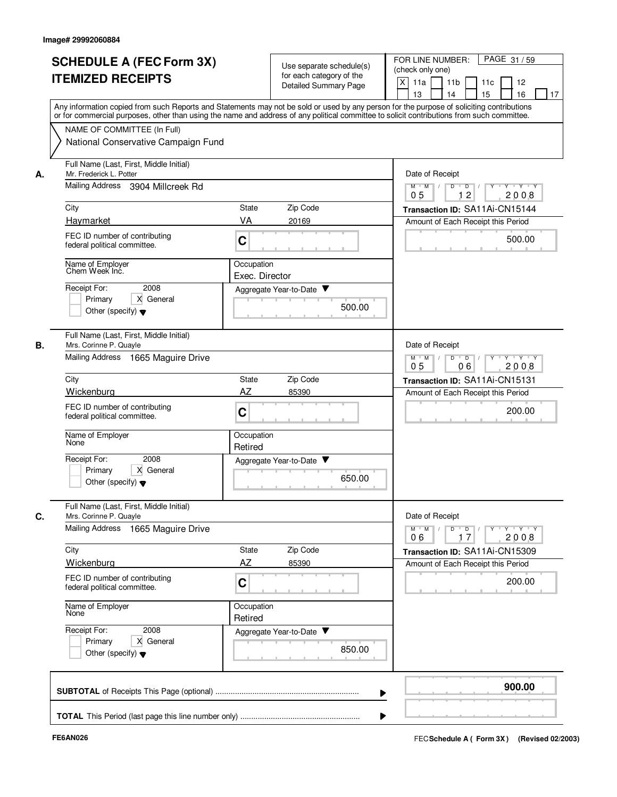| <b>SCHEDULE A (FEC Form 3X)</b><br><b>ITEMIZED RECEIPTS</b>                                |                                                                              | Use separate schedule(s)<br>for each category of the<br>Detailed Summary Page | FOR LINE NUMBER:<br>PAGE 31/59<br>(check only one)<br>X<br>11a<br>11 <sub>b</sub><br>11c<br>12<br>15<br>16<br>13<br>14<br>17                                                                                                                                                            |
|--------------------------------------------------------------------------------------------|------------------------------------------------------------------------------|-------------------------------------------------------------------------------|-----------------------------------------------------------------------------------------------------------------------------------------------------------------------------------------------------------------------------------------------------------------------------------------|
| NAME OF COMMITTEE (In Full)<br>National Conservative Campaign Fund                         |                                                                              |                                                                               | Any information copied from such Reports and Statements may not be sold or used by any person for the purpose of soliciting contributions<br>or for commercial purposes, other than using the name and address of any political committee to solicit contributions from such committee. |
| Mr. Frederick L. Potter<br>А.                                                              | Full Name (Last, First, Middle Initial)<br>Mailing Address 3904 Millcreek Rd |                                                                               |                                                                                                                                                                                                                                                                                         |
| City                                                                                       | State                                                                        | Zip Code                                                                      | 12<br>2008<br>0 <sub>5</sub><br>Transaction ID: SA11Ai-CN15144                                                                                                                                                                                                                          |
| Haymarket                                                                                  | VA                                                                           | 20169                                                                         | Amount of Each Receipt this Period                                                                                                                                                                                                                                                      |
| FEC ID number of contributing<br>federal political committee.                              | C                                                                            |                                                                               | 500.00                                                                                                                                                                                                                                                                                  |
| Name of Employer<br>Chem Week Inc.                                                         | Occupation<br>Exec. Director                                                 |                                                                               |                                                                                                                                                                                                                                                                                         |
| Receipt For:<br>2008<br>X General<br>Primary<br>Other (specify) $\blacktriangledown$       |                                                                              | Aggregate Year-to-Date ▼<br>500.00                                            |                                                                                                                                                                                                                                                                                         |
| Full Name (Last, First, Middle Initial)<br>В.<br>Mrs. Corinne P. Quayle<br>Mailing Address | 1665 Maguire Drive                                                           |                                                                               | Date of Receipt<br>D<br>$\overline{D}$<br>Y 'Y 'Y<br>$M$ $M$<br>$\sqrt{ }$                                                                                                                                                                                                              |
|                                                                                            |                                                                              | 2008<br>05<br>06                                                              |                                                                                                                                                                                                                                                                                         |
| City<br>Wickenburg                                                                         | State<br>AZ                                                                  | Zip Code<br>85390                                                             | Transaction ID: SA11Ai-CN15131<br>Amount of Each Receipt this Period                                                                                                                                                                                                                    |
| FEC ID number of contributing<br>federal political committee.                              | C                                                                            |                                                                               | 200.00                                                                                                                                                                                                                                                                                  |
| Name of Employer<br>None                                                                   | Occupation<br>Retired                                                        |                                                                               |                                                                                                                                                                                                                                                                                         |
| Receipt For:<br>2008<br>Primary<br>X General<br>Other (specify) $\blacktriangledown$       |                                                                              | Aggregate Year-to-Date ▼<br>650.00                                            |                                                                                                                                                                                                                                                                                         |
| Full Name (Last, First, Middle Initial)<br>C.<br>Mrs. Corinne P. Quayle                    |                                                                              |                                                                               | Date of Receipt                                                                                                                                                                                                                                                                         |
| Mailing Address 1665 Maguire Drive                                                         |                                                                              |                                                                               | $M$ $M$ $/$<br>17<br>2008<br>06                                                                                                                                                                                                                                                         |
| City                                                                                       | State                                                                        | Zip Code                                                                      | Transaction ID: SA11Ai-CN15309                                                                                                                                                                                                                                                          |
| Wickenburg                                                                                 | AZ                                                                           | 85390                                                                         | Amount of Each Receipt this Period                                                                                                                                                                                                                                                      |
| FEC ID number of contributing<br>federal political committee.                              | C                                                                            |                                                                               | 200.00                                                                                                                                                                                                                                                                                  |
| Name of Employer<br>None                                                                   | Occupation<br>Retired                                                        |                                                                               |                                                                                                                                                                                                                                                                                         |
| Receipt For:<br>2008<br>X General<br>Primary<br>Other (specify) $\blacktriangledown$       |                                                                              | Aggregate Year-to-Date<br>850.00                                              |                                                                                                                                                                                                                                                                                         |
|                                                                                            |                                                                              |                                                                               | 900.00                                                                                                                                                                                                                                                                                  |
|                                                                                            |                                                                              |                                                                               |                                                                                                                                                                                                                                                                                         |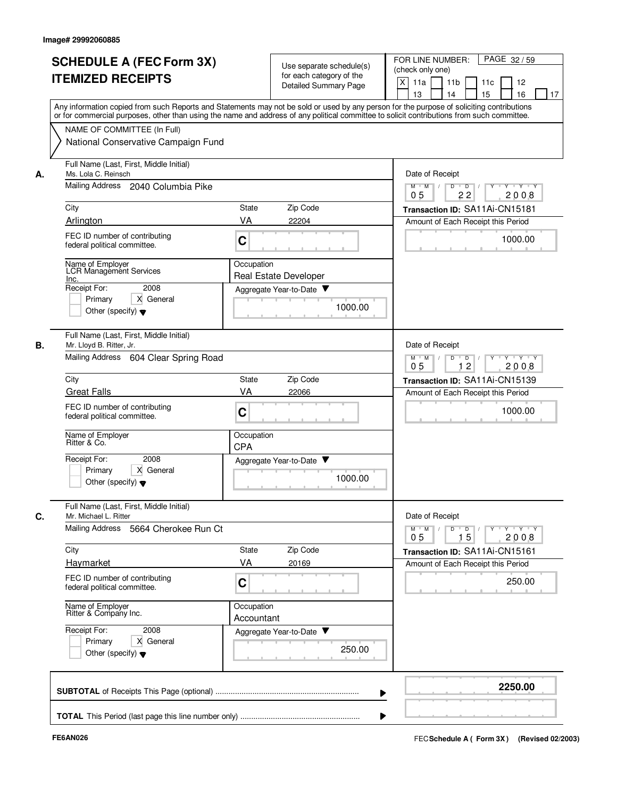|    | <b>SCHEDULE A (FEC Form 3X)</b><br><b>ITEMIZED RECEIPTS</b>                                                     | Use separate schedule(s)<br>for each category of the<br>Detailed Summary Page                                                                                                                                                                                                           | FOR LINE NUMBER:<br>PAGE 32/59<br>(check only one)<br>X<br>11a<br>11 <sub>b</sub><br>11c<br>12<br>13<br>14<br>15<br>16<br>17 |
|----|-----------------------------------------------------------------------------------------------------------------|-----------------------------------------------------------------------------------------------------------------------------------------------------------------------------------------------------------------------------------------------------------------------------------------|------------------------------------------------------------------------------------------------------------------------------|
|    |                                                                                                                 | Any information copied from such Reports and Statements may not be sold or used by any person for the purpose of soliciting contributions<br>or for commercial purposes, other than using the name and address of any political committee to solicit contributions from such committee. |                                                                                                                              |
|    | NAME OF COMMITTEE (In Full)<br>National Conservative Campaign Fund                                              |                                                                                                                                                                                                                                                                                         |                                                                                                                              |
| А. | Full Name (Last, First, Middle Initial)<br>Ms. Lola C. Reinsch                                                  | Date of Receipt                                                                                                                                                                                                                                                                         |                                                                                                                              |
|    | <b>Mailing Address</b><br>2040 Columbia Pike                                                                    | Y 'Y 'Y<br>$M$ $M$ /<br>D<br>$\overline{D}$<br>22<br>2008<br>05                                                                                                                                                                                                                         |                                                                                                                              |
|    | City                                                                                                            | Zip Code<br>State                                                                                                                                                                                                                                                                       | Transaction ID: SA11Ai-CN15181                                                                                               |
|    | Arlington<br>FEC ID number of contributing<br>federal political committee.                                      | VA<br>22204<br>C                                                                                                                                                                                                                                                                        | Amount of Each Receipt this Period<br>1000.00                                                                                |
|    | Name of Employer<br>LCR Management Services<br>Inc.                                                             | Occupation<br><b>Real Estate Developer</b>                                                                                                                                                                                                                                              |                                                                                                                              |
|    | Receipt For:<br>2008<br>X General<br>Primary<br>Other (specify) $\blacktriangledown$                            | Aggregate Year-to-Date<br>1000.00                                                                                                                                                                                                                                                       |                                                                                                                              |
| В. | Full Name (Last, First, Middle Initial)<br>Mr. Lloyd B. Ritter, Jr.<br>Mailing Address<br>604 Clear Spring Road | Date of Receipt<br>D<br>$Y - Y - Y$<br>$M$ M<br>$\overline{D}$<br>$\sqrt{ }$                                                                                                                                                                                                            |                                                                                                                              |
|    |                                                                                                                 | 12<br>05<br>2008                                                                                                                                                                                                                                                                        |                                                                                                                              |
|    | City<br><b>Great Falls</b>                                                                                      | Zip Code<br>State<br>VA<br>22066                                                                                                                                                                                                                                                        | Transaction ID: SA11Ai-CN15139<br>Amount of Each Receipt this Period                                                         |
|    | FEC ID number of contributing<br>federal political committee.                                                   | C                                                                                                                                                                                                                                                                                       | 1000.00                                                                                                                      |
|    | Name of Employer<br>Ritter & Co.                                                                                | Occupation<br><b>CPA</b>                                                                                                                                                                                                                                                                |                                                                                                                              |
|    | Receipt For:<br>2008<br>X General<br>Primary<br>Other (specify) $\blacktriangledown$                            | Aggregate Year-to-Date ▼<br>1000.00                                                                                                                                                                                                                                                     |                                                                                                                              |
| C. | Full Name (Last, First, Middle Initial)<br>Mr. Michael L. Ritter<br>Mailing Address 5664 Cherokee Run Ct        |                                                                                                                                                                                                                                                                                         | Date of Receipt<br>$Y$ $Y$ $Y$<br>$D$ <sup>U</sup><br>$D$ /<br>$Y$ <sup>U</sup><br>$M$ $M$ /                                 |
|    |                                                                                                                 |                                                                                                                                                                                                                                                                                         | 15<br>2008<br>0 <sub>5</sub>                                                                                                 |
|    | City<br>Haymarket                                                                                               | State<br>Zip Code<br>VA<br>20169                                                                                                                                                                                                                                                        | Transaction ID: SA11Ai-CN15161<br>Amount of Each Receipt this Period                                                         |
|    | FEC ID number of contributing<br>federal political committee.                                                   | C                                                                                                                                                                                                                                                                                       | 250.00                                                                                                                       |
|    | Name of Employer<br>Ritter & Company Inc.                                                                       | Occupation<br>Accountant                                                                                                                                                                                                                                                                |                                                                                                                              |
|    | Receipt For:<br>2008<br>X General<br>Primary<br>Other (specify) $\blacktriangledown$                            | Aggregate Year-to-Date<br>250.00                                                                                                                                                                                                                                                        |                                                                                                                              |
|    |                                                                                                                 |                                                                                                                                                                                                                                                                                         | 2250.00                                                                                                                      |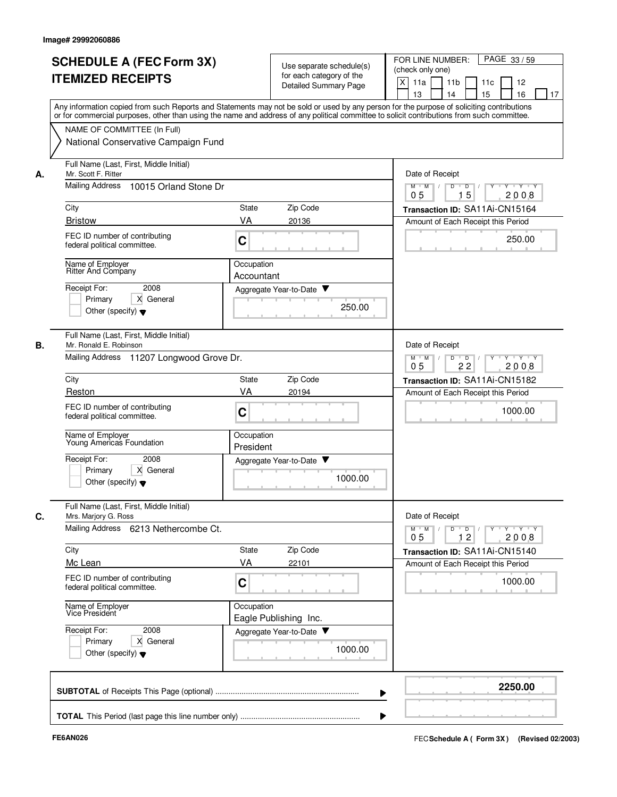|    | <b>SCHEDULE A (FEC Form 3X)</b><br><b>ITEMIZED RECEIPTS</b><br>Any information copied from such Reports and Statements may not be sold or used by any person for the purpose of soliciting contributions                                               |                                       | Use separate schedule(s)<br>for each category of the<br>Detailed Summary Page | FOR LINE NUMBER:<br>PAGE 33/59<br>(check only one)<br>X<br>11a<br>11 <sub>b</sub><br>11c<br>12<br>13<br>14<br>15<br>16<br>17                                 |
|----|--------------------------------------------------------------------------------------------------------------------------------------------------------------------------------------------------------------------------------------------------------|---------------------------------------|-------------------------------------------------------------------------------|--------------------------------------------------------------------------------------------------------------------------------------------------------------|
|    | or for commercial purposes, other than using the name and address of any political committee to solicit contributions from such committee.<br>NAME OF COMMITTEE (In Full)<br>National Conservative Campaign Fund                                       |                                       |                                                                               |                                                                                                                                                              |
| А. | Full Name (Last, First, Middle Initial)<br>Mr. Scott F. Ritter<br><b>Mailing Address</b><br>10015 Orland Stone Dr<br>City<br><b>Bristow</b><br>FEC ID number of contributing<br>federal political committee.<br>Name of Employer<br>Ritter And Company | <b>State</b><br>VA<br>C<br>Occupation | Zip Code<br>20136                                                             | Date of Receipt<br>$M$ $M$ /<br>Y 'Y 'Y<br>D<br>D<br>15<br>2008<br>05<br>Transaction ID: SA11Ai-CN15164<br>Amount of Each Receipt this Period<br>250.00      |
|    | Receipt For:<br>2008<br>Primary<br>X General<br>Other (specify) $\blacktriangledown$                                                                                                                                                                   | Accountant                            | Aggregate Year-to-Date ▼<br>250.00                                            |                                                                                                                                                              |
| В. | Full Name (Last, First, Middle Initial)<br>Mr. Ronald E. Robinson<br>Mailing Address 11207 Longwood Grove Dr.<br>City<br>Reston                                                                                                                        | State<br>VA                           | Zip Code<br>20194                                                             | Date of Receipt<br>D<br>$Y - Y - Y$<br>$M$ M<br>$\overline{D}$<br>$\sqrt{ }$<br>$\sqrt{ }$<br>0 <sub>5</sub><br>22<br>2008<br>Transaction ID: SA11Ai-CN15182 |
|    | FEC ID number of contributing<br>federal political committee.<br>Name of Employer<br>Young Americas Foundation<br>Receipt For:<br>2008<br>X General<br>Primary<br>Other (specify) $\blacktriangledown$                                                 | C<br>Occupation<br>President          | Aggregate Year-to-Date<br>1000.00                                             | Amount of Each Receipt this Period<br>1000.00                                                                                                                |
| C. | Full Name (Last, First, Middle Initial)<br>Mrs. Marjory G. Ross<br>Mailing Address 6213 Nethercombe Ct.<br>City                                                                                                                                        | State                                 | Zip Code                                                                      | Date of Receipt<br>$Y$ $Y$ $Y$<br>$D$ $D$ $I$<br>$Y$ <sup>U</sup><br>$M$ $M$ /<br>12<br>2008<br>0 <sub>5</sub><br>Transaction ID: SA11Ai-CN15140             |
|    | Mc Lean<br>FEC ID number of contributing<br>federal political committee.                                                                                                                                                                               | VA<br>C                               | 22101                                                                         | Amount of Each Receipt this Period<br>1000.00                                                                                                                |
|    | Name of Employer<br>Vice President<br>Receipt For:<br>2008<br>X General<br>Primary<br>Other (specify) $\blacktriangledown$                                                                                                                             | Occupation                            | Eagle Publishing Inc.<br>Aggregate Year-to-Date<br>1000.00                    |                                                                                                                                                              |
|    |                                                                                                                                                                                                                                                        |                                       |                                                                               | 2250.00                                                                                                                                                      |
|    |                                                                                                                                                                                                                                                        |                                       |                                                                               |                                                                                                                                                              |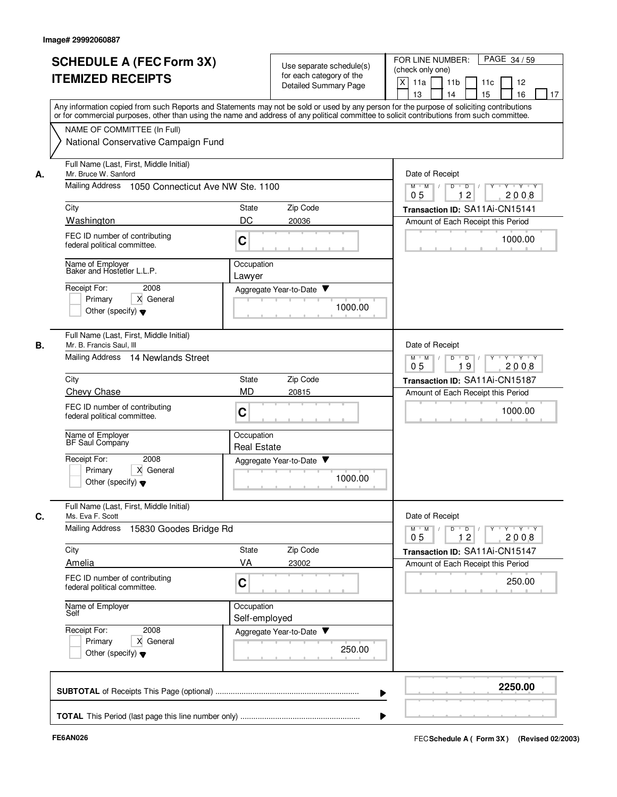|    | <b>SCHEDULE A (FEC Form 3X)</b><br><b>ITEMIZED RECEIPTS</b>                          | Use separate schedule(s)<br>for each category of the<br><b>Detailed Summary Page</b>                                                                                                                                                                                                    | PAGE 34/59<br>FOR LINE NUMBER:<br>(check only one)<br>X<br>11 <sub>b</sub><br>11a<br>11c<br>12<br>15<br>13<br>14<br>16<br>17 |
|----|--------------------------------------------------------------------------------------|-----------------------------------------------------------------------------------------------------------------------------------------------------------------------------------------------------------------------------------------------------------------------------------------|------------------------------------------------------------------------------------------------------------------------------|
|    |                                                                                      | Any information copied from such Reports and Statements may not be sold or used by any person for the purpose of soliciting contributions<br>or for commercial purposes, other than using the name and address of any political committee to solicit contributions from such committee. |                                                                                                                              |
|    | NAME OF COMMITTEE (In Full)<br>National Conservative Campaign Fund                   |                                                                                                                                                                                                                                                                                         |                                                                                                                              |
| А. | Full Name (Last, First, Middle Initial)<br>Mr. Bruce W. Sanford                      | Date of Receipt                                                                                                                                                                                                                                                                         |                                                                                                                              |
|    | Mailing Address<br>1050 Connecticut Ave NW Ste. 1100                                 | Y Y Y Y Y<br>$M$ $M$ /<br>D<br>$\overline{D}$ /<br>12<br>05<br>2008                                                                                                                                                                                                                     |                                                                                                                              |
|    | City                                                                                 | Zip Code<br>State                                                                                                                                                                                                                                                                       | Transaction ID: SA11Ai-CN15141                                                                                               |
|    | Washington                                                                           | DC<br>20036                                                                                                                                                                                                                                                                             | Amount of Each Receipt this Period                                                                                           |
|    | FEC ID number of contributing<br>federal political committee.                        | C                                                                                                                                                                                                                                                                                       | 1000.00                                                                                                                      |
|    | Name of Employer<br>Baker and Hostetler L.L.P.                                       | Occupation<br>Lawyer                                                                                                                                                                                                                                                                    |                                                                                                                              |
|    | Receipt For:<br>2008                                                                 | Aggregate Year-to-Date                                                                                                                                                                                                                                                                  |                                                                                                                              |
|    | X General<br>Primary<br>Other (specify) $\blacktriangledown$                         | 1000.00                                                                                                                                                                                                                                                                                 |                                                                                                                              |
| В. | Full Name (Last, First, Middle Initial)<br>Mr. B. Francis Saul, III                  | Date of Receipt                                                                                                                                                                                                                                                                         |                                                                                                                              |
|    | Mailing Address 14 Newlands Street                                                   | $Y + Y + Y$<br>$M$ M<br>D<br>$\overline{D}$<br>2008<br>05<br>19                                                                                                                                                                                                                         |                                                                                                                              |
|    | City                                                                                 | Zip Code<br>State                                                                                                                                                                                                                                                                       | Transaction ID: SA11Ai-CN15187                                                                                               |
|    | Chevy Chase                                                                          | <b>MD</b><br>20815                                                                                                                                                                                                                                                                      | Amount of Each Receipt this Period                                                                                           |
|    | FEC ID number of contributing<br>federal political committee.                        | C                                                                                                                                                                                                                                                                                       | 1000.00                                                                                                                      |
|    | Name of Employer<br>BF Saul Company                                                  | Occupation<br><b>Real Estate</b>                                                                                                                                                                                                                                                        |                                                                                                                              |
|    | Receipt For:<br>2008<br>X General<br>Primary<br>Other (specify) $\blacktriangledown$ | Aggregate Year-to-Date<br>1000.00                                                                                                                                                                                                                                                       |                                                                                                                              |
| C. | Full Name (Last, First, Middle Initial)<br>Ms. Eva F. Scott                          |                                                                                                                                                                                                                                                                                         | Date of Receipt                                                                                                              |
|    | <b>Mailing Address</b><br>15830 Goodes Bridge Rd                                     |                                                                                                                                                                                                                                                                                         | $Y + Y + Y$<br>$M$ $M$<br>D<br>$\overline{D}$<br>Y<br>12<br>2008<br>0 <sub>5</sub>                                           |
|    | City                                                                                 | State<br>Zip Code                                                                                                                                                                                                                                                                       | Transaction ID: SA11Ai-CN15147                                                                                               |
|    | Amelia                                                                               | VA<br>23002                                                                                                                                                                                                                                                                             | Amount of Each Receipt this Period                                                                                           |
|    | FEC ID number of contributing<br>federal political committee.                        | C                                                                                                                                                                                                                                                                                       | 250.00                                                                                                                       |
|    | Name of Employer<br>Self                                                             | Occupation<br>Self-employed                                                                                                                                                                                                                                                             |                                                                                                                              |
|    | Receipt For:<br>2008<br>X General<br>Primary<br>Other (specify) $\blacktriangledown$ | Aggregate Year-to-Date<br>250.00                                                                                                                                                                                                                                                        |                                                                                                                              |
|    |                                                                                      |                                                                                                                                                                                                                                                                                         | 2250.00                                                                                                                      |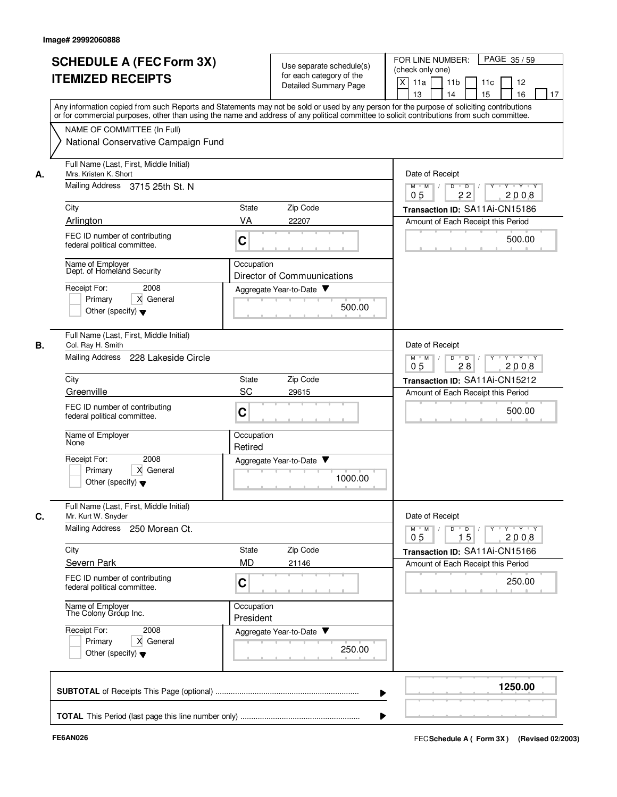|    | <b>SCHEDULE A (FEC Form 3X)</b><br><b>ITEMIZED RECEIPTS</b>                          | Use separate schedule(s)<br>for each category of the<br>Detailed Summary Page                                                                                                                                                                                                           | FOR LINE NUMBER:<br>PAGE 35/59<br>(check only one)<br>X<br>11a<br>11 <sub>b</sub><br>11c<br>12<br>13<br>14<br>15<br>16<br>17 |
|----|--------------------------------------------------------------------------------------|-----------------------------------------------------------------------------------------------------------------------------------------------------------------------------------------------------------------------------------------------------------------------------------------|------------------------------------------------------------------------------------------------------------------------------|
|    | NAME OF COMMITTEE (In Full)                                                          | Any information copied from such Reports and Statements may not be sold or used by any person for the purpose of soliciting contributions<br>or for commercial purposes, other than using the name and address of any political committee to solicit contributions from such committee. |                                                                                                                              |
|    | National Conservative Campaign Fund                                                  |                                                                                                                                                                                                                                                                                         |                                                                                                                              |
| А. | Full Name (Last, First, Middle Initial)<br>Mrs. Kristen K. Short                     |                                                                                                                                                                                                                                                                                         | Date of Receipt                                                                                                              |
|    | Mailing Address 3715 25th St. N                                                      |                                                                                                                                                                                                                                                                                         | $M$ $M$ /<br>Y 'Y 'Y<br>D<br>$\overline{\phantom{a}}$<br>22<br>2008<br>05                                                    |
|    | City                                                                                 | Zip Code<br>State                                                                                                                                                                                                                                                                       | Transaction ID: SA11Ai-CN15186                                                                                               |
|    | Arlington                                                                            | VA<br>22207                                                                                                                                                                                                                                                                             | Amount of Each Receipt this Period                                                                                           |
|    | FEC ID number of contributing<br>federal political committee.                        | C                                                                                                                                                                                                                                                                                       | 500.00                                                                                                                       |
|    | Name of Employer<br>Dept. of Homeland Security                                       | Occupation<br>Director of Commuunications                                                                                                                                                                                                                                               |                                                                                                                              |
|    | Receipt For:<br>2008                                                                 | Aggregate Year-to-Date                                                                                                                                                                                                                                                                  |                                                                                                                              |
|    | Primary<br>X General<br>Other (specify) $\blacktriangledown$                         | 500.00                                                                                                                                                                                                                                                                                  |                                                                                                                              |
| В. | Full Name (Last, First, Middle Initial)<br>Col. Ray H. Smith                         |                                                                                                                                                                                                                                                                                         | Date of Receipt                                                                                                              |
|    | Mailing Address<br>228 Lakeside Circle                                               |                                                                                                                                                                                                                                                                                         | D<br>$Y - Y - Y$<br>$M$ M<br>$\overline{D}$<br>$\sqrt{ }$<br>$\sqrt{ }$<br>0 <sub>5</sub><br>28<br>2008                      |
|    | City                                                                                 | Zip Code<br>State                                                                                                                                                                                                                                                                       | Transaction ID: SA11Ai-CN15212                                                                                               |
|    | Greenville                                                                           | SC<br>29615                                                                                                                                                                                                                                                                             | Amount of Each Receipt this Period                                                                                           |
|    | FEC ID number of contributing<br>federal political committee.                        | C                                                                                                                                                                                                                                                                                       | 500.00                                                                                                                       |
|    | Name of Employer<br>None                                                             | Occupation<br>Retired                                                                                                                                                                                                                                                                   |                                                                                                                              |
|    | Receipt For:<br>2008<br>X General<br>Primary<br>Other (specify) $\blacktriangledown$ | Aggregate Year-to-Date<br>1000.00                                                                                                                                                                                                                                                       |                                                                                                                              |
| C. | Full Name (Last, First, Middle Initial)<br>Mr. Kurt W. Snyder                        |                                                                                                                                                                                                                                                                                         | Date of Receipt                                                                                                              |
|    | Mailing Address 250 Morean Ct.                                                       |                                                                                                                                                                                                                                                                                         | $Y$ $Y$ $Y$<br>$D$ <sup>U</sup><br>D<br>$Y$ <sup>U</sup><br>$M$ $M$ /<br>15<br>2008<br>0 <sub>5</sub>                        |
|    | City                                                                                 | State<br>Zip Code                                                                                                                                                                                                                                                                       | Transaction ID: SA11Ai-CN15166                                                                                               |
|    | Severn Park<br>FEC ID number of contributing                                         | <b>MD</b><br>21146<br>C                                                                                                                                                                                                                                                                 | Amount of Each Receipt this Period<br>250.00                                                                                 |
|    | federal political committee.                                                         |                                                                                                                                                                                                                                                                                         |                                                                                                                              |
|    | Name of Employer<br>The Colony Group Inc.                                            | Occupation<br>President                                                                                                                                                                                                                                                                 |                                                                                                                              |
|    | Receipt For:<br>2008<br>X General<br>Primary<br>Other (specify) $\blacktriangledown$ | Aggregate Year-to-Date<br>250.00                                                                                                                                                                                                                                                        |                                                                                                                              |
|    |                                                                                      |                                                                                                                                                                                                                                                                                         | 1250.00                                                                                                                      |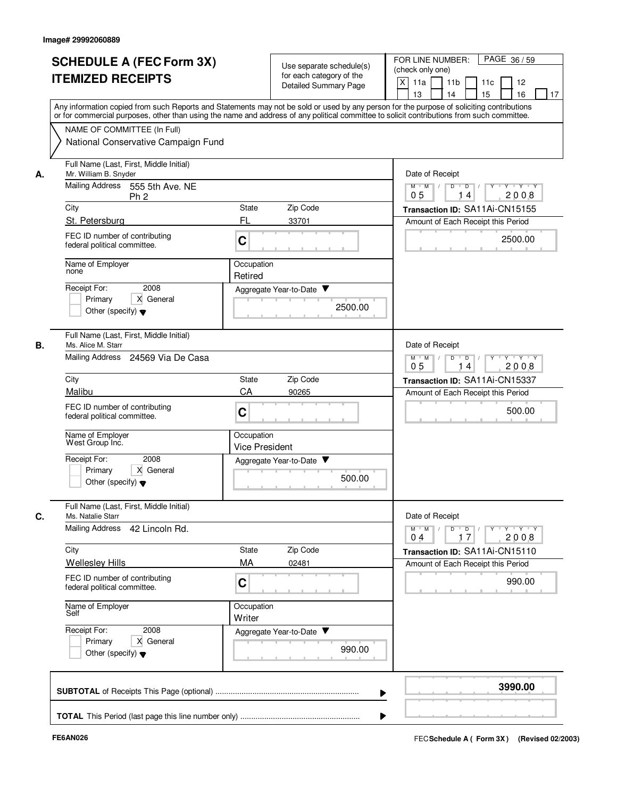| <b>SCHEDULE A (FEC Form 3X)</b><br><b>ITEMIZED RECEIPTS</b>                                                                                                                                                                       | Use separate schedule(s)<br>for each category of the<br>Detailed Summary Page                                                                                                                                                                                                           | FOR LINE NUMBER:<br>PAGE 36/59<br>(check only one)<br>X<br>11a<br>11 <sub>b</sub><br>11c<br>12<br>15<br>16<br>13<br>14<br>17                                                                                                                                                                                                                                                                                                                                                                                                                                  |
|-----------------------------------------------------------------------------------------------------------------------------------------------------------------------------------------------------------------------------------|-----------------------------------------------------------------------------------------------------------------------------------------------------------------------------------------------------------------------------------------------------------------------------------------|---------------------------------------------------------------------------------------------------------------------------------------------------------------------------------------------------------------------------------------------------------------------------------------------------------------------------------------------------------------------------------------------------------------------------------------------------------------------------------------------------------------------------------------------------------------|
| NAME OF COMMITTEE (In Full)<br>National Conservative Campaign Fund                                                                                                                                                                | Any information copied from such Reports and Statements may not be sold or used by any person for the purpose of soliciting contributions<br>or for commercial purposes, other than using the name and address of any political committee to solicit contributions from such committee. |                                                                                                                                                                                                                                                                                                                                                                                                                                                                                                                                                               |
| Full Name (Last, First, Middle Initial)<br>Mr. William B. Snyder<br>А.<br><b>Mailing Address</b><br>555 5th Ave. NE<br>Ph <sub>2</sub><br>City<br>St. Petersburg<br>FEC ID number of contributing<br>federal political committee. | Zip Code<br>State<br>FL<br>33701<br>C                                                                                                                                                                                                                                                   | Date of Receipt<br>$Y - Y - Y$<br>$M$ $M$ /<br>D<br>$\overline{D}$<br>2008<br>0 <sub>5</sub><br>14<br>Transaction ID: SA11Ai-CN15155<br>Amount of Each Receipt this Period<br>2500.00                                                                                                                                                                                                                                                                                                                                                                         |
| Name of Employer<br>none<br>Receipt For:<br>2008<br>X General<br>Primary<br>Other (specify) $\blacktriangledown$                                                                                                                  | Occupation<br>Retired<br>Aggregate Year-to-Date ▼<br>2500.00                                                                                                                                                                                                                            |                                                                                                                                                                                                                                                                                                                                                                                                                                                                                                                                                               |
| Full Name (Last, First, Middle Initial)<br>В.<br>Ms. Alice M. Starr<br>Mailing Address<br>24569 Via De Casa<br>City<br>Malibu                                                                                                     | Zip Code<br>State<br>CA<br>90265                                                                                                                                                                                                                                                        | Date of Receipt<br>D<br>Y 'Y 'Y<br>$M$ $M$<br>D<br>2008<br>05<br>14<br>Transaction ID: SA11Ai-CN15337<br>Amount of Each Receipt this Period                                                                                                                                                                                                                                                                                                                                                                                                                   |
| FEC ID number of contributing<br>federal political committee.<br>Name of Employer<br>West Group Inć.<br>Receipt For:<br>2008<br>Primary<br>X General<br>Other (specify) $\blacktriangledown$                                      | C<br>Occupation<br><b>Vice President</b><br>Aggregate Year-to-Date $\blacktriangledown$<br>500.00                                                                                                                                                                                       | 500.00                                                                                                                                                                                                                                                                                                                                                                                                                                                                                                                                                        |
| Full Name (Last, First, Middle Initial)<br>C.<br>Ms. Natalie Starr<br>Mailing Address 42 Lincoln Rd.<br>City<br><b>Wellesley Hills</b>                                                                                            | Zip Code<br>State<br>MA<br>02481                                                                                                                                                                                                                                                        | Date of Receipt<br>$\begin{array}{c c c c c c c c} \hline \textbf{0} & \textbf{0} & \textbf{0} & \textbf{0} & \textbf{0} & \textbf{0} & \textbf{0} & \textbf{0} & \textbf{0} & \textbf{0} & \textbf{0} & \textbf{0} & \textbf{0} & \textbf{0} & \textbf{0} & \textbf{0} & \textbf{0} & \textbf{0} & \textbf{0} & \textbf{0} & \textbf{0} & \textbf{0} & \textbf{0} & \textbf{0} & \textbf{0} & \textbf{0} & \textbf{0} & \textbf{0} &$<br>$M$ $M$ $/$<br>17<br>2008<br>0 <sub>4</sub><br>Transaction ID: SA11Ai-CN15110<br>Amount of Each Receipt this Period |
| FEC ID number of contributing<br>federal political committee.<br>Name of Employer<br>Self<br>Receipt For:<br>2008                                                                                                                 | C<br>Occupation<br>Writer<br>Aggregate Year-to-Date                                                                                                                                                                                                                                     | 990.00                                                                                                                                                                                                                                                                                                                                                                                                                                                                                                                                                        |
| X General<br>Primary<br>Other (specify) $\blacktriangledown$                                                                                                                                                                      | 990.00                                                                                                                                                                                                                                                                                  |                                                                                                                                                                                                                                                                                                                                                                                                                                                                                                                                                               |
|                                                                                                                                                                                                                                   |                                                                                                                                                                                                                                                                                         | 3990.00                                                                                                                                                                                                                                                                                                                                                                                                                                                                                                                                                       |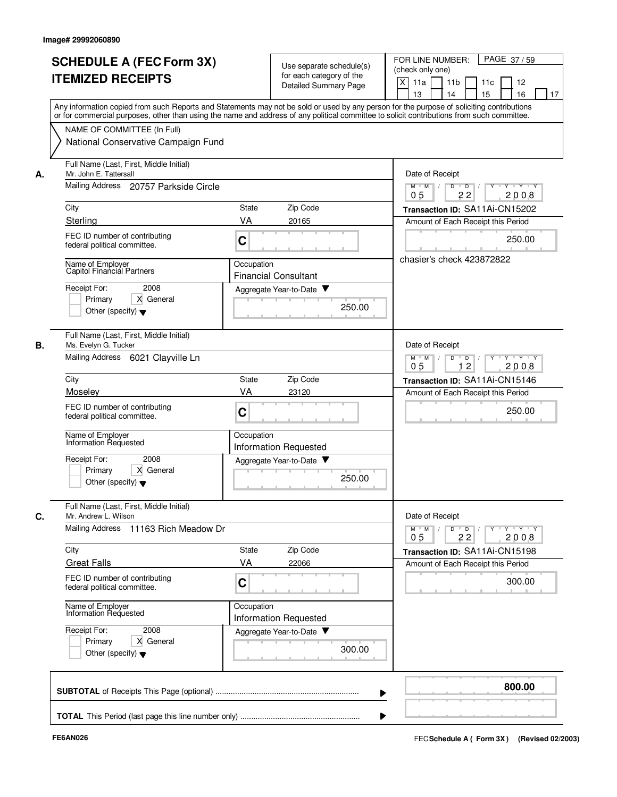|    | <b>SCHEDULE A (FEC Form 3X)</b><br><b>ITEMIZED RECEIPTS</b><br>Any information copied from such Reports and Statements may not be sold or used by any person for the purpose of soliciting contributions<br>or for commercial purposes, other than using the name and address of any political committee to solicit contributions from such committee.<br>NAME OF COMMITTEE (In Full)<br>National Conservative Campaign Fund |                                       | Use separate schedule(s)<br>for each category of the<br><b>Detailed Summary Page</b>  | FOR LINE NUMBER:<br>PAGE 37/59<br>(check only one)<br>$\times$<br>11a<br>11 <sub>b</sub><br>11c<br>12<br>16<br>13<br>14<br>15<br>17                                                               |
|----|------------------------------------------------------------------------------------------------------------------------------------------------------------------------------------------------------------------------------------------------------------------------------------------------------------------------------------------------------------------------------------------------------------------------------|---------------------------------------|---------------------------------------------------------------------------------------|---------------------------------------------------------------------------------------------------------------------------------------------------------------------------------------------------|
| А. | Full Name (Last, First, Middle Initial)<br>Mr. John E. Tattersall<br>Mailing Address 20757 Parkside Circle<br>City<br>Sterling<br>FEC ID number of contributing<br>federal political committee.<br>Name of Employer<br>Capitol Financial Partners<br>Receipt For:<br>2008<br>Primary<br>X General                                                                                                                            | <b>State</b><br>VA<br>C<br>Occupation | Zip Code<br>20165<br><b>Financial Consultant</b><br>Aggregate Year-to-Date<br>250.00  | Date of Receipt<br>$M$ $M$ /<br>Y 'Y 'Y<br>D<br>$\overline{D}$<br>22<br>2008<br>05<br>Transaction ID: SA11Ai-CN15202<br>Amount of Each Receipt this Period<br>250.00<br>chasier's check 423872822 |
| В. | Other (specify) $\blacktriangledown$<br>Full Name (Last, First, Middle Initial)<br>Ms. Evelyn G. Tucker<br>Mailing Address 6021 Clayville Ln<br>City<br>Moseley<br>FEC ID number of contributing<br>federal political committee.<br>Name of Employer<br>Information Requested<br>Receipt For:<br>2008<br>X General<br>Primary<br>Other (specify) $\blacktriangledown$                                                        | State<br>VA<br>C<br>Occupation        | Zip Code<br>23120<br><b>Information Requested</b><br>Aggregate Year-to-Date<br>250.00 | Date of Receipt<br>D<br>$\overline{D}$<br>$Y + Y + Y$<br>$M$ $M$<br>$\sqrt{ }$<br>12<br>05<br>2008<br>Transaction ID: SA11Ai-CN15146<br>Amount of Each Receipt this Period<br>250.00              |
| C. | Full Name (Last, First, Middle Initial)<br>Mr. Andrew L. Wilson<br>Mailing Address 11163 Rich Meadow Dr<br>City<br><b>Great Falls</b><br>FEC ID number of contributing<br>federal political committee.<br>Name of Employer<br>Information Requested<br>Receipt For:<br>2008<br>X General<br>Primary<br>Other (specify) $\blacktriangledown$                                                                                  | State<br>VA<br>C<br>Occupation        | Zip Code<br>22066<br><b>Information Requested</b><br>Aggregate Year-to-Date<br>300.00 | Date of Receipt<br>$Y - Y - Y$<br>$D$ $D$<br>$Y$ <sup>U</sup><br>$M$ M<br>22<br>2008<br>0 <sub>5</sub><br>Transaction ID: SA11Ai-CN15198<br>Amount of Each Receipt this Period<br>300.00          |
|    |                                                                                                                                                                                                                                                                                                                                                                                                                              |                                       |                                                                                       | 800.00                                                                                                                                                                                            |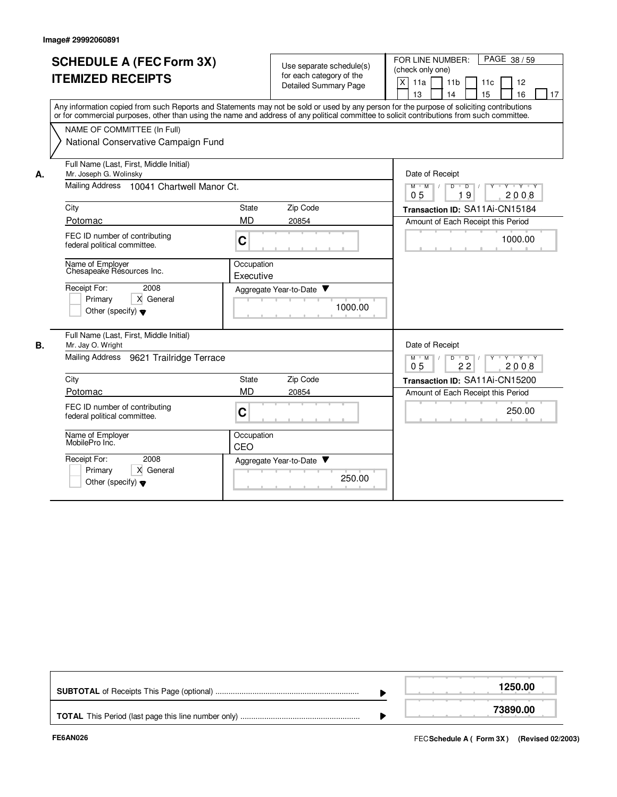|    | <b>SCHEDULE A (FEC Form 3X)</b><br><b>ITEMIZED RECEIPTS</b><br>Any information copied from such Reports and Statements may not be sold or used by any person for the purpose of soliciting contributions<br>or for commercial purposes, other than using the name and address of any political committee to solicit contributions from such committee.<br>NAME OF COMMITTEE (In Full)<br>National Conservative Campaign Fund |                         | Use separate schedule(s)<br>for each category of the<br><b>Detailed Summary Page</b> |         | FOR LINE NUMBER:<br>PAGE 38/59<br>(check only one)<br>X<br>11a<br>11 <sub>b</sub><br>11 <sub>c</sub><br>12<br>14<br>15<br>16<br>13<br>17 |
|----|------------------------------------------------------------------------------------------------------------------------------------------------------------------------------------------------------------------------------------------------------------------------------------------------------------------------------------------------------------------------------------------------------------------------------|-------------------------|--------------------------------------------------------------------------------------|---------|------------------------------------------------------------------------------------------------------------------------------------------|
| А. | Full Name (Last, First, Middle Initial)<br>Mr. Joseph G. Wolinsky<br>Mailing Address 10041 Chartwell Manor Ct.                                                                                                                                                                                                                                                                                                               |                         |                                                                                      |         | Date of Receipt<br>$Y + Y + Y$<br>$M$ $M$ /<br>D<br>$\overline{D}$<br>$Y$ <sup><math>\top</math></sup><br>0 <sub>5</sub><br>19<br>2008   |
|    | City                                                                                                                                                                                                                                                                                                                                                                                                                         | State                   | Zip Code                                                                             |         | Transaction ID: SA11Ai-CN15184                                                                                                           |
|    | Potomac                                                                                                                                                                                                                                                                                                                                                                                                                      | <b>MD</b>               | 20854                                                                                |         | Amount of Each Receipt this Period                                                                                                       |
|    | FEC ID number of contributing<br>federal political committee.                                                                                                                                                                                                                                                                                                                                                                | $\mathbf C$             |                                                                                      |         | 1000.00                                                                                                                                  |
|    | Name of Employer<br>Chesapeake Résources Inc.                                                                                                                                                                                                                                                                                                                                                                                | Occupation<br>Executive |                                                                                      |         |                                                                                                                                          |
|    | Receipt For:<br>2008<br>Primary<br>X General<br>Other (specify) $\blacktriangledown$                                                                                                                                                                                                                                                                                                                                         |                         | Aggregate Year-to-Date                                                               | 1000.00 |                                                                                                                                          |
| В. | Full Name (Last, First, Middle Initial)<br>Mr. Jay O. Wright                                                                                                                                                                                                                                                                                                                                                                 |                         |                                                                                      |         | Date of Receipt                                                                                                                          |
|    | Mailing Address<br>9621 Trailridge Terrace                                                                                                                                                                                                                                                                                                                                                                                   |                         |                                                                                      |         | $Y$ $Y$ $Y$<br>$M$ $M$<br>$D$ $D$<br>Y<br>$\vert$ /<br>∏ /<br>22<br>2008<br>05                                                           |
|    | City                                                                                                                                                                                                                                                                                                                                                                                                                         | State                   | Zip Code                                                                             |         | Transaction ID: SA11Ai-CN15200                                                                                                           |
|    | Potomac                                                                                                                                                                                                                                                                                                                                                                                                                      | <b>MD</b>               | 20854                                                                                |         | Amount of Each Receipt this Period                                                                                                       |
|    | FEC ID number of contributing<br>federal political committee.                                                                                                                                                                                                                                                                                                                                                                | $\mathbf C$             |                                                                                      |         | 250.00                                                                                                                                   |
|    | Name of Employer<br>MobilePro Inc.                                                                                                                                                                                                                                                                                                                                                                                           | Occupation<br>CEO       |                                                                                      |         |                                                                                                                                          |
|    | 2008<br>Receipt For:<br>Primary<br>X General<br>Other (specify) $\blacktriangledown$                                                                                                                                                                                                                                                                                                                                         |                         | Aggregate Year-to-Date                                                               | 250.00  |                                                                                                                                          |

|  | 250.00   |
|--|----------|
|  | 73890.00 |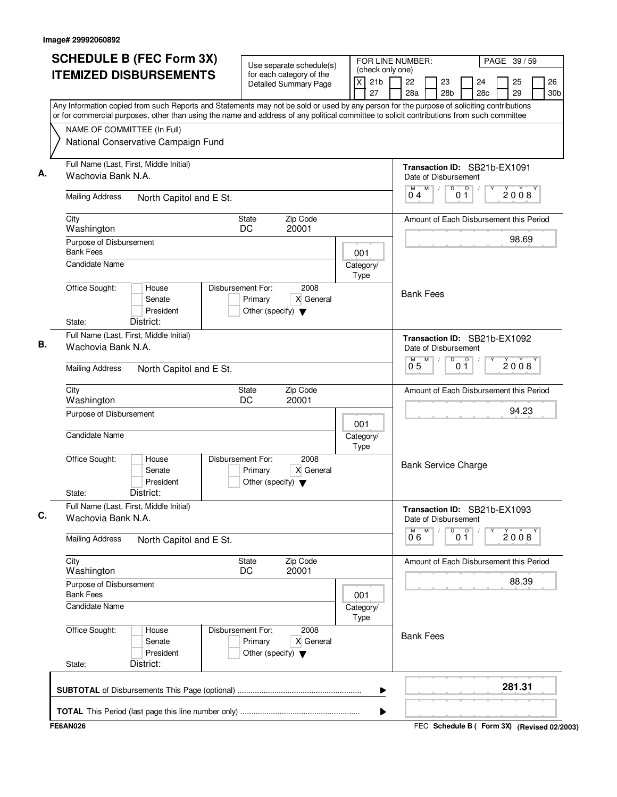| <b>SCHEDULE B (FEC Form 3X)</b>                                                                                                                                                                                                                                                        | Use separate schedule(s)                                                                  |                                                           | FOR LINE NUMBER:<br>PAGE 39 / 59                     |                          |           |          |                       |  |
|----------------------------------------------------------------------------------------------------------------------------------------------------------------------------------------------------------------------------------------------------------------------------------------|-------------------------------------------------------------------------------------------|-----------------------------------------------------------|------------------------------------------------------|--------------------------|-----------|----------|-----------------------|--|
| <b>ITEMIZED DISBURSEMENTS</b>                                                                                                                                                                                                                                                          | for each category of the<br><b>Detailed Summary Page</b>                                  | (check only one)<br>$\mathsf{X}$<br>21 <sub>b</sub><br>27 | 22<br>23<br>28a<br>28 <sub>b</sub>                   |                          | 24<br>28c | 25<br>29 | 26<br>30 <sub>b</sub> |  |
| Any Information copied from such Reports and Statements may not be sold or used by any person for the purpose of soliciting contributions<br>or for commercial purposes, other than using the name and address of any political committee to solicit contributions from such committee |                                                                                           |                                                           |                                                      |                          |           |          |                       |  |
| NAME OF COMMITTEE (In Full)                                                                                                                                                                                                                                                            |                                                                                           |                                                           |                                                      |                          |           |          |                       |  |
| National Conservative Campaign Fund                                                                                                                                                                                                                                                    |                                                                                           |                                                           |                                                      |                          |           |          |                       |  |
| Full Name (Last, First, Middle Initial)<br>Wachovia Bank N.A.                                                                                                                                                                                                                          |                                                                                           |                                                           | Transaction ID: SB21b-EX1091<br>Date of Disbursement |                          |           |          |                       |  |
| <b>Mailing Address</b><br>North Capitol and E St.                                                                                                                                                                                                                                      |                                                                                           |                                                           | M<br>0 <sub>4</sub>                                  | D<br>D<br>0 <sub>1</sub> |           | 2008     |                       |  |
| City<br>Washington                                                                                                                                                                                                                                                                     |                                                                                           | Amount of Each Disbursement this Period                   |                                                      |                          |           |          |                       |  |
| Purpose of Disbursement<br><b>Bank Fees</b>                                                                                                                                                                                                                                            | 001                                                                                       |                                                           |                                                      |                          | 98.69     |          |                       |  |
| <b>Candidate Name</b>                                                                                                                                                                                                                                                                  |                                                                                           | Category/<br>Type                                         |                                                      |                          |           |          |                       |  |
| Office Sought:<br>House<br>Senate<br>President<br>District:<br>State:                                                                                                                                                                                                                  | Disbursement For:<br>2008<br>X General<br>Primary<br>Other (specify) $\blacktriangledown$ |                                                           | <b>Bank Fees</b>                                     |                          |           |          |                       |  |
| Full Name (Last, First, Middle Initial)                                                                                                                                                                                                                                                |                                                                                           |                                                           | Transaction ID: SB21b-EX1092                         |                          |           |          |                       |  |
| Wachovia Bank N.A.                                                                                                                                                                                                                                                                     |                                                                                           | Date of Disbursement<br>M                                 | D<br>0 <sup>0</sup>                                  |                          | 2008      |          |                       |  |
| <b>Mailing Address</b><br>North Capitol and E St.                                                                                                                                                                                                                                      |                                                                                           | 0.5                                                       |                                                      |                          |           |          |                       |  |
| City<br>Washington                                                                                                                                                                                                                                                                     | Zip Code<br>State<br>DC<br>20001                                                          |                                                           | Amount of Each Disbursement this Period              |                          |           |          |                       |  |
| Purpose of Disbursement                                                                                                                                                                                                                                                                | 001                                                                                       |                                                           |                                                      |                          | 94.23     |          |                       |  |
| <b>Candidate Name</b>                                                                                                                                                                                                                                                                  | Category/<br>Type                                                                         |                                                           |                                                      |                          |           |          |                       |  |
| Office Sought:<br>House<br>Senate<br>President<br>District:<br>State:                                                                                                                                                                                                                  | Disbursement For:<br>2008<br>X General<br>Primary<br>Other (specify) $\blacktriangledown$ |                                                           | <b>Bank Service Charge</b>                           |                          |           |          |                       |  |
| Full Name (Last, First, Middle Initial)<br>Wachovia Bank N.A.                                                                                                                                                                                                                          |                                                                                           |                                                           | Transaction ID: SB21b-EX1093<br>Date of Disbursement |                          |           |          |                       |  |
| <b>Mailing Address</b><br>North Capitol and E St.                                                                                                                                                                                                                                      |                                                                                           |                                                           | M<br>06                                              | 0 <sup>0</sup><br>D      |           | 2008     |                       |  |
| City<br>Washington                                                                                                                                                                                                                                                                     | Zip Code<br><b>State</b><br>20001<br>DC                                                   |                                                           | Amount of Each Disbursement this Period              |                          |           |          |                       |  |
| Purpose of Disbursement<br><b>Bank Fees</b>                                                                                                                                                                                                                                            |                                                                                           | 001                                                       |                                                      |                          |           | 88.39    |                       |  |
| Candidate Name                                                                                                                                                                                                                                                                         |                                                                                           | Category/<br>Type                                         |                                                      |                          |           |          |                       |  |
| Office Sought:<br>House<br>Senate<br>President<br>District:<br>State:                                                                                                                                                                                                                  | Disbursement For:<br>2008<br>X General<br>Primary<br>Other (specify) $\blacktriangledown$ |                                                           | <b>Bank Fees</b>                                     |                          |           |          |                       |  |
|                                                                                                                                                                                                                                                                                        |                                                                                           | ▶                                                         |                                                      |                          |           | 281.31   |                       |  |
|                                                                                                                                                                                                                                                                                        |                                                                                           | ▶                                                         |                                                      |                          |           |          |                       |  |
| <b>FE6AN026</b>                                                                                                                                                                                                                                                                        |                                                                                           |                                                           | FEC Schedule B ( Form 3X) (Revised 02/2003)          |                          |           |          |                       |  |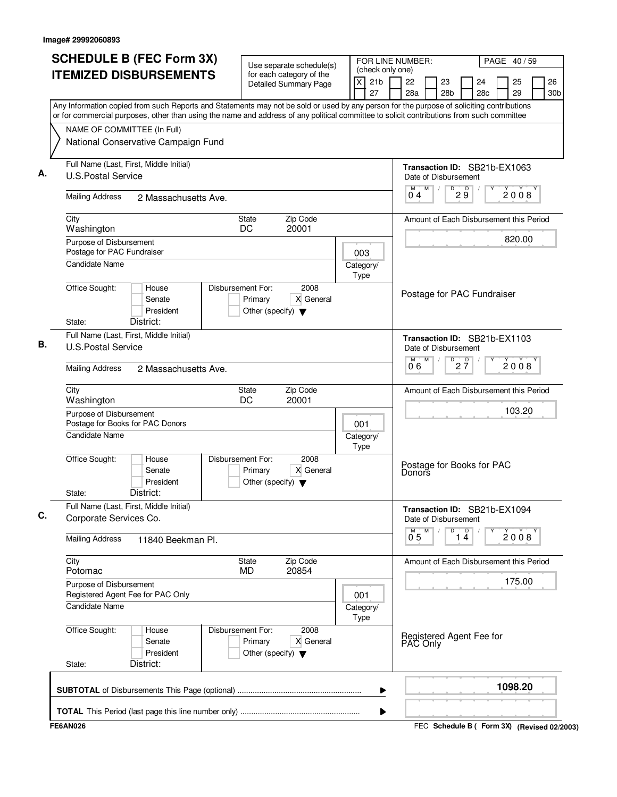|                                                                      | <b>SCHEDULE B (FEC Form 3X)</b><br><b>ITEMIZED DISBURSEMENTS</b>                                                                                                                                                                                                                       | Use separate schedule(s)<br>for each category of the                 |                   |  |                   | (check only one) | FOR LINE NUMBER:                    |   | PAGE 40/59            |                                                      |  |          |                       |  |
|----------------------------------------------------------------------|----------------------------------------------------------------------------------------------------------------------------------------------------------------------------------------------------------------------------------------------------------------------------------------|----------------------------------------------------------------------|-------------------|--|-------------------|------------------|-------------------------------------|---|-----------------------|------------------------------------------------------|--|----------|-----------------------|--|
|                                                                      |                                                                                                                                                                                                                                                                                        | Detailed Summary Page                                                |                   |  | X<br>27           | 21 <sub>b</sub>  | 22<br>28a                           |   | 23<br>28 <sub>b</sub> | 24<br>28c                                            |  | 25<br>29 | 26<br>30 <sub>b</sub> |  |
|                                                                      | Any Information copied from such Reports and Statements may not be sold or used by any person for the purpose of soliciting contributions<br>or for commercial purposes, other than using the name and address of any political committee to solicit contributions from such committee |                                                                      |                   |  |                   |                  |                                     |   |                       |                                                      |  |          |                       |  |
| NAME OF COMMITTEE (In Full)                                          |                                                                                                                                                                                                                                                                                        |                                                                      |                   |  |                   |                  |                                     |   |                       |                                                      |  |          |                       |  |
|                                                                      | National Conservative Campaign Fund                                                                                                                                                                                                                                                    |                                                                      |                   |  |                   |                  |                                     |   |                       |                                                      |  |          |                       |  |
| Full Name (Last, First, Middle Initial)<br><b>U.S.Postal Service</b> |                                                                                                                                                                                                                                                                                        |                                                                      |                   |  |                   |                  |                                     |   |                       | Transaction ID: SB21b-EX1063<br>Date of Disbursement |  |          |                       |  |
| <b>Mailing Address</b>                                               | 2 Massachusetts Ave.                                                                                                                                                                                                                                                                   |                                                                      |                   |  |                   |                  |                                     | M | D                     | 29                                                   |  | 2008     |                       |  |
| City<br>Washington                                                   | Zip Code<br><b>State</b><br>DC<br>20001                                                                                                                                                                                                                                                |                                                                      |                   |  |                   |                  |                                     |   |                       | Amount of Each Disbursement this Period              |  |          |                       |  |
| Purpose of Disbursement<br>Postage for PAC Fundraiser                |                                                                                                                                                                                                                                                                                        |                                                                      |                   |  | 003               |                  |                                     |   |                       |                                                      |  | 820.00   |                       |  |
| Candidate Name                                                       |                                                                                                                                                                                                                                                                                        |                                                                      |                   |  | Category/<br>Type |                  |                                     |   |                       |                                                      |  |          |                       |  |
| Office Sought:                                                       | House<br>Senate<br>President<br>District:                                                                                                                                                                                                                                              | Disbursement For:<br>Primary<br>Other (specify) $\blacktriangledown$ | 2008<br>X General |  |                   |                  |                                     |   |                       | Postage for PAC Fundraiser                           |  |          |                       |  |
| State:<br>Full Name (Last, First, Middle Initial)                    |                                                                                                                                                                                                                                                                                        |                                                                      |                   |  |                   |                  |                                     |   |                       |                                                      |  |          |                       |  |
| <b>U.S.Postal Service</b>                                            |                                                                                                                                                                                                                                                                                        |                                                                      |                   |  |                   |                  |                                     | M | D                     | Transaction ID: SB21b-EX1103<br>Date of Disbursement |  |          |                       |  |
| <b>Mailing Address</b>                                               | 2 Massachusetts Ave.                                                                                                                                                                                                                                                                   |                                                                      |                   |  |                   |                  |                                     |   |                       | $2\frac{D}{7}$                                       |  | 2008     |                       |  |
| City<br>Washington                                                   | Zip Code<br><b>State</b><br>DC<br>20001                                                                                                                                                                                                                                                |                                                                      |                   |  |                   |                  |                                     |   |                       | Amount of Each Disbursement this Period              |  |          |                       |  |
|                                                                      | Purpose of Disbursement<br>Postage for Books for PAC Donors                                                                                                                                                                                                                            |                                                                      |                   |  |                   |                  |                                     |   |                       |                                                      |  | 103.20   |                       |  |
| <b>Candidate Name</b>                                                |                                                                                                                                                                                                                                                                                        |                                                                      |                   |  |                   |                  |                                     |   |                       |                                                      |  |          |                       |  |
| Office Sought:<br>State:                                             | House<br>Senate<br>President<br>District:                                                                                                                                                                                                                                              | Disbursement For:<br>Primary<br>Other (specify) $\blacktriangledown$ | 2008<br>X General |  |                   |                  | Postage for Books for PAC<br>Donors |   |                       |                                                      |  |          |                       |  |
| Full Name (Last, First, Middle Initial)<br>Corporate Services Co.    |                                                                                                                                                                                                                                                                                        |                                                                      |                   |  |                   |                  |                                     |   |                       | Transaction ID: SB21b-EX1094<br>Date of Disbursement |  |          |                       |  |
| <b>Mailing Address</b>                                               | 11840 Beekman Pl.                                                                                                                                                                                                                                                                      |                                                                      |                   |  |                   |                  | $0^{M}$ 5                           | М | D                     | $\overline{1\ 4}$                                    |  | 2008     |                       |  |
| City<br>Potomac                                                      |                                                                                                                                                                                                                                                                                        | Zip Code<br><b>State</b><br>20854<br><b>MD</b>                       |                   |  |                   |                  |                                     |   |                       | Amount of Each Disbursement this Period              |  |          |                       |  |
| Purpose of Disbursement<br>Registered Agent Fee for PAC Only         |                                                                                                                                                                                                                                                                                        |                                                                      |                   |  | 001               |                  |                                     |   |                       |                                                      |  | 175.00   |                       |  |
| <b>Candidate Name</b>                                                |                                                                                                                                                                                                                                                                                        |                                                                      |                   |  | Category/<br>Type |                  |                                     |   |                       |                                                      |  |          |                       |  |
| Office Sought:<br>State:                                             | House<br>Senate<br>President<br>District:                                                                                                                                                                                                                                              | Disbursement For:<br>Primary<br>Other (specify) $\blacktriangledown$ | 2008<br>X General |  |                   |                  |                                     |   |                       | Registered Agent Fee for<br>PAC Only                 |  |          |                       |  |
|                                                                      |                                                                                                                                                                                                                                                                                        |                                                                      |                   |  |                   |                  |                                     |   |                       |                                                      |  | 1098.20  |                       |  |
|                                                                      |                                                                                                                                                                                                                                                                                        |                                                                      |                   |  |                   | ▶                |                                     |   |                       |                                                      |  |          |                       |  |

FEC **Schedule B ( ) Form 3X FE6AN026 (Revised 02/2003)**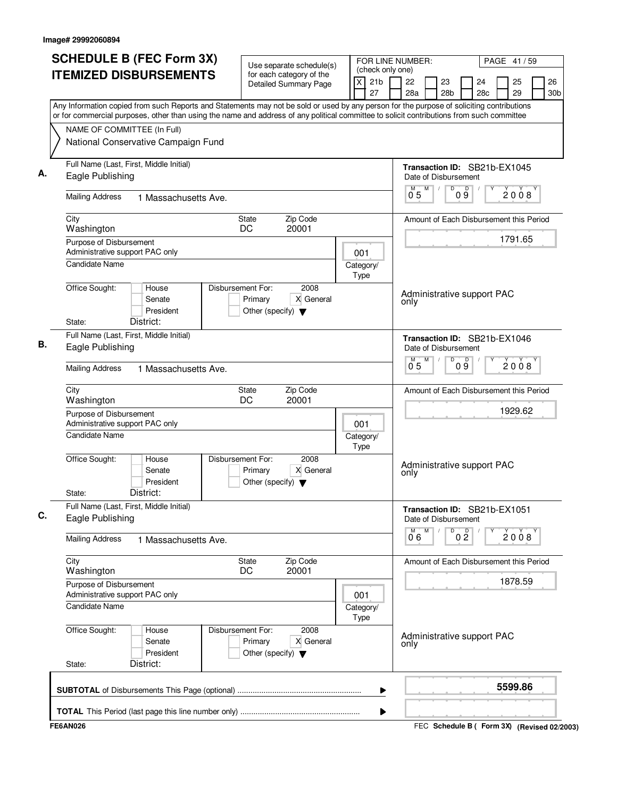| <b>ITEMIZED DISBURSEMENTS</b>                                                                                                                                                                                                                                                          | Use separate schedule(s)<br>for each category of the                                      | (check only one)    |                                         |                                                    |                                                      |                |                       |         | PAGE 41/59 |  |                       |
|----------------------------------------------------------------------------------------------------------------------------------------------------------------------------------------------------------------------------------------------------------------------------------------|-------------------------------------------------------------------------------------------|---------------------|-----------------------------------------|----------------------------------------------------|------------------------------------------------------|----------------|-----------------------|---------|------------|--|-----------------------|
|                                                                                                                                                                                                                                                                                        | $\overline{x}$<br><b>Detailed Summary Page</b>                                            |                     |                                         |                                                    |                                                      |                | 24<br>28 <sub>c</sub> |         | 25<br>29   |  | 26<br>30 <sub>b</sub> |
| Any Information copied from such Reports and Statements may not be sold or used by any person for the purpose of soliciting contributions<br>or for commercial purposes, other than using the name and address of any political committee to solicit contributions from such committee |                                                                                           |                     |                                         |                                                    |                                                      |                |                       |         |            |  |                       |
| NAME OF COMMITTEE (In Full)                                                                                                                                                                                                                                                            |                                                                                           |                     |                                         |                                                    |                                                      |                |                       |         |            |  |                       |
| National Conservative Campaign Fund                                                                                                                                                                                                                                                    |                                                                                           |                     |                                         |                                                    |                                                      |                |                       |         |            |  |                       |
| Full Name (Last, First, Middle Initial)<br>Eagle Publishing                                                                                                                                                                                                                            |                                                                                           |                     |                                         |                                                    | Transaction ID: SB21b-EX1045<br>Date of Disbursement |                |                       |         |            |  |                       |
| <b>Mailing Address</b><br>1 Massachusetts Ave.                                                                                                                                                                                                                                         |                                                                                           | M<br>$0^{\degree}5$ | M<br>D                                  | D<br>$0\overline{9}$                               |                                                      |                | 2008                  |         |            |  |                       |
| City<br>Washington                                                                                                                                                                                                                                                                     |                                                                                           |                     | Amount of Each Disbursement this Period |                                                    |                                                      |                |                       |         |            |  |                       |
| Purpose of Disbursement                                                                                                                                                                                                                                                                |                                                                                           |                     |                                         |                                                    |                                                      |                |                       | 1791.65 |            |  |                       |
| Administrative support PAC only                                                                                                                                                                                                                                                        |                                                                                           |                     |                                         |                                                    |                                                      |                |                       |         |            |  |                       |
| <b>Candidate Name</b>                                                                                                                                                                                                                                                                  |                                                                                           | Category/<br>Type   |                                         |                                                    |                                                      |                |                       |         |            |  |                       |
| Office Sought:<br>House<br>Senate<br>President<br>District:<br>State:                                                                                                                                                                                                                  | Disbursement For:<br>2008<br>X General<br>Primary<br>Other (specify) $\blacktriangledown$ |                     |                                         | only                                               | Administrative support PAC                           |                |                       |         |            |  |                       |
| Full Name (Last, First, Middle Initial)<br>Eagle Publishing                                                                                                                                                                                                                            |                                                                                           |                     |                                         |                                                    | Transaction ID: SB21b-EX1046<br>Date of Disbursement |                |                       |         |            |  |                       |
| <b>Mailing Address</b><br>1 Massachusetts Ave.                                                                                                                                                                                                                                         |                                                                                           |                     |                                         | $0^{\degree}5$                                     | M<br>D                                               | 09             |                       |         | 2008       |  |                       |
|                                                                                                                                                                                                                                                                                        |                                                                                           |                     |                                         |                                                    |                                                      |                |                       |         |            |  |                       |
| City<br>Washington                                                                                                                                                                                                                                                                     | Zip Code<br>State<br>DC<br>20001                                                          |                     |                                         | Amount of Each Disbursement this Period<br>1929.62 |                                                      |                |                       |         |            |  |                       |
| Purpose of Disbursement<br>Administrative support PAC only                                                                                                                                                                                                                             | 001                                                                                       |                     |                                         |                                                    |                                                      |                |                       |         |            |  |                       |
| <b>Candidate Name</b>                                                                                                                                                                                                                                                                  | Category/<br>Type                                                                         |                     |                                         |                                                    |                                                      |                |                       |         |            |  |                       |
| Office Sought:<br>House<br>Senate<br>President<br>District:<br>State:                                                                                                                                                                                                                  | Disbursement For:<br>2008<br>X General<br>Primary<br>Other (specify) $\blacktriangledown$ |                     |                                         | Administrative support PAC<br>only                 |                                                      |                |                       |         |            |  |                       |
| Full Name (Last, First, Middle Initial)<br>Eagle Publishing                                                                                                                                                                                                                            |                                                                                           |                     |                                         |                                                    | Transaction ID: SB21b-EX1051<br>Date of Disbursement |                |                       |         |            |  |                       |
| <b>Mailing Address</b><br>1 Massachusetts Ave.                                                                                                                                                                                                                                         |                                                                                           |                     |                                         | 06                                                 | M<br>D                                               | 0 <sup>0</sup> |                       |         | 2008       |  |                       |
| City<br>Washington                                                                                                                                                                                                                                                                     | Zip Code<br>State<br>20001<br>DC                                                          |                     |                                         |                                                    | Amount of Each Disbursement this Period              |                |                       |         |            |  |                       |
| Purpose of Disbursement<br>Administrative support PAC only                                                                                                                                                                                                                             |                                                                                           | 001                 |                                         |                                                    |                                                      |                |                       |         | 1878.59    |  |                       |
| Candidate Name                                                                                                                                                                                                                                                                         | Category/<br>Type                                                                         |                     |                                         |                                                    |                                                      |                |                       |         |            |  |                       |
| Office Sought:<br>House<br>Senate<br>President<br>District:<br>State:                                                                                                                                                                                                                  | Disbursement For:<br>2008<br>Primary<br>X General<br>Other (specify) $\blacktriangledown$ |                     |                                         | only                                               | Administrative support PAC                           |                |                       |         |            |  |                       |
|                                                                                                                                                                                                                                                                                        |                                                                                           |                     | ▶                                       |                                                    |                                                      |                |                       |         | 5599.86    |  |                       |
| <b>FE6AN026</b>                                                                                                                                                                                                                                                                        |                                                                                           |                     | ▶                                       |                                                    | FEC Schedule B ( Form 3X) (Revised 02/2003)          |                |                       |         |            |  |                       |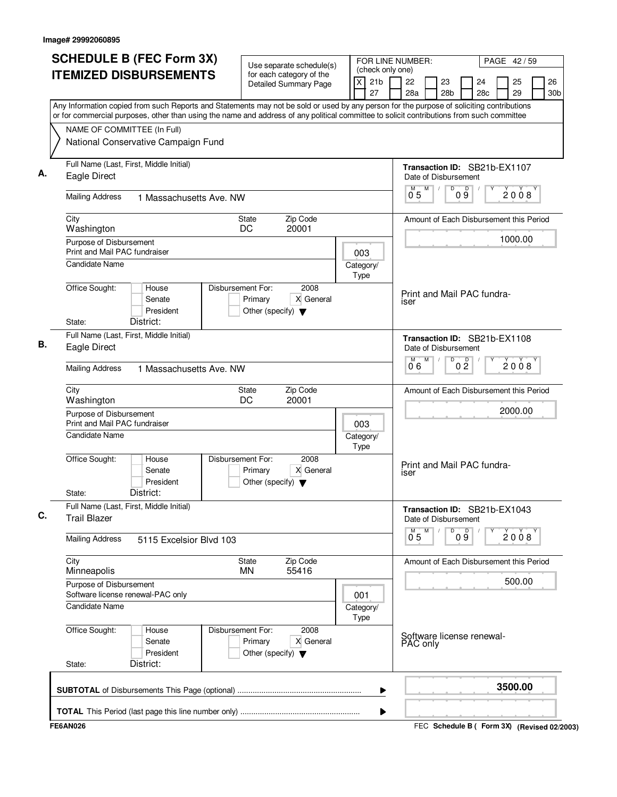| <b>SCHEDULE B (FEC Form 3X)</b>                                                                                                                                                                                                                                                        | Use separate schedule(s)                                                                  |                                                           | FOR LINE NUMBER:<br>PAGE 42/59                       |         |           |          |                              |                                         |  |  |
|----------------------------------------------------------------------------------------------------------------------------------------------------------------------------------------------------------------------------------------------------------------------------------------|-------------------------------------------------------------------------------------------|-----------------------------------------------------------|------------------------------------------------------|---------|-----------|----------|------------------------------|-----------------------------------------|--|--|
| <b>ITEMIZED DISBURSEMENTS</b>                                                                                                                                                                                                                                                          | for each category of the<br><b>Detailed Summary Page</b>                                  | (check only one)<br>$\mathsf{X}$<br>21 <sub>b</sub><br>27 | 22<br>23<br>28a<br>28 <sub>b</sub>                   |         | 24<br>28c | 25<br>29 |                              | 26<br>30 <sub>b</sub>                   |  |  |
| Any Information copied from such Reports and Statements may not be sold or used by any person for the purpose of soliciting contributions<br>or for commercial purposes, other than using the name and address of any political committee to solicit contributions from such committee |                                                                                           |                                                           |                                                      |         |           |          |                              |                                         |  |  |
| NAME OF COMMITTEE (In Full)                                                                                                                                                                                                                                                            |                                                                                           |                                                           |                                                      |         |           |          |                              |                                         |  |  |
| National Conservative Campaign Fund                                                                                                                                                                                                                                                    |                                                                                           |                                                           |                                                      |         |           |          |                              |                                         |  |  |
| Full Name (Last, First, Middle Initial)<br>Eagle Direct                                                                                                                                                                                                                                |                                                                                           |                                                           |                                                      |         |           |          | Transaction ID: SB21b-EX1107 |                                         |  |  |
| <b>Mailing Address</b><br>1 Massachusetts Ave, NW                                                                                                                                                                                                                                      |                                                                                           | M<br>0.5                                                  | D<br>D<br>09                                         |         | 2008      |          |                              |                                         |  |  |
| City<br>State<br>DC<br>Washington                                                                                                                                                                                                                                                      |                                                                                           | Amount of Each Disbursement this Period                   |                                                      |         |           |          |                              |                                         |  |  |
| Purpose of Disbursement<br>Print and Mail PAC fundraiser                                                                                                                                                                                                                               | 003                                                                                       |                                                           |                                                      |         | 1000.00   |          |                              |                                         |  |  |
| Candidate Name                                                                                                                                                                                                                                                                         |                                                                                           | Category/<br>Type                                         |                                                      |         |           |          |                              |                                         |  |  |
| Office Sought:<br>House<br>Senate<br>President<br>District:<br>State:                                                                                                                                                                                                                  | Disbursement For:<br>2008<br>X General<br>Primary<br>Other (specify) $\blacktriangledown$ |                                                           | Print and Mail PAC fundra-<br><b>ISer</b>            |         |           |          |                              |                                         |  |  |
| Full Name (Last, First, Middle Initial)                                                                                                                                                                                                                                                |                                                                                           |                                                           | Transaction ID: SB21b-EX1108                         |         |           |          |                              |                                         |  |  |
| Eagle Direct                                                                                                                                                                                                                                                                           |                                                                                           | Date of Disbursement<br>M                                 | D<br>0 <sup>0</sup>                                  |         | 2008      |          |                              |                                         |  |  |
| <b>Mailing Address</b><br>1 Massachusetts Ave. NW                                                                                                                                                                                                                                      |                                                                                           |                                                           | 06                                                   |         |           |          |                              |                                         |  |  |
| City<br>Washington                                                                                                                                                                                                                                                                     | Zip Code<br>State<br>DC<br>20001                                                          |                                                           |                                                      |         |           |          |                              | Amount of Each Disbursement this Period |  |  |
| Purpose of Disbursement<br>Print and Mail PAC fundraiser                                                                                                                                                                                                                               |                                                                                           |                                                           |                                                      | 2000.00 |           |          |                              |                                         |  |  |
| <b>Candidate Name</b>                                                                                                                                                                                                                                                                  | Category/<br>Type                                                                         |                                                           |                                                      |         |           |          |                              |                                         |  |  |
| Office Sought:<br>House<br>Senate<br>President<br>District:<br>State:                                                                                                                                                                                                                  | Disbursement For:<br>2008<br>X General<br>Primary<br>Other (specify) $\blacktriangledown$ |                                                           | Print and Mail PAC fundra-<br><b>ISer</b>            |         |           |          |                              |                                         |  |  |
| Full Name (Last, First, Middle Initial)<br><b>Trail Blazer</b>                                                                                                                                                                                                                         |                                                                                           |                                                           | Transaction ID: SB21b-EX1043<br>Date of Disbursement |         |           |          |                              |                                         |  |  |
| <b>Mailing Address</b><br>5115 Excelsior Blvd 103                                                                                                                                                                                                                                      |                                                                                           |                                                           | м<br>$0^{\degree}5$                                  | 09<br>D |           | 2008     |                              |                                         |  |  |
| City<br>Minneapolis                                                                                                                                                                                                                                                                    | Zip Code<br><b>State</b><br>55416<br><b>MN</b>                                            |                                                           | Amount of Each Disbursement this Period              |         |           |          |                              |                                         |  |  |
| Purpose of Disbursement<br>Software license renewal-PAC only                                                                                                                                                                                                                           |                                                                                           | 001                                                       |                                                      |         |           | 500.00   |                              |                                         |  |  |
| Candidate Name                                                                                                                                                                                                                                                                         |                                                                                           | Category/<br>Type                                         |                                                      |         |           |          |                              |                                         |  |  |
| Office Sought:<br>House<br>Senate<br>President<br>District:<br>State:                                                                                                                                                                                                                  | Disbursement For:<br>2008<br>X General<br>Primary<br>Other (specify) $\blacktriangledown$ |                                                           | Software license renewal-<br>PAC only                |         |           |          |                              |                                         |  |  |
|                                                                                                                                                                                                                                                                                        |                                                                                           | ▶                                                         |                                                      |         |           | 3500.00  |                              |                                         |  |  |
|                                                                                                                                                                                                                                                                                        |                                                                                           | ▶                                                         |                                                      |         |           |          |                              |                                         |  |  |
| <b>FE6AN026</b>                                                                                                                                                                                                                                                                        |                                                                                           |                                                           | FEC Schedule B ( Form 3X) (Revised 02/2003)          |         |           |          |                              |                                         |  |  |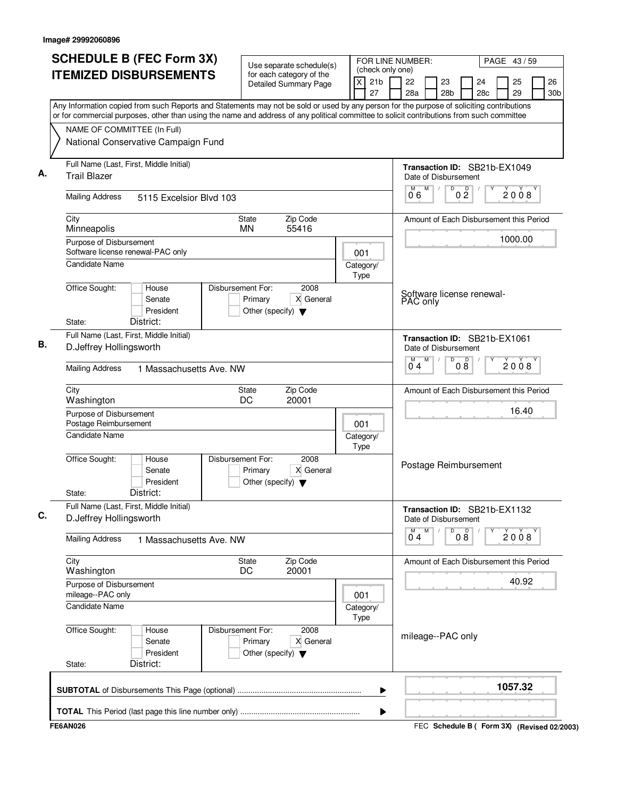| <b>SCHEDULE B (FEC Form 3X)</b>                                                                                                                                                                                                                                                        | Use separate schedule(s)                                                                  | FOR LINE NUMBER:                                      |                                                             | PAGE 43/59                        |  |  |  |  |  |
|----------------------------------------------------------------------------------------------------------------------------------------------------------------------------------------------------------------------------------------------------------------------------------------|-------------------------------------------------------------------------------------------|-------------------------------------------------------|-------------------------------------------------------------|-----------------------------------|--|--|--|--|--|
| <b>ITEMIZED DISBURSEMENTS</b>                                                                                                                                                                                                                                                          | for each category of the<br><b>Detailed Summary Page</b>                                  | (check only one)<br>$\times$<br>21 <sub>b</sub><br>27 | 22<br>23<br>24<br>28a<br>28 <sub>b</sub><br>28 <sub>c</sub> | 25<br>26<br>29<br>30 <sub>b</sub> |  |  |  |  |  |
| Any Information copied from such Reports and Statements may not be sold or used by any person for the purpose of soliciting contributions<br>or for commercial purposes, other than using the name and address of any political committee to solicit contributions from such committee |                                                                                           |                                                       |                                                             |                                   |  |  |  |  |  |
| NAME OF COMMITTEE (In Full)                                                                                                                                                                                                                                                            |                                                                                           |                                                       |                                                             |                                   |  |  |  |  |  |
| National Conservative Campaign Fund                                                                                                                                                                                                                                                    |                                                                                           |                                                       |                                                             |                                   |  |  |  |  |  |
| Full Name (Last, First, Middle Initial)<br><b>Trail Blazer</b>                                                                                                                                                                                                                         |                                                                                           |                                                       |                                                             |                                   |  |  |  |  |  |
| <b>Mailing Address</b><br>5115 Excelsior Blvd 103                                                                                                                                                                                                                                      |                                                                                           |                                                       |                                                             |                                   |  |  |  |  |  |
| City<br><b>State</b><br><b>MN</b><br>Minneapolis                                                                                                                                                                                                                                       |                                                                                           | Amount of Each Disbursement this Period               |                                                             |                                   |  |  |  |  |  |
| Purpose of Disbursement<br>Software license renewal-PAC only                                                                                                                                                                                                                           | 001                                                                                       |                                                       | 1000.00                                                     |                                   |  |  |  |  |  |
| <b>Candidate Name</b>                                                                                                                                                                                                                                                                  |                                                                                           | Category/<br>Type                                     |                                                             |                                   |  |  |  |  |  |
| Office Sought:<br>House<br>Senate<br>President<br>District:<br>State:                                                                                                                                                                                                                  | Disbursement For:<br>2008<br>X General<br>Primary<br>Other (specify) $\blacktriangledown$ |                                                       | Software license renewal-<br>PAC only                       |                                   |  |  |  |  |  |
| Full Name (Last, First, Middle Initial)<br>D.Jeffrey Hollingsworth                                                                                                                                                                                                                     |                                                                                           | Transaction ID: SB21b-EX1061<br>Date of Disbursement  |                                                             |                                   |  |  |  |  |  |
| <b>Mailing Address</b><br>1 Massachusetts Ave. NW                                                                                                                                                                                                                                      |                                                                                           | M<br>D<br>08<br>04                                    | 2008                                                        |                                   |  |  |  |  |  |
| City<br>State<br>DC<br>Washington                                                                                                                                                                                                                                                      |                                                                                           | Amount of Each Disbursement this Period               |                                                             |                                   |  |  |  |  |  |
| Purpose of Disbursement<br>Postage Reimbursement                                                                                                                                                                                                                                       | 001                                                                                       |                                                       | 16.40                                                       |                                   |  |  |  |  |  |
| <b>Candidate Name</b>                                                                                                                                                                                                                                                                  | Category/<br>Type                                                                         |                                                       |                                                             |                                   |  |  |  |  |  |
| Office Sought:<br>House<br>Senate<br>President<br>District:<br>State:                                                                                                                                                                                                                  | Disbursement For:<br>2008<br>X General<br>Primary<br>Other (specify) $\blacktriangledown$ |                                                       | Postage Reimbursement                                       |                                   |  |  |  |  |  |
| Full Name (Last, First, Middle Initial)<br>D.Jeffrey Hollingsworth                                                                                                                                                                                                                     |                                                                                           |                                                       | Transaction ID: SB21b-EX1132<br>Date of Disbursement        |                                   |  |  |  |  |  |
| <b>Mailing Address</b><br>1 Massachusetts Ave, NW                                                                                                                                                                                                                                      |                                                                                           |                                                       | M<br>08<br>м<br>D<br>2008<br>04                             |                                   |  |  |  |  |  |
| City<br>Washington                                                                                                                                                                                                                                                                     | Zip Code<br><b>State</b><br>20001<br>DC.                                                  |                                                       | Amount of Each Disbursement this Period                     |                                   |  |  |  |  |  |
| Purpose of Disbursement<br>mileage--PAC only                                                                                                                                                                                                                                           |                                                                                           | 001                                                   |                                                             | 40.92                             |  |  |  |  |  |
| Candidate Name                                                                                                                                                                                                                                                                         |                                                                                           | Category/<br>Type                                     |                                                             |                                   |  |  |  |  |  |
| Office Sought:<br>House<br>Senate<br>President<br>District:<br>State:                                                                                                                                                                                                                  | 2008<br>Disbursement For:<br>X General<br>Primary<br>Other (specify) $\blacktriangledown$ |                                                       | mileage--PAC only                                           |                                   |  |  |  |  |  |
|                                                                                                                                                                                                                                                                                        |                                                                                           | ▶                                                     |                                                             | 1057.32                           |  |  |  |  |  |
| <b>FE6AN026</b>                                                                                                                                                                                                                                                                        |                                                                                           | ▶                                                     | FEC Schedule B ( Form 3X) (Revised 02/2003)                 |                                   |  |  |  |  |  |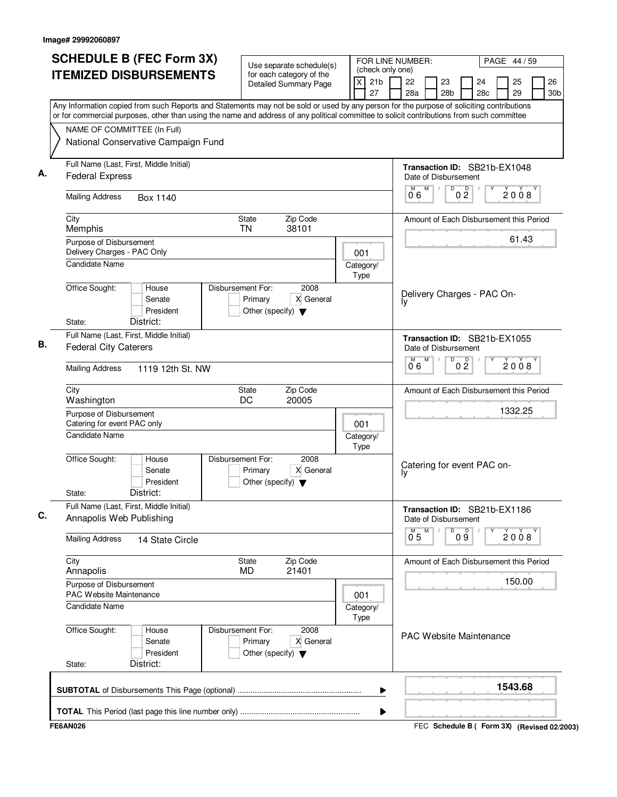|                                                               | <b>SCHEDULE B (FEC Form 3X)</b>                                                                                                                                                                                                                                                        | Use separate schedule(s)                                                                  | FOR LINE NUMBER:<br>PAGE 44 / 59<br>(check only one) |   |  |                                  |                                                           |                                  |                |                                         |  |          |      |                       |
|---------------------------------------------------------------|----------------------------------------------------------------------------------------------------------------------------------------------------------------------------------------------------------------------------------------------------------------------------------------|-------------------------------------------------------------------------------------------|------------------------------------------------------|---|--|----------------------------------|-----------------------------------------------------------|----------------------------------|----------------|-----------------------------------------|--|----------|------|-----------------------|
|                                                               | <b>ITEMIZED DISBURSEMENTS</b><br>for each category of the<br><b>Detailed Summary Page</b>                                                                                                                                                                                              |                                                                                           |                                                      |   |  | 22<br>28a                        | 23<br>28 <sub>b</sub>                                     |                                  |                | 24<br>28c                               |  | 25<br>29 |      | 26<br>30 <sub>b</sub> |
|                                                               | Any Information copied from such Reports and Statements may not be sold or used by any person for the purpose of soliciting contributions<br>or for commercial purposes, other than using the name and address of any political committee to solicit contributions from such committee |                                                                                           |                                                      |   |  |                                  |                                                           |                                  |                |                                         |  |          |      |                       |
|                                                               | NAME OF COMMITTEE (In Full)                                                                                                                                                                                                                                                            |                                                                                           |                                                      |   |  |                                  |                                                           |                                  |                |                                         |  |          |      |                       |
|                                                               | National Conservative Campaign Fund                                                                                                                                                                                                                                                    |                                                                                           |                                                      |   |  |                                  |                                                           |                                  |                |                                         |  |          |      |                       |
|                                                               | Full Name (Last, First, Middle Initial)<br><b>Federal Express</b>                                                                                                                                                                                                                      |                                                                                           |                                                      |   |  |                                  | Transaction ID: SB21b-EX1048<br>Date of Disbursement<br>M |                                  |                |                                         |  |          |      |                       |
|                                                               | <b>Mailing Address</b><br>Box 1140                                                                                                                                                                                                                                                     |                                                                                           |                                                      |   |  |                                  |                                                           | $\overline{D}$<br>0 <sup>0</sup> |                |                                         |  |          | 2008 |                       |
| City<br>Memphis                                               | Zip Code<br>State<br>38101<br>TN                                                                                                                                                                                                                                                       |                                                                                           |                                                      |   |  |                                  |                                                           |                                  |                | Amount of Each Disbursement this Period |  |          |      |                       |
| Purpose of Disbursement<br>Delivery Charges - PAC Only<br>001 |                                                                                                                                                                                                                                                                                        |                                                                                           |                                                      |   |  |                                  |                                                           |                                  |                |                                         |  | 61.43    |      |                       |
| <b>Candidate Name</b>                                         |                                                                                                                                                                                                                                                                                        |                                                                                           | Category/<br>Type                                    |   |  |                                  |                                                           |                                  |                |                                         |  |          |      |                       |
| Office Sought:<br>State:                                      | House<br>Senate<br>President<br>District:                                                                                                                                                                                                                                              | Disbursement For:<br>2008<br>X General<br>Primary<br>Other (specify) $\blacktriangledown$ |                                                      |   |  | Ιy                               | Delivery Charges - PAC On-                                |                                  |                |                                         |  |          |      |                       |
|                                                               | Full Name (Last, First, Middle Initial)<br><b>Federal City Caterers</b>                                                                                                                                                                                                                |                                                                                           |                                                      |   |  |                                  | Transaction ID: SB21b-EX1055<br>Date of Disbursement      |                                  |                |                                         |  |          |      |                       |
| <b>Mailing Address</b>                                        | 1119 12th St. NW                                                                                                                                                                                                                                                                       |                                                                                           |                                                      |   |  | 06                               | M                                                         | D                                | 0 <sup>D</sup> |                                         |  |          | 2008 |                       |
| City<br>Washington                                            |                                                                                                                                                                                                                                                                                        | Zip Code<br>State<br>DC<br>20005                                                          |                                                      |   |  |                                  | Amount of Each Disbursement this Period                   |                                  |                |                                         |  |          |      |                       |
| Purpose of Disbursement<br>Catering for event PAC only        | 001                                                                                                                                                                                                                                                                                    |                                                                                           |                                                      |   |  |                                  |                                                           |                                  |                | 1332.25                                 |  |          |      |                       |
|                                                               | <b>Candidate Name</b><br>Category/                                                                                                                                                                                                                                                     |                                                                                           |                                                      |   |  |                                  |                                                           |                                  |                |                                         |  |          |      |                       |
| Office Sought:<br>State:                                      | House<br>Senate<br>President<br>District:                                                                                                                                                                                                                                              | Disbursement For:<br>2008<br>X General<br>Primary<br>Other (specify) $\blacktriangledown$ |                                                      |   |  | Catering for event PAC on-<br>l٧ |                                                           |                                  |                |                                         |  |          |      |                       |
| Annapolis Web Publishing                                      | Full Name (Last, First, Middle Initial)                                                                                                                                                                                                                                                |                                                                                           |                                                      |   |  |                                  | Transaction ID: SB21b-EX1186<br>Date of Disbursement      |                                  |                |                                         |  |          |      |                       |
| <b>Mailing Address</b>                                        | 14 State Circle                                                                                                                                                                                                                                                                        |                                                                                           |                                                      |   |  | $0^{\degree}5$                   | M                                                         | D<br>09                          |                |                                         |  | 2008     |      |                       |
| City<br>Annapolis                                             |                                                                                                                                                                                                                                                                                        | Zip Code<br>State<br>21401<br>MD                                                          |                                                      |   |  |                                  | Amount of Each Disbursement this Period                   |                                  |                |                                         |  |          |      |                       |
| Purpose of Disbursement<br>PAC Website Maintenance            |                                                                                                                                                                                                                                                                                        |                                                                                           | 001                                                  |   |  |                                  |                                                           |                                  |                |                                         |  | 150.00   |      |                       |
| Candidate Name                                                |                                                                                                                                                                                                                                                                                        |                                                                                           | Category/<br>Type                                    |   |  |                                  |                                                           |                                  |                |                                         |  |          |      |                       |
| Office Sought:<br>State:                                      | House<br>Senate<br>President<br>District:                                                                                                                                                                                                                                              | Disbursement For:<br>2008<br>Primary<br>X General<br>Other (specify) $\blacktriangledown$ |                                                      |   |  |                                  | <b>PAC Website Maintenance</b>                            |                                  |                |                                         |  |          |      |                       |
|                                                               |                                                                                                                                                                                                                                                                                        |                                                                                           |                                                      | ▶ |  |                                  |                                                           |                                  |                |                                         |  | 1543.68  |      |                       |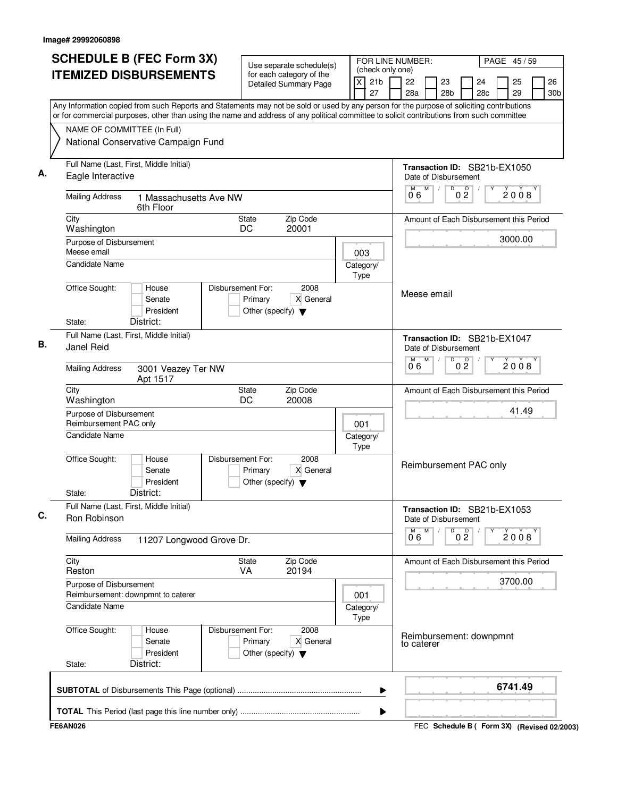| <b>SCHEDULE B (FEC Form 3X)</b>                                                                                                                                                                                                                                                        | FOR LINE NUMBER:<br>Use separate schedule(s)                                              |                                                |                                       |                                                |  |  |  |  |
|----------------------------------------------------------------------------------------------------------------------------------------------------------------------------------------------------------------------------------------------------------------------------------------|-------------------------------------------------------------------------------------------|------------------------------------------------|---------------------------------------|------------------------------------------------|--|--|--|--|
| <b>ITEMIZED DISBURSEMENTS</b>                                                                                                                                                                                                                                                          | for each category of the<br><b>Detailed Summary Page</b>                                  | (check only one)<br>21 <sub>b</sub><br>X<br>27 | 22<br>23<br>28a<br>28 <sub>b</sub>    | 26<br>24<br>25<br>29<br>28c<br>30 <sub>b</sub> |  |  |  |  |
| Any Information copied from such Reports and Statements may not be sold or used by any person for the purpose of soliciting contributions<br>or for commercial purposes, other than using the name and address of any political committee to solicit contributions from such committee |                                                                                           |                                                |                                       |                                                |  |  |  |  |
| NAME OF COMMITTEE (In Full)                                                                                                                                                                                                                                                            |                                                                                           |                                                |                                       |                                                |  |  |  |  |
| National Conservative Campaign Fund                                                                                                                                                                                                                                                    |                                                                                           |                                                |                                       |                                                |  |  |  |  |
| Full Name (Last, First, Middle Initial)<br>Eagle Interactive                                                                                                                                                                                                                           |                                                                                           |                                                |                                       |                                                |  |  |  |  |
| <b>Mailing Address</b><br>1 Massachusetts Ave NW<br>6th Floor                                                                                                                                                                                                                          |                                                                                           | M<br>D<br>06                                   | 0 <sup>0</sup><br>2008                |                                                |  |  |  |  |
| City<br>Washington                                                                                                                                                                                                                                                                     | Zip Code<br>State<br>20001<br>DC                                                          |                                                |                                       | Amount of Each Disbursement this Period        |  |  |  |  |
| Purpose of Disbursement                                                                                                                                                                                                                                                                |                                                                                           |                                                |                                       | 3000.00                                        |  |  |  |  |
| Meese email<br><b>Candidate Name</b>                                                                                                                                                                                                                                                   |                                                                                           | 003<br>Category/<br>Type                       |                                       |                                                |  |  |  |  |
| Office Sought:<br>House<br>Senate<br>President<br>District:<br>State:                                                                                                                                                                                                                  | Disbursement For:<br>2008<br>X General<br>Primary<br>Other (specify) $\blacktriangledown$ |                                                | Meese email                           |                                                |  |  |  |  |
| Full Name (Last, First, Middle Initial)<br>Janel Reid                                                                                                                                                                                                                                  |                                                                                           | Date of Disbursement                           | Transaction ID: SB21b-EX1047          |                                                |  |  |  |  |
| <b>Mailing Address</b><br>3001 Veazey Ter NW<br>Apt 1517                                                                                                                                                                                                                               |                                                                                           | M<br>D<br>M<br>06                              | 0 <sup>0</sup><br>2008                |                                                |  |  |  |  |
| City<br>Washington                                                                                                                                                                                                                                                                     | Zip Code<br>State<br>DC<br>20008                                                          |                                                |                                       |                                                |  |  |  |  |
| Purpose of Disbursement<br>Reimbursement PAC only                                                                                                                                                                                                                                      | 001                                                                                       |                                                | 41.49                                 |                                                |  |  |  |  |
| <b>Candidate Name</b>                                                                                                                                                                                                                                                                  | Category/<br>Type                                                                         |                                                |                                       |                                                |  |  |  |  |
| Office Sought:<br>House<br>Senate<br>President<br>District:<br>State:                                                                                                                                                                                                                  | Disbursement For:<br>2008<br>X General<br>Primary<br>Other (specify) $\blacktriangledown$ |                                                | Reimbursement PAC only                |                                                |  |  |  |  |
| Full Name (Last, First, Middle Initial)<br>Ron Robinson                                                                                                                                                                                                                                |                                                                                           |                                                | Date of Disbursement                  | Transaction ID: SB21b-EX1053                   |  |  |  |  |
| <b>Mailing Address</b><br>11207 Longwood Grove Dr.                                                                                                                                                                                                                                     |                                                                                           |                                                | M<br>M<br>D<br>0°6                    | 0 <sup>D</sup><br>2008                         |  |  |  |  |
| City<br>Reston                                                                                                                                                                                                                                                                         | Zip Code<br>State<br>VA<br>20194                                                          |                                                |                                       | Amount of Each Disbursement this Period        |  |  |  |  |
| Purpose of Disbursement<br>Reimbursement: downpmnt to caterer                                                                                                                                                                                                                          |                                                                                           | 001                                            |                                       | 3700.00                                        |  |  |  |  |
| <b>Candidate Name</b>                                                                                                                                                                                                                                                                  |                                                                                           | Category/<br>Type                              |                                       |                                                |  |  |  |  |
| Office Sought:<br>House<br>Senate<br>President<br>District:<br>State:                                                                                                                                                                                                                  | Disbursement For:<br>2008<br>X General<br>Primary<br>Other (specify) $\blacktriangledown$ |                                                | Reimbursement: downpmnt<br>to caterer |                                                |  |  |  |  |
|                                                                                                                                                                                                                                                                                        |                                                                                           | ▶                                              |                                       | 6741.49                                        |  |  |  |  |
|                                                                                                                                                                                                                                                                                        |                                                                                           | ▶                                              |                                       |                                                |  |  |  |  |
| <b>FE6AN026</b>                                                                                                                                                                                                                                                                        |                                                                                           |                                                |                                       | FEC Schedule B ( Form 3X) (Revised 02/2003)    |  |  |  |  |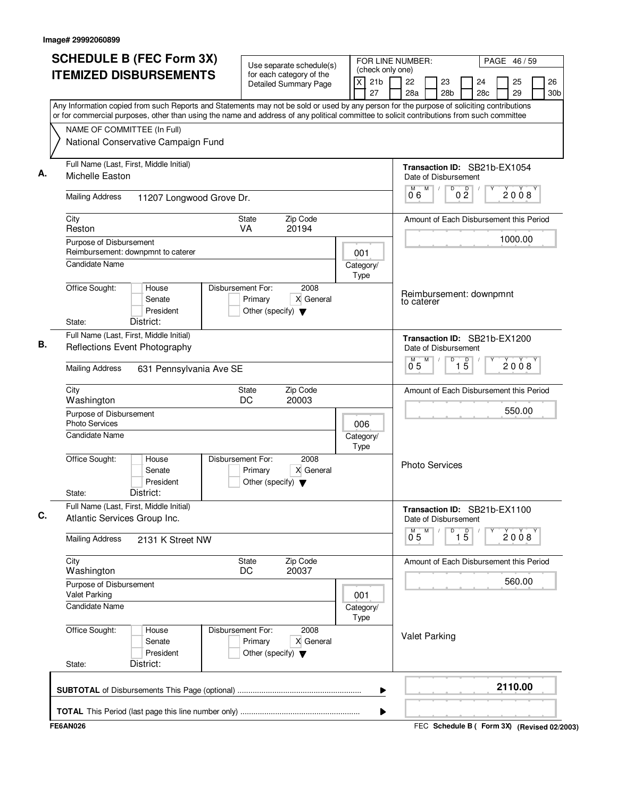| <b>SCHEDULE B (FEC Form 3X)</b>                                                                                                                                                                                                                                                        | FOR LINE NUMBER:<br>Use separate schedule(s)                                              |                                                             |                                                        |                                                            |
|----------------------------------------------------------------------------------------------------------------------------------------------------------------------------------------------------------------------------------------------------------------------------------------|-------------------------------------------------------------------------------------------|-------------------------------------------------------------|--------------------------------------------------------|------------------------------------------------------------|
| <b>ITEMIZED DISBURSEMENTS</b>                                                                                                                                                                                                                                                          | for each category of the<br><b>Detailed Summary Page</b>                                  | (check only one)<br>$\overline{x}$<br>21 <sub>b</sub><br>27 | 22<br>23<br>28a<br>28 <sub>b</sub>                     | 25<br>26<br>24<br>28 <sub>c</sub><br>29<br>30 <sub>b</sub> |
| Any Information copied from such Reports and Statements may not be sold or used by any person for the purpose of soliciting contributions<br>or for commercial purposes, other than using the name and address of any political committee to solicit contributions from such committee |                                                                                           |                                                             |                                                        |                                                            |
| NAME OF COMMITTEE (In Full)                                                                                                                                                                                                                                                            |                                                                                           |                                                             |                                                        |                                                            |
| National Conservative Campaign Fund                                                                                                                                                                                                                                                    |                                                                                           |                                                             |                                                        |                                                            |
| Full Name (Last, First, Middle Initial)<br>Michelle Easton                                                                                                                                                                                                                             |                                                                                           |                                                             | Transaction ID: SB21b-EX1054<br>Date of Disbursement   |                                                            |
| <b>Mailing Address</b><br>11207 Longwood Grove Dr.                                                                                                                                                                                                                                     |                                                                                           |                                                             | M<br>$\overline{D}$<br>M<br>0 <sup>0</sup><br>06       | 2008                                                       |
| City<br>Reston                                                                                                                                                                                                                                                                         | Zip Code<br>State<br>VA<br>20194                                                          |                                                             |                                                        | Amount of Each Disbursement this Period                    |
| Purpose of Disbursement<br>Reimbursement: downpmnt to caterer                                                                                                                                                                                                                          |                                                                                           |                                                             |                                                        | 1000.00                                                    |
| <b>Candidate Name</b>                                                                                                                                                                                                                                                                  |                                                                                           | 001<br>Category/<br>Type                                    |                                                        |                                                            |
| Office Sought:<br>House<br>Senate<br>President<br>District:<br>State:                                                                                                                                                                                                                  | Disbursement For:<br>2008<br>X General<br>Primary<br>Other (specify) $\blacktriangledown$ |                                                             | Reimbursement: downpmnt<br>to caterer                  |                                                            |
| Full Name (Last, First, Middle Initial)<br>Reflections Event Photography                                                                                                                                                                                                               |                                                                                           |                                                             | Transaction ID: SB21b-EX1200<br>Date of Disbursement   |                                                            |
| <b>Mailing Address</b><br>631 Pennsylvania Ave SE                                                                                                                                                                                                                                      |                                                                                           |                                                             | M<br>D<br>$\overline{1\overline{5}}$<br>$0^{\degree}5$ | 2008                                                       |
| City<br>Washington                                                                                                                                                                                                                                                                     | Zip Code<br>State<br>DC<br>20003                                                          |                                                             |                                                        | Amount of Each Disbursement this Period                    |
| Purpose of Disbursement                                                                                                                                                                                                                                                                |                                                                                           |                                                             |                                                        | 550.00                                                     |
| <b>Photo Services</b><br>Candidate Name                                                                                                                                                                                                                                                |                                                                                           | 006<br>Category/<br>Type                                    |                                                        |                                                            |
| Office Sought:<br>House<br>Senate<br>President<br>District:<br>State:                                                                                                                                                                                                                  | Disbursement For:<br>2008<br>X General<br>Primary<br>Other (specify) $\blacktriangledown$ |                                                             | <b>Photo Services</b>                                  |                                                            |
| Full Name (Last, First, Middle Initial)<br>Atlantic Services Group Inc.                                                                                                                                                                                                                |                                                                                           |                                                             | Transaction ID: SB21b-EX1100<br>Date of Disbursement   |                                                            |
| <b>Mailing Address</b><br>2131 K Street NW                                                                                                                                                                                                                                             |                                                                                           |                                                             | M<br>$\overline{1\,5}$<br>D<br>$0^{\degree}5$          | 2008                                                       |
| City<br>Washington                                                                                                                                                                                                                                                                     | Zip Code<br>State<br>20037<br>DC                                                          |                                                             |                                                        | Amount of Each Disbursement this Period                    |
| Purpose of Disbursement<br><b>Valet Parking</b>                                                                                                                                                                                                                                        |                                                                                           | 001                                                         |                                                        | 560.00                                                     |
| Candidate Name                                                                                                                                                                                                                                                                         |                                                                                           | Category/<br>Type                                           |                                                        |                                                            |
| Office Sought:<br>House<br>Senate<br>President<br>District:<br>State:                                                                                                                                                                                                                  | Disbursement For:<br>2008<br>X General<br>Primary<br>Other (specify) $\blacktriangledown$ |                                                             | <b>Valet Parking</b>                                   |                                                            |
|                                                                                                                                                                                                                                                                                        |                                                                                           | ▶                                                           |                                                        | 2110.00                                                    |
|                                                                                                                                                                                                                                                                                        |                                                                                           | ▶                                                           |                                                        |                                                            |
| <b>FE6AN026</b>                                                                                                                                                                                                                                                                        |                                                                                           |                                                             |                                                        | FEC Schedule B ( Form 3X) (Revised 02/2003)                |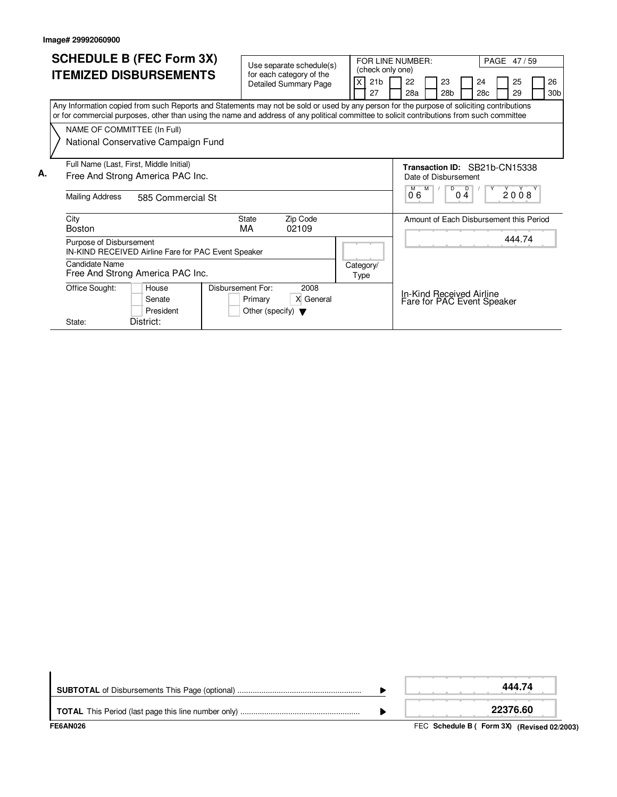|    |                             | <b>SCHEDULE B (FEC Form 3X)</b>                                                                                                                                                                                                                                                        |                                      | Use separate schedule(s)                                 |  |                   | FOR LINE NUMBER:<br>(check only one) |           |         |    |                      |                | PAGE 47/59                 |                                         |                       |
|----|-----------------------------|----------------------------------------------------------------------------------------------------------------------------------------------------------------------------------------------------------------------------------------------------------------------------------------|--------------------------------------|----------------------------------------------------------|--|-------------------|--------------------------------------|-----------|---------|----|----------------------|----------------|----------------------------|-----------------------------------------|-----------------------|
|    |                             | <b>ITEMIZED DISBURSEMENTS</b>                                                                                                                                                                                                                                                          |                                      | for each category of the<br><b>Detailed Summary Page</b> |  |                   | 21 <sub>b</sub><br>27                | 22<br>28a |         | 23 | 28 <sub>b</sub>      |                | 24<br>28c                  | 25<br>29                                | 26<br>30 <sub>b</sub> |
|    |                             | Any Information copied from such Reports and Statements may not be sold or used by any person for the purpose of soliciting contributions<br>or for commercial purposes, other than using the name and address of any political committee to solicit contributions from such committee |                                      |                                                          |  |                   |                                      |           |         |    |                      |                |                            |                                         |                       |
|    | NAME OF COMMITTEE (In Full) |                                                                                                                                                                                                                                                                                        |                                      |                                                          |  |                   |                                      |           |         |    |                      |                |                            |                                         |                       |
|    |                             | National Conservative Campaign Fund                                                                                                                                                                                                                                                    |                                      |                                                          |  |                   |                                      |           |         |    |                      |                |                            |                                         |                       |
|    |                             | Full Name (Last, First, Middle Initial)                                                                                                                                                                                                                                                |                                      |                                                          |  |                   |                                      |           |         |    |                      |                |                            | Transaction ID: SB21b-CN15338           |                       |
| А. |                             | Free And Strong America PAC Inc.                                                                                                                                                                                                                                                       |                                      |                                                          |  |                   |                                      |           |         |    | Date of Disbursement |                |                            |                                         |                       |
|    | <b>Mailing Address</b>      | 585 Commercial St                                                                                                                                                                                                                                                                      |                                      |                                                          |  |                   |                                      | 06        | $M$ $M$ |    | D<br>04              | $\overline{D}$ | Y                          | 2008                                    |                       |
|    | City<br><b>Boston</b>       |                                                                                                                                                                                                                                                                                        | <b>State</b><br>МA                   | Zip Code<br>02109                                        |  |                   |                                      |           |         |    |                      |                |                            | Amount of Each Disbursement this Period |                       |
|    | Purpose of Disbursement     | IN-KIND RECEIVED Airline Fare for PAC Event Speaker                                                                                                                                                                                                                                    |                                      |                                                          |  |                   |                                      |           |         |    |                      |                |                            | 444.74                                  |                       |
|    | Candidate Name              | Free And Strong America PAC Inc.                                                                                                                                                                                                                                                       |                                      |                                                          |  | Category/<br>Type |                                      |           |         |    |                      |                |                            |                                         |                       |
|    | Office Sought:              | House<br>Senate                                                                                                                                                                                                                                                                        | Disbursement For:<br>Primary         | 2008<br>X General                                        |  |                   |                                      |           |         |    |                      |                | In-Kind Received Airline   |                                         |                       |
|    |                             | President                                                                                                                                                                                                                                                                              | Other (specify) $\blacktriangledown$ |                                                          |  |                   |                                      |           |         |    |                      |                | Fare for PAC Event Speaker |                                         |                       |
|    | State:                      | District:                                                                                                                                                                                                                                                                              |                                      |                                                          |  |                   |                                      |           |         |    |                      |                |                            |                                         |                       |

| FE6AN026 | FEC Schedule B ( Form 3X) (Revised 02/2003) |
|----------|---------------------------------------------|
|          | 22376.60                                    |
|          | 444.74                                      |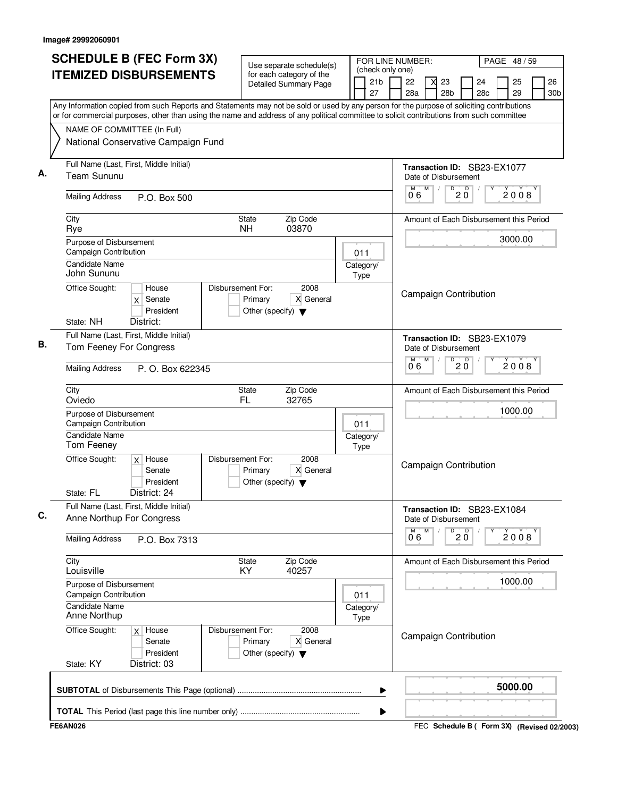|                                                  |                                                                      | <b>SCHEDULE B (FEC Form 3X)</b><br>FOR LINE NUMBER:<br>Use separate schedule(s)                                                                                                                                                                                                        |                   |                       |                                                     |                                                       |                       | PAGE 48 / 59 |                       |
|--------------------------------------------------|----------------------------------------------------------------------|----------------------------------------------------------------------------------------------------------------------------------------------------------------------------------------------------------------------------------------------------------------------------------------|-------------------|-----------------------|-----------------------------------------------------|-------------------------------------------------------|-----------------------|--------------|-----------------------|
|                                                  | <b>ITEMIZED DISBURSEMENTS</b>                                        | for each category of the<br><b>Detailed Summary Page</b>                                                                                                                                                                                                                               |                   | 21 <sub>b</sub><br>27 | (check only one)<br>22<br>28a                       | 23<br>28 <sub>b</sub>                                 | 24<br>28 <sub>c</sub> | 25<br>29     | 26<br>30 <sub>b</sub> |
|                                                  |                                                                      | Any Information copied from such Reports and Statements may not be sold or used by any person for the purpose of soliciting contributions<br>or for commercial purposes, other than using the name and address of any political committee to solicit contributions from such committee |                   |                       |                                                     |                                                       |                       |              |                       |
|                                                  | NAME OF COMMITTEE (In Full)<br>National Conservative Campaign Fund   |                                                                                                                                                                                                                                                                                        |                   |                       |                                                     |                                                       |                       |              |                       |
| <b>Team Sununu</b>                               | Full Name (Last, First, Middle Initial)                              |                                                                                                                                                                                                                                                                                        |                   |                       | Transaction ID: SB23-EX1077<br>Date of Disbursement |                                                       |                       |              |                       |
| <b>Mailing Address</b>                           | P.O. Box 500                                                         |                                                                                                                                                                                                                                                                                        |                   |                       | M<br>M<br>06                                        | $\overline{D}$<br>$\overline{D}$<br>$2\,\overline{0}$ |                       | 2008         |                       |
| City<br>Rye                                      |                                                                      | Zip Code<br>State<br>03870<br><b>NH</b>                                                                                                                                                                                                                                                |                   |                       | Amount of Each Disbursement this Period             |                                                       |                       |              |                       |
| Purpose of Disbursement<br>Campaign Contribution |                                                                      |                                                                                                                                                                                                                                                                                        | 011               |                       |                                                     |                                                       |                       | 3000.00      |                       |
| <b>Candidate Name</b><br>John Sununu             | House                                                                | Disbursement For:<br>2008                                                                                                                                                                                                                                                              | Category/<br>Type |                       |                                                     |                                                       |                       |              |                       |
| Office Sought:<br>State: NH                      | Senate<br>$\mathsf{x}$<br>President<br>District:                     | X General<br>Primary<br>Other (specify) $\blacktriangledown$                                                                                                                                                                                                                           |                   |                       | <b>Campaign Contribution</b>                        |                                                       |                       |              |                       |
| Tom Feeney For Congress                          | Full Name (Last, First, Middle Initial)                              |                                                                                                                                                                                                                                                                                        |                   |                       | Transaction ID: SB23-EX1079<br>Date of Disbursement |                                                       |                       |              |                       |
| <b>Mailing Address</b>                           | P. O. Box 622345                                                     |                                                                                                                                                                                                                                                                                        |                   |                       | M<br>06                                             | D<br>D<br>2 Ŏ                                         |                       | 2008         |                       |
| City<br>Oviedo                                   |                                                                      | Zip Code<br>State<br>FL<br>32765                                                                                                                                                                                                                                                       |                   |                       | Amount of Each Disbursement this Period             |                                                       |                       |              |                       |
| Purpose of Disbursement<br>Campaign Contribution |                                                                      |                                                                                                                                                                                                                                                                                        | 011               |                       |                                                     |                                                       |                       | 1000.00      |                       |
| <b>Candidate Name</b><br>Tom Feeney              |                                                                      |                                                                                                                                                                                                                                                                                        | Category/<br>Type |                       |                                                     |                                                       |                       |              |                       |
| Office Sought:<br>State: FL                      | $x$ House<br>Senate<br>President<br>District: 24                     | Disbursement For:<br>2008<br>X General<br>Primary<br>Other (specify) $\blacktriangledown$                                                                                                                                                                                              |                   |                       | <b>Campaign Contribution</b>                        |                                                       |                       |              |                       |
|                                                  | Full Name (Last, First, Middle Initial)<br>Anne Northup For Congress |                                                                                                                                                                                                                                                                                        |                   |                       | Transaction ID: SB23-EX1084<br>Date of Disbursement |                                                       |                       |              |                       |
| <b>Mailing Address</b>                           | P.O. Box 7313                                                        |                                                                                                                                                                                                                                                                                        |                   |                       | M<br>м<br>06                                        | $\overline{D}$<br>D<br>2 Ŏ                            |                       | 2008         |                       |
| City<br>Louisville                               |                                                                      | Zip Code<br><b>State</b><br>40257<br>KY.                                                                                                                                                                                                                                               |                   |                       | Amount of Each Disbursement this Period             |                                                       |                       |              |                       |
| Purpose of Disbursement<br>Campaign Contribution |                                                                      |                                                                                                                                                                                                                                                                                        | 011               |                       |                                                     |                                                       |                       | 1000.00      |                       |
| Candidate Name<br>Anne Northup                   |                                                                      |                                                                                                                                                                                                                                                                                        | Category/<br>Type |                       |                                                     |                                                       |                       |              |                       |
| Office Sought:<br>State: KY                      | $x$ House<br>Senate<br>President<br>District: 03                     | Disbursement For:<br>2008<br>X General<br>Primary<br>Other (specify) $\blacktriangledown$                                                                                                                                                                                              |                   |                       | <b>Campaign Contribution</b>                        |                                                       |                       |              |                       |
|                                                  |                                                                      |                                                                                                                                                                                                                                                                                        |                   | ▶                     |                                                     |                                                       |                       | 5000.00      |                       |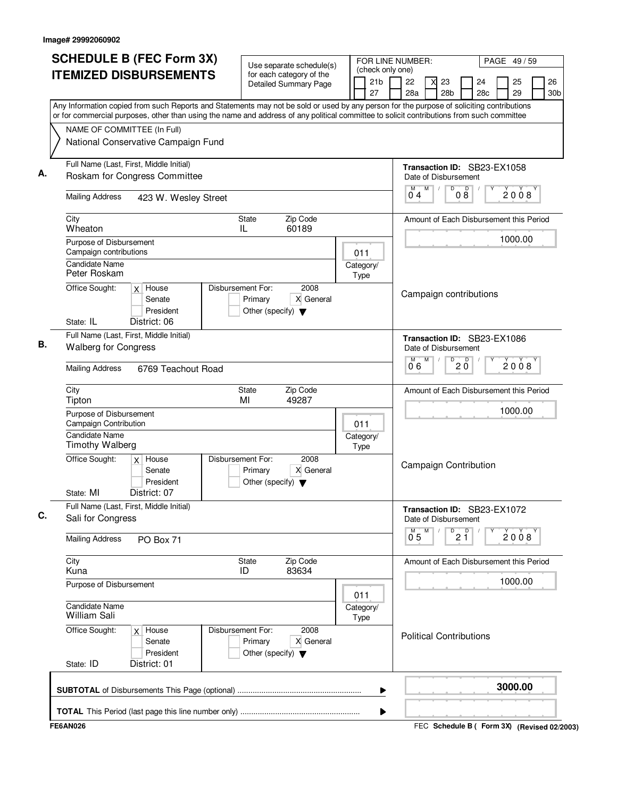| <b>SCHEDULE B (FEC Form 3X)</b><br><b>ITEMIZED DISBURSEMENTS</b>                                                                                                                                                                                                                       |                      | Use separate schedule(s)                                             | FOR LINE NUMBER:<br>(check only one)                     |                       |                |                                                               |                                 | PAGE 49/59 |          |      |           |
|----------------------------------------------------------------------------------------------------------------------------------------------------------------------------------------------------------------------------------------------------------------------------------------|----------------------|----------------------------------------------------------------------|----------------------------------------------------------|-----------------------|----------------|---------------------------------------------------------------|---------------------------------|------------|----------|------|-----------|
|                                                                                                                                                                                                                                                                                        |                      |                                                                      | for each category of the<br><b>Detailed Summary Page</b> | 21 <sub>b</sub><br>27 | 22<br>28a      | 23<br>X<br>28b                                                |                                 | 24<br>28c  | 25<br>29 |      | 26<br>30b |
| Any Information copied from such Reports and Statements may not be sold or used by any person for the purpose of soliciting contributions<br>or for commercial purposes, other than using the name and address of any political committee to solicit contributions from such committee |                      |                                                                      |                                                          |                       |                |                                                               |                                 |            |          |      |           |
| NAME OF COMMITTEE (In Full)                                                                                                                                                                                                                                                            |                      |                                                                      |                                                          |                       |                |                                                               |                                 |            |          |      |           |
| National Conservative Campaign Fund                                                                                                                                                                                                                                                    |                      |                                                                      |                                                          |                       |                |                                                               |                                 |            |          |      |           |
| Full Name (Last, First, Middle Initial)<br>Roskam for Congress Committee                                                                                                                                                                                                               |                      |                                                                      |                                                          |                       |                | Transaction ID: SB23-EX1058<br>Date of Disbursement           |                                 |            |          |      |           |
| <b>Mailing Address</b>                                                                                                                                                                                                                                                                 | 423 W. Wesley Street |                                                                      |                                                          |                       | M<br>04        | M<br>$\overline{D}$                                           | 0 <sup>0</sup>                  |            |          | 2008 |           |
| City<br>Wheaton                                                                                                                                                                                                                                                                        |                      | State<br>IL                                                          | Zip Code<br>60189                                        |                       |                | Amount of Each Disbursement this Period                       |                                 |            |          |      |           |
| Purpose of Disbursement<br>Campaign contributions                                                                                                                                                                                                                                      |                      |                                                                      |                                                          | 011                   |                |                                                               |                                 |            | 1000.00  |      |           |
| <b>Candidate Name</b><br>Peter Roskam                                                                                                                                                                                                                                                  |                      |                                                                      |                                                          | Category/<br>Type     |                |                                                               |                                 |            |          |      |           |
| Office Sought:<br>$x$ House<br>Senate<br>President                                                                                                                                                                                                                                     |                      | Disbursement For:<br>Primary<br>Other (specify) $\blacktriangledown$ | 2008<br>X General                                        |                       |                | Campaign contributions                                        |                                 |            |          |      |           |
| District: 06<br>State: IL<br>Full Name (Last, First, Middle Initial)                                                                                                                                                                                                                   |                      |                                                                      |                                                          |                       |                |                                                               |                                 |            |          |      |           |
| <b>Walberg for Congress</b>                                                                                                                                                                                                                                                            |                      |                                                                      |                                                          |                       |                | Transaction ID: SB23-EX1086<br>Date of Disbursement<br>M<br>D |                                 |            |          |      |           |
| <b>Mailing Address</b>                                                                                                                                                                                                                                                                 | 6769 Teachout Road   |                                                                      |                                                          |                       | 06             |                                                               | $20^{\circ}$                    |            |          | 2008 |           |
| City<br>Tipton                                                                                                                                                                                                                                                                         |                      | State<br>MI                                                          | Zip Code<br>49287                                        |                       |                | Amount of Each Disbursement this Period                       |                                 |            |          |      |           |
| Purpose of Disbursement<br>Campaign Contribution<br>Candidate Name                                                                                                                                                                                                                     |                      |                                                                      |                                                          | 011                   |                |                                                               |                                 |            | 1000.00  |      |           |
| <b>Timothy Walberg</b>                                                                                                                                                                                                                                                                 |                      |                                                                      |                                                          | Category/<br>Type     |                |                                                               |                                 |            |          |      |           |
| Office Sought:<br>House<br>X<br>Senate<br>President                                                                                                                                                                                                                                    |                      | Disbursement For:<br>Primary<br>Other (specify) $\blacktriangledown$ | 2008<br>X General                                        |                       |                | <b>Campaign Contribution</b>                                  |                                 |            |          |      |           |
| State: MI<br>District: 07                                                                                                                                                                                                                                                              |                      |                                                                      |                                                          |                       |                |                                                               |                                 |            |          |      |           |
| Full Name (Last, First, Middle Initial)<br>Sali for Congress                                                                                                                                                                                                                           |                      |                                                                      |                                                          |                       |                | Transaction ID: SB23-EX1072<br>Date of Disbursement<br>M      |                                 |            |          |      |           |
| <b>Mailing Address</b><br>PO Box 71                                                                                                                                                                                                                                                    |                      |                                                                      |                                                          |                       | 0 <sub>5</sub> |                                                               | $\overline{P}$ 2 $\overline{1}$ |            |          | 2008 |           |
| City<br>Kuna                                                                                                                                                                                                                                                                           |                      | State<br>ID                                                          | Zip Code<br>83634                                        |                       |                | Amount of Each Disbursement this Period                       |                                 |            |          |      |           |
| Purpose of Disbursement                                                                                                                                                                                                                                                                |                      |                                                                      |                                                          | 011                   |                |                                                               |                                 |            | 1000.00  |      |           |
| <b>Candidate Name</b><br>William Sali                                                                                                                                                                                                                                                  |                      |                                                                      |                                                          | Category/<br>Type     |                |                                                               |                                 |            |          |      |           |
| Office Sought:<br>$x$ House<br>Senate<br>President<br>State: ID<br>District: 01                                                                                                                                                                                                        |                      | Disbursement For:<br>Primary<br>Other (specify) $\blacktriangledown$ | 2008<br>X General                                        |                       |                | <b>Political Contributions</b>                                |                                 |            |          |      |           |
|                                                                                                                                                                                                                                                                                        |                      |                                                                      |                                                          |                       |                |                                                               |                                 |            | 3000.00  |      |           |
|                                                                                                                                                                                                                                                                                        |                      |                                                                      |                                                          | ▶                     |                |                                                               |                                 |            |          |      |           |
| <b>FE6AN026</b>                                                                                                                                                                                                                                                                        |                      |                                                                      |                                                          | ▶                     |                | FEC Schedule B ( Form 3X) (Revised 02/2003)                   |                                 |            |          |      |           |
|                                                                                                                                                                                                                                                                                        |                      |                                                                      |                                                          |                       |                |                                                               |                                 |            |          |      |           |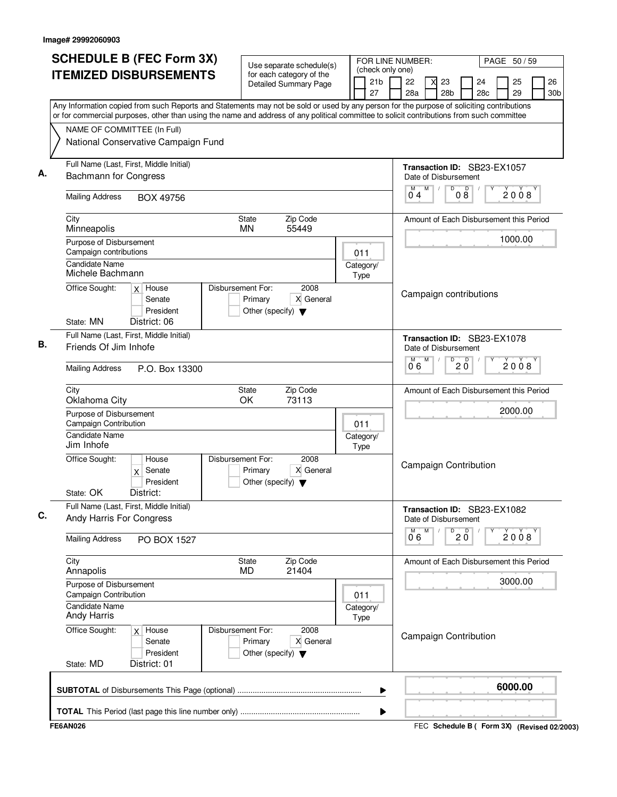|                                                         | <b>SCHEDULE B (FEC Form 3X)</b>                                                                                                                                                                                                                                                        |                                                                      | Use separate schedule(s) |                   | FOR LINE NUMBER:<br>(check only one) |           |                                                     |                 |                       | PAGE 50/59 |                       |
|---------------------------------------------------------|----------------------------------------------------------------------------------------------------------------------------------------------------------------------------------------------------------------------------------------------------------------------------------------|----------------------------------------------------------------------|--------------------------|-------------------|--------------------------------------|-----------|-----------------------------------------------------|-----------------|-----------------------|------------|-----------------------|
|                                                         | <b>ITEMIZED DISBURSEMENTS</b>                                                                                                                                                                                                                                                          | for each category of the<br><b>Detailed Summary Page</b>             |                          |                   | 21 <sub>b</sub><br>27                | 22<br>28a | 23<br>28 <sub>b</sub>                               |                 | 24<br>28 <sub>c</sub> | 25<br>29   | 26<br>30 <sub>b</sub> |
|                                                         | Any Information copied from such Reports and Statements may not be sold or used by any person for the purpose of soliciting contributions<br>or for commercial purposes, other than using the name and address of any political committee to solicit contributions from such committee |                                                                      |                          |                   |                                      |           |                                                     |                 |                       |            |                       |
|                                                         | NAME OF COMMITTEE (In Full)                                                                                                                                                                                                                                                            |                                                                      |                          |                   |                                      |           |                                                     |                 |                       |            |                       |
|                                                         | National Conservative Campaign Fund                                                                                                                                                                                                                                                    |                                                                      |                          |                   |                                      |           |                                                     |                 |                       |            |                       |
| <b>Bachmann for Congress</b>                            | Full Name (Last, First, Middle Initial)                                                                                                                                                                                                                                                |                                                                      |                          |                   |                                      |           | Transaction ID: SB23-EX1057<br>Date of Disbursement |                 |                       |            |                       |
| <b>Mailing Address</b>                                  | BOX 49756                                                                                                                                                                                                                                                                              |                                                                      |                          |                   |                                      | M<br>04   | M<br>D                                              | D<br>$0\bar{8}$ |                       | 2008       |                       |
| City<br>Minneapolis                                     |                                                                                                                                                                                                                                                                                        | <b>State</b><br><b>MN</b>                                            | Zip Code<br>55449        |                   |                                      |           | Amount of Each Disbursement this Period             |                 |                       |            |                       |
| Purpose of Disbursement<br>Campaign contributions       |                                                                                                                                                                                                                                                                                        |                                                                      |                          | 011               |                                      |           |                                                     |                 |                       | 1000.00    |                       |
| <b>Candidate Name</b><br>Michele Bachmann               |                                                                                                                                                                                                                                                                                        |                                                                      |                          | Category/<br>Type |                                      |           |                                                     |                 |                       |            |                       |
| Office Sought:<br>State: MN                             | $x$ House<br>Senate<br>President<br>District: 06                                                                                                                                                                                                                                       | Disbursement For:<br>Primary<br>Other (specify) $\blacktriangledown$ | 2008<br>X General        |                   |                                      |           | Campaign contributions                              |                 |                       |            |                       |
| Friends Of Jim Inhofe                                   | Full Name (Last, First, Middle Initial)                                                                                                                                                                                                                                                |                                                                      |                          |                   |                                      |           | Transaction ID: SB23-EX1078<br>Date of Disbursement |                 |                       |            |                       |
| <b>Mailing Address</b>                                  | P.O. Box 13300                                                                                                                                                                                                                                                                         |                                                                      |                          |                   |                                      | M<br>06   | M<br>D                                              | D<br>2 Ŏ        |                       | 2008       |                       |
| City<br>Oklahoma City                                   |                                                                                                                                                                                                                                                                                        | State<br>OK                                                          | Zip Code<br>73113        |                   |                                      |           | Amount of Each Disbursement this Period             |                 |                       |            |                       |
| Purpose of Disbursement<br><b>Campaign Contribution</b> |                                                                                                                                                                                                                                                                                        |                                                                      |                          | 011               |                                      |           |                                                     |                 |                       | 2000.00    |                       |
| <b>Candidate Name</b><br>Jim Inhofe                     |                                                                                                                                                                                                                                                                                        |                                                                      |                          | Category/<br>Type |                                      |           |                                                     |                 |                       |            |                       |
| Office Sought:<br>State: OK                             | House<br>$x$ Senate<br>President<br>District:                                                                                                                                                                                                                                          | Disbursement For:<br>Primary<br>Other (specify) $\blacktriangledown$ | 2008<br>X General        |                   |                                      |           | <b>Campaign Contribution</b>                        |                 |                       |            |                       |
|                                                         | Full Name (Last, First, Middle Initial)<br>Andy Harris For Congress                                                                                                                                                                                                                    |                                                                      |                          |                   |                                      |           | Transaction ID: SB23-EX1082<br>Date of Disbursement |                 |                       |            |                       |
| <b>Mailing Address</b>                                  | PO BOX 1527                                                                                                                                                                                                                                                                            |                                                                      |                          |                   |                                      | 06        | M<br>D                                              | $20^{\circ}$    |                       | 2008       |                       |
| City<br>Annapolis                                       |                                                                                                                                                                                                                                                                                        | State<br>MD.                                                         | Zip Code<br>21404        |                   |                                      |           | Amount of Each Disbursement this Period             |                 |                       |            |                       |
| Purpose of Disbursement<br>Campaign Contribution        |                                                                                                                                                                                                                                                                                        |                                                                      |                          | 011               |                                      |           |                                                     |                 |                       | 3000.00    |                       |
| Candidate Name<br><b>Andy Harris</b>                    |                                                                                                                                                                                                                                                                                        |                                                                      |                          | Category/<br>Type |                                      |           |                                                     |                 |                       |            |                       |
| Office Sought:<br>State: MD                             | $x$ House<br>Senate<br>President<br>District: 01                                                                                                                                                                                                                                       | Disbursement For:<br>Primary<br>Other (specify) $\blacktriangledown$ | 2008<br>X General        |                   |                                      |           | <b>Campaign Contribution</b>                        |                 |                       |            |                       |
|                                                         |                                                                                                                                                                                                                                                                                        |                                                                      |                          |                   | ▶                                    |           |                                                     |                 |                       | 6000.00    |                       |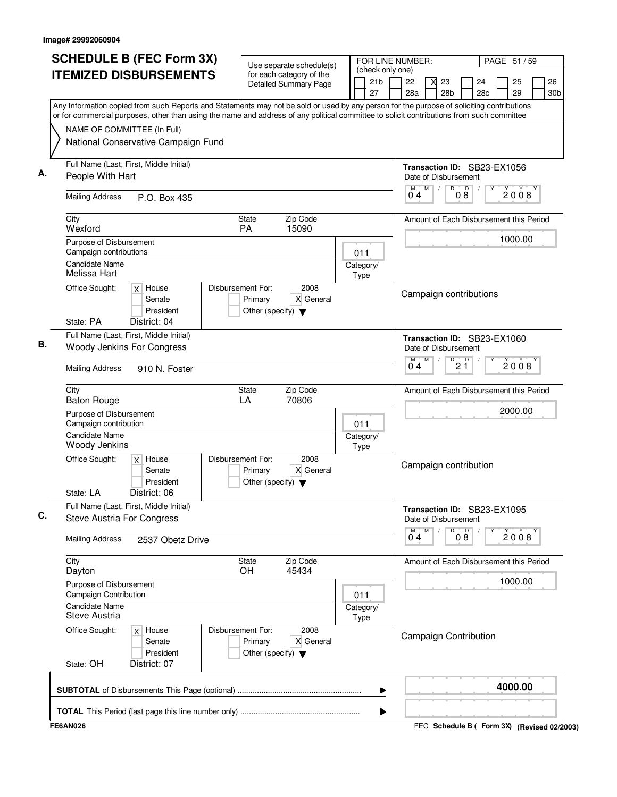| <b>SCHEDULE B (FEC Form 3X)</b>                                                                                                           | Use separate schedule(s)                                                                  | FOR LINE NUMBER:                          |                                                     | PAGE 51 / 59                                               |
|-------------------------------------------------------------------------------------------------------------------------------------------|-------------------------------------------------------------------------------------------|-------------------------------------------|-----------------------------------------------------|------------------------------------------------------------|
| <b>ITEMIZED DISBURSEMENTS</b>                                                                                                             | for each category of the<br><b>Detailed Summary Page</b>                                  | (check only one)<br>21 <sub>b</sub><br>27 | 22<br>23<br>28a<br>28 <sub>b</sub>                  | 26<br>25<br>24<br>28 <sub>c</sub><br>29<br>30 <sub>b</sub> |
| Any Information copied from such Reports and Statements may not be sold or used by any person for the purpose of soliciting contributions |                                                                                           |                                           |                                                     |                                                            |
| or for commercial purposes, other than using the name and address of any political committee to solicit contributions from such committee |                                                                                           |                                           |                                                     |                                                            |
| NAME OF COMMITTEE (In Full)<br>National Conservative Campaign Fund                                                                        |                                                                                           |                                           |                                                     |                                                            |
|                                                                                                                                           |                                                                                           |                                           |                                                     |                                                            |
| Full Name (Last, First, Middle Initial)<br>People With Hart                                                                               |                                                                                           |                                           | Transaction ID: SB23-EX1056<br>Date of Disbursement |                                                            |
| <b>Mailing Address</b><br>P.O. Box 435                                                                                                    |                                                                                           |                                           | M<br>$\overline{D}$<br>D<br>08<br>04                | 2008                                                       |
| City<br>Wexford                                                                                                                           | Zip Code<br>State<br>PA<br>15090                                                          |                                           |                                                     | Amount of Each Disbursement this Period                    |
| Purpose of Disbursement<br>Campaign contributions                                                                                         |                                                                                           | 011                                       |                                                     | 1000.00                                                    |
| Candidate Name<br>Melissa Hart                                                                                                            |                                                                                           | Category/<br>Type                         |                                                     |                                                            |
| Office Sought:<br>$x$ House<br>Senate<br>President<br>State: PA<br>District: 04                                                           | Disbursement For:<br>2008<br>X General<br>Primary<br>Other (specify) $\blacktriangledown$ |                                           | Campaign contributions                              |                                                            |
| Full Name (Last, First, Middle Initial)<br>Woody Jenkins For Congress                                                                     |                                                                                           |                                           | Transaction ID: SB23-EX1060<br>Date of Disbursement |                                                            |
| <b>Mailing Address</b><br>910 N. Foster                                                                                                   |                                                                                           |                                           | M<br>$\overline{P}$ 2 $\overline{1}$<br>04          | 2008                                                       |
| City<br><b>Baton Rouge</b>                                                                                                                | Zip Code<br>State<br>LA<br>70806                                                          |                                           |                                                     | Amount of Each Disbursement this Period                    |
| Purpose of Disbursement<br>Campaign contribution                                                                                          |                                                                                           | 011                                       |                                                     | 2000.00                                                    |
| <b>Candidate Name</b><br>Woody Jenkins                                                                                                    |                                                                                           | Category/<br>Type                         |                                                     |                                                            |
| Office Sought:<br>$x$ House<br>Senate<br>President<br>District: 06<br>State: LA                                                           | Disbursement For:<br>2008<br>X General<br>Primary<br>Other (specify) $\blacktriangledown$ |                                           | Campaign contribution                               |                                                            |
| Full Name (Last, First, Middle Initial)<br><b>Steve Austria For Congress</b>                                                              |                                                                                           |                                           | Transaction ID: SB23-EX1095<br>Date of Disbursement |                                                            |
| <b>Mailing Address</b><br>2537 Obetz Drive                                                                                                |                                                                                           |                                           | M<br>08<br>D<br>0 <sub>4</sub>                      | 2008                                                       |
| City<br>Dayton                                                                                                                            | Zip Code<br>State<br>45434<br>OH.                                                         |                                           |                                                     | Amount of Each Disbursement this Period                    |
| Purpose of Disbursement<br>Campaign Contribution                                                                                          |                                                                                           | 011                                       |                                                     | 1000.00                                                    |
| Candidate Name<br>Steve Austria                                                                                                           |                                                                                           | Category/<br>Type                         |                                                     |                                                            |
| Office Sought:<br>$x$ House<br>Senate<br>President<br>State: OH<br>District: 07                                                           | Disbursement For:<br>2008<br>Primary<br>X General<br>Other (specify) $\blacktriangledown$ |                                           | <b>Campaign Contribution</b>                        |                                                            |
|                                                                                                                                           |                                                                                           | ▶                                         |                                                     | 4000.00                                                    |
|                                                                                                                                           |                                                                                           | ▶                                         |                                                     |                                                            |
| <b>FE6AN026</b>                                                                                                                           |                                                                                           |                                           |                                                     | FEC Schedule B ( Form 3X) (Revised 02/2003)                |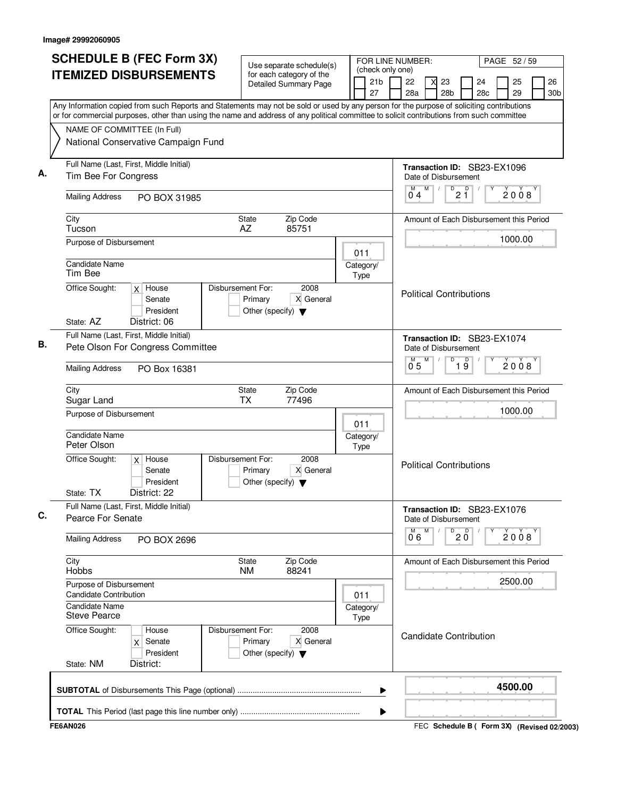| <b>SCHEDULE B (FEC Form 3X)</b>                                                                                                                                                                                                                                                        |                                                                                           | FOR LINE NUMBER:<br>PAGE 52 / 59 |                                                                                                  |
|----------------------------------------------------------------------------------------------------------------------------------------------------------------------------------------------------------------------------------------------------------------------------------------|-------------------------------------------------------------------------------------------|----------------------------------|--------------------------------------------------------------------------------------------------|
| <b>ITEMIZED DISBURSEMENTS</b>                                                                                                                                                                                                                                                          | Use separate schedule(s)<br>for each category of the<br><b>Detailed Summary Page</b>      | (check only one)<br>21b<br>27    | 22<br>23<br>25<br>26<br>24<br>28a<br>28 <sub>b</sub><br>28 <sub>c</sub><br>29<br>30 <sub>b</sub> |
| Any Information copied from such Reports and Statements may not be sold or used by any person for the purpose of soliciting contributions<br>or for commercial purposes, other than using the name and address of any political committee to solicit contributions from such committee |                                                                                           |                                  |                                                                                                  |
| NAME OF COMMITTEE (In Full)                                                                                                                                                                                                                                                            |                                                                                           |                                  |                                                                                                  |
| National Conservative Campaign Fund                                                                                                                                                                                                                                                    |                                                                                           |                                  |                                                                                                  |
| Full Name (Last, First, Middle Initial)<br>Tim Bee For Congress                                                                                                                                                                                                                        |                                                                                           |                                  | Transaction ID: SB23-EX1096<br>Date of Disbursement                                              |
| <b>Mailing Address</b><br>PO BOX 31985                                                                                                                                                                                                                                                 |                                                                                           |                                  | M<br>$\sqrt{\frac{D}{2}}$<br>M<br>2008<br>04                                                     |
| City<br>Tucson                                                                                                                                                                                                                                                                         | Zip Code<br>State<br>AZ<br>85751                                                          |                                  | Amount of Each Disbursement this Period                                                          |
| Purpose of Disbursement                                                                                                                                                                                                                                                                |                                                                                           | 011                              | 1000.00                                                                                          |
| <b>Candidate Name</b><br>Tim Bee                                                                                                                                                                                                                                                       |                                                                                           | Category/<br>Type                |                                                                                                  |
| Office Sought:<br>$x$ House<br>Senate<br>President<br>State: AZ<br>District: 06                                                                                                                                                                                                        | Disbursement For:<br>2008<br>X General<br>Primary<br>Other (specify) $\blacktriangledown$ |                                  | <b>Political Contributions</b>                                                                   |
| Full Name (Last, First, Middle Initial)<br>Pete Olson For Congress Committee                                                                                                                                                                                                           |                                                                                           |                                  | Transaction ID: SB23-EX1074<br>Date of Disbursement                                              |
| <b>Mailing Address</b><br>PO Box 16381                                                                                                                                                                                                                                                 |                                                                                           |                                  | M<br>D<br>$\overline{19}$<br>2008<br>$0^{\degree}5$                                              |
| City<br>Sugar Land                                                                                                                                                                                                                                                                     | Zip Code<br>State<br><b>TX</b><br>77496                                                   |                                  | Amount of Each Disbursement this Period                                                          |
| Purpose of Disbursement                                                                                                                                                                                                                                                                |                                                                                           |                                  | 1000.00                                                                                          |
| <b>Candidate Name</b><br>Peter Olson                                                                                                                                                                                                                                                   |                                                                                           | 011<br>Category/<br>Type         |                                                                                                  |
| Office Sought:<br>$x$ House<br>Senate<br>President<br>State: TX<br>District: 22                                                                                                                                                                                                        | Disbursement For:<br>2008<br>X General<br>Primary<br>Other (specify) $\blacktriangledown$ |                                  | <b>Political Contributions</b>                                                                   |
| Full Name (Last, First, Middle Initial)<br>Pearce For Senate                                                                                                                                                                                                                           |                                                                                           |                                  | Transaction ID: SB23-EX1076<br>Date of Disbursement                                              |
| <b>Mailing Address</b><br>PO BOX 2696                                                                                                                                                                                                                                                  |                                                                                           |                                  | M<br>D<br>p<br>2008<br>$20^{\circ}$<br>06                                                        |
| City<br>Hobbs                                                                                                                                                                                                                                                                          | Zip Code<br>State<br>88241<br>NM.                                                         |                                  | Amount of Each Disbursement this Period                                                          |
| Purpose of Disbursement<br><b>Candidate Contribution</b>                                                                                                                                                                                                                               |                                                                                           | 011                              | 2500.00                                                                                          |
| <b>Candidate Name</b><br><b>Steve Pearce</b>                                                                                                                                                                                                                                           |                                                                                           | Category/<br>Type                |                                                                                                  |
| Office Sought:<br>House<br>Senate<br>X<br>President<br>State: NM<br>District:                                                                                                                                                                                                          | Disbursement For:<br>2008<br>Primary<br>X General<br>Other (specify) $\blacktriangledown$ |                                  | Candidate Contribution                                                                           |
|                                                                                                                                                                                                                                                                                        |                                                                                           | ▶                                | 4500.00                                                                                          |
|                                                                                                                                                                                                                                                                                        |                                                                                           | ▶                                |                                                                                                  |
| <b>FE6AN026</b>                                                                                                                                                                                                                                                                        |                                                                                           |                                  | FEC Schedule B ( Form 3X) (Revised 02/2003)                                                      |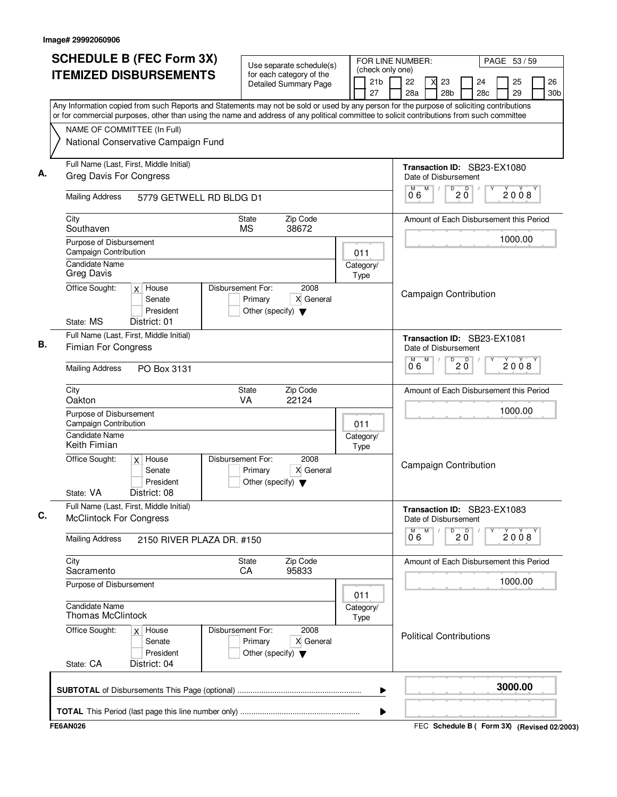| <b>SCHEDULE B (FEC Form 3X)</b>                                                                                                           | Use separate schedule(s)                                                                  | FOR LINE NUMBER:                          |                                     | PAGE 53 / 59                                   |
|-------------------------------------------------------------------------------------------------------------------------------------------|-------------------------------------------------------------------------------------------|-------------------------------------------|-------------------------------------|------------------------------------------------|
| <b>ITEMIZED DISBURSEMENTS</b>                                                                                                             | for each category of the<br><b>Detailed Summary Page</b>                                  | (check only one)<br>21 <sub>b</sub><br>27 | 22<br>23<br>28a<br>28 <sub>b</sub>  | 26<br>25<br>24<br>28c<br>29<br>30 <sub>b</sub> |
| Any Information copied from such Reports and Statements may not be sold or used by any person for the purpose of soliciting contributions |                                                                                           |                                           |                                     |                                                |
| or for commercial purposes, other than using the name and address of any political committee to solicit contributions from such committee |                                                                                           |                                           |                                     |                                                |
| NAME OF COMMITTEE (In Full)<br>National Conservative Campaign Fund                                                                        |                                                                                           |                                           |                                     |                                                |
| Full Name (Last, First, Middle Initial)                                                                                                   |                                                                                           |                                           |                                     | Transaction ID: SB23-EX1080                    |
| Greg Davis For Congress                                                                                                                   |                                                                                           |                                           | Date of Disbursement<br>M           |                                                |
| <b>Mailing Address</b><br>5779 GETWELL RD BLDG D1                                                                                         |                                                                                           |                                           | $\sqrt{\frac{D}{2}}\tilde{Q}$<br>06 | 2008                                           |
| City<br>Southaven                                                                                                                         | Zip Code<br>State<br><b>MS</b><br>38672                                                   |                                           |                                     | Amount of Each Disbursement this Period        |
| Purpose of Disbursement<br><b>Campaign Contribution</b>                                                                                   |                                                                                           | 011                                       |                                     | 1000.00                                        |
| Candidate Name<br><b>Greg Davis</b>                                                                                                       |                                                                                           | Category/<br>Type                         |                                     |                                                |
| Office Sought:<br>$x$ House<br>Senate<br>President<br>State: MS<br>District: 01                                                           | Disbursement For:<br>2008<br>X General<br>Primary<br>Other (specify) $\blacktriangledown$ |                                           | <b>Campaign Contribution</b>        |                                                |
| Full Name (Last, First, Middle Initial)<br><b>Fimian For Congress</b>                                                                     |                                                                                           |                                           | Date of Disbursement                | Transaction ID: SB23-EX1081                    |
| <b>Mailing Address</b><br>PO Box 3131                                                                                                     |                                                                                           |                                           | M<br>D<br>06                        | D<br>2008<br>2 Ŏ                               |
| City<br>Oakton                                                                                                                            | Zip Code<br>State<br>VA<br>22124                                                          |                                           |                                     | Amount of Each Disbursement this Period        |
| Purpose of Disbursement<br>Campaign Contribution                                                                                          |                                                                                           | 011                                       |                                     | 1000.00                                        |
| <b>Candidate Name</b><br>Keith Fimian                                                                                                     |                                                                                           | Category/<br>Type                         |                                     |                                                |
| Office Sought:<br>$x$ House<br>Senate<br>President<br>State: VA<br>District: 08                                                           | Disbursement For:<br>2008<br>X General<br>Primary<br>Other (specify) $\blacktriangledown$ |                                           | <b>Campaign Contribution</b>        |                                                |
| Full Name (Last, First, Middle Initial)<br><b>McClintock For Congress</b>                                                                 |                                                                                           |                                           | Date of Disbursement                | Transaction ID: SB23-EX1083                    |
| <b>Mailing Address</b><br>2150 RIVER PLAZA DR. #150                                                                                       |                                                                                           |                                           | M<br>D<br>0.6                       | $20^{\circ}$<br>2008                           |
| City<br>Sacramento                                                                                                                        | Zip Code<br>State<br>95833<br>СA                                                          |                                           |                                     | Amount of Each Disbursement this Period        |
| Purpose of Disbursement                                                                                                                   |                                                                                           | 011                                       |                                     | 1000.00                                        |
| <b>Candidate Name</b><br><b>Thomas McClintock</b>                                                                                         |                                                                                           | Category/<br>Type                         |                                     |                                                |
| Office Sought:<br>$x$ House<br>Senate<br>President<br>State: CA<br>District: 04                                                           | Disbursement For:<br>2008<br>Primary<br>X General<br>Other (specify) $\blacktriangledown$ |                                           | <b>Political Contributions</b>      |                                                |
|                                                                                                                                           |                                                                                           | ▶                                         |                                     | 3000.00                                        |
|                                                                                                                                           |                                                                                           | ▶                                         |                                     |                                                |
| <b>FE6AN026</b>                                                                                                                           |                                                                                           |                                           |                                     | FEC Schedule B ( Form 3X) (Revised 02/2003)    |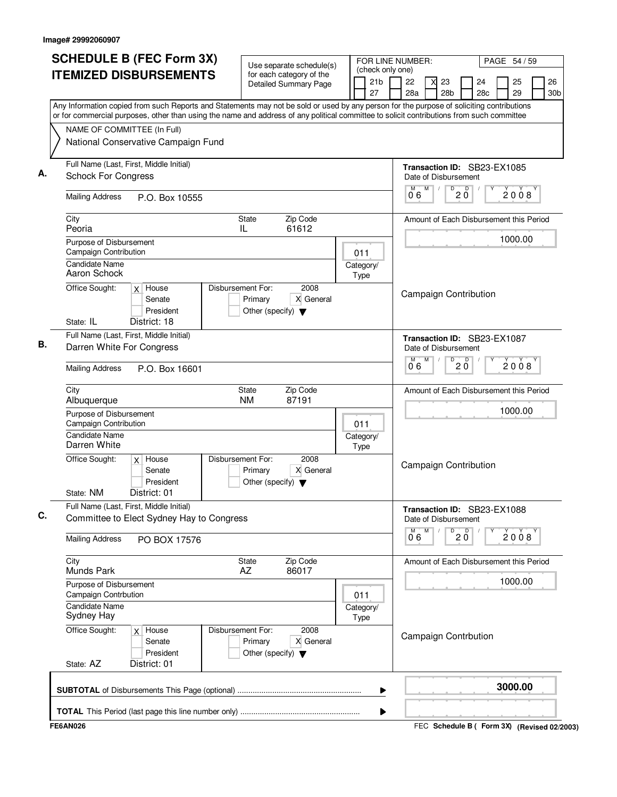| <b>SCHEDULE B (FEC Form 3X)</b>                                                                                                           | Use separate schedule(s)                                                                  | FOR LINE NUMBER:                          |                                                       | PAGE 54 / 59                                               |
|-------------------------------------------------------------------------------------------------------------------------------------------|-------------------------------------------------------------------------------------------|-------------------------------------------|-------------------------------------------------------|------------------------------------------------------------|
| <b>ITEMIZED DISBURSEMENTS</b>                                                                                                             | for each category of the<br><b>Detailed Summary Page</b>                                  | (check only one)<br>21 <sub>b</sub><br>27 | 22<br>23<br>28a<br>28 <sub>b</sub>                    | 26<br>25<br>24<br>28 <sub>c</sub><br>29<br>30 <sub>b</sub> |
| Any Information copied from such Reports and Statements may not be sold or used by any person for the purpose of soliciting contributions |                                                                                           |                                           |                                                       |                                                            |
| or for commercial purposes, other than using the name and address of any political committee to solicit contributions from such committee |                                                                                           |                                           |                                                       |                                                            |
| NAME OF COMMITTEE (In Full)<br>National Conservative Campaign Fund                                                                        |                                                                                           |                                           |                                                       |                                                            |
| Full Name (Last, First, Middle Initial)<br><b>Schock For Congress</b>                                                                     |                                                                                           |                                           | Date of Disbursement                                  | Transaction ID: SB23-EX1085                                |
| <b>Mailing Address</b><br>P.O. Box 10555                                                                                                  |                                                                                           |                                           | M<br>$\sqrt{\frac{D}{2}}\underline{\mathbf{0}}$<br>06 | 2008                                                       |
| City<br>Peoria                                                                                                                            | State<br>Zip Code<br>61612<br>IL                                                          |                                           |                                                       | Amount of Each Disbursement this Period                    |
| Purpose of Disbursement<br>Campaign Contribution                                                                                          |                                                                                           | 011                                       |                                                       | 1000.00                                                    |
| Candidate Name<br>Aaron Schock                                                                                                            |                                                                                           | Category/<br>Type                         |                                                       |                                                            |
| Office Sought:<br>$x$ House<br>Senate<br>President<br>State: IL<br>District: 18                                                           | Disbursement For:<br>2008<br>X General<br>Primary<br>Other (specify) $\blacktriangledown$ |                                           | <b>Campaign Contribution</b>                          |                                                            |
| Full Name (Last, First, Middle Initial)<br>Darren White For Congress                                                                      |                                                                                           |                                           | Date of Disbursement                                  | Transaction ID: SB23-EX1087                                |
| <b>Mailing Address</b><br>P.O. Box 16601                                                                                                  |                                                                                           |                                           | M<br>D<br>2 Ŏ<br>06                                   | D<br>2008                                                  |
| City<br>Albuquerque                                                                                                                       | Zip Code<br>State<br>87191<br><b>NM</b>                                                   |                                           |                                                       | Amount of Each Disbursement this Period                    |
| Purpose of Disbursement<br>Campaign Contribution                                                                                          |                                                                                           | 011                                       |                                                       | 1000.00                                                    |
| <b>Candidate Name</b><br>Darren White                                                                                                     |                                                                                           | Category/<br>Type                         |                                                       |                                                            |
| Office Sought:<br>$x$ House<br>Senate<br>President<br>District: 01<br>State: NM                                                           | Disbursement For:<br>2008<br>X General<br>Primary<br>Other (specify) $\blacktriangledown$ |                                           | <b>Campaign Contribution</b>                          |                                                            |
| Full Name (Last, First, Middle Initial)<br>Committee to Elect Sydney Hay to Congress                                                      |                                                                                           |                                           | Date of Disbursement                                  | Transaction ID: SB23-EX1088                                |
| <b>Mailing Address</b><br>PO BOX 17576                                                                                                    |                                                                                           |                                           | M<br>D<br>0.6                                         | $20^{\circ}$<br>2008                                       |
| City<br><b>Munds Park</b>                                                                                                                 | Zip Code<br>State<br>86017<br>AZ                                                          |                                           |                                                       | Amount of Each Disbursement this Period                    |
| Purpose of Disbursement<br>Campaign Contrbution                                                                                           |                                                                                           | 011                                       |                                                       | 1000.00                                                    |
| Candidate Name<br>Sydney Hay                                                                                                              |                                                                                           | Category/<br>Type                         |                                                       |                                                            |
| Office Sought:<br>$x$ House<br>Senate<br>President<br>State: AZ<br>District: 01                                                           | Disbursement For:<br>2008<br>Primary<br>X General<br>Other (specify) $\blacktriangledown$ |                                           | Campaign Contrbution                                  |                                                            |
|                                                                                                                                           |                                                                                           | ▶                                         |                                                       | 3000.00                                                    |
|                                                                                                                                           |                                                                                           | ▶                                         |                                                       |                                                            |
| <b>FE6AN026</b>                                                                                                                           |                                                                                           |                                           |                                                       | FEC Schedule B ( Form 3X) (Revised 02/2003)                |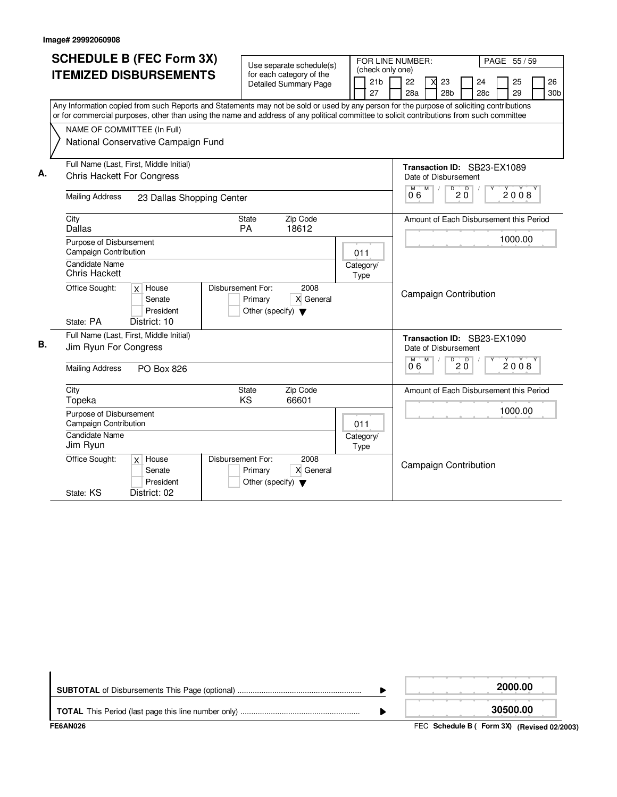|    | <b>SCHEDULE B (FEC Form 3X)</b>                                                                                                                                                                                                                                                        |                                                                      |                                                          |                   |                              | FOR LINE NUMBER:     |   |                                        |              |                                         |              |                 |
|----|----------------------------------------------------------------------------------------------------------------------------------------------------------------------------------------------------------------------------------------------------------------------------------------|----------------------------------------------------------------------|----------------------------------------------------------|-------------------|------------------------------|----------------------|---|----------------------------------------|--------------|-----------------------------------------|--------------|-----------------|
|    |                                                                                                                                                                                                                                                                                        |                                                                      | Use separate schedule(s)                                 |                   |                              | (check only one)     |   |                                        |              |                                         | PAGE 55 / 59 |                 |
|    | <b>ITEMIZED DISBURSEMENTS</b>                                                                                                                                                                                                                                                          |                                                                      | for each category of the<br><b>Detailed Summary Page</b> |                   | 21 <sub>b</sub>              | 22                   | X | 23                                     |              | 24                                      | 25           | 26              |
|    |                                                                                                                                                                                                                                                                                        |                                                                      |                                                          |                   | 27                           | 28a                  |   | 28 <sub>b</sub>                        |              | 28 <sub>c</sub>                         | 29           | 30 <sub>b</sub> |
|    | Any Information copied from such Reports and Statements may not be sold or used by any person for the purpose of soliciting contributions<br>or for commercial purposes, other than using the name and address of any political committee to solicit contributions from such committee |                                                                      |                                                          |                   |                              |                      |   |                                        |              |                                         |              |                 |
|    | NAME OF COMMITTEE (In Full)                                                                                                                                                                                                                                                            |                                                                      |                                                          |                   |                              |                      |   |                                        |              |                                         |              |                 |
|    | National Conservative Campaign Fund                                                                                                                                                                                                                                                    |                                                                      |                                                          |                   |                              |                      |   |                                        |              |                                         |              |                 |
|    | Full Name (Last, First, Middle Initial)                                                                                                                                                                                                                                                |                                                                      |                                                          |                   |                              |                      |   |                                        |              | Transaction ID: SB23-EX1089             |              |                 |
| А. | <b>Chris Hackett For Congress</b>                                                                                                                                                                                                                                                      |                                                                      |                                                          |                   |                              |                      |   | Date of Disbursement                   |              |                                         |              |                 |
|    | <b>Mailing Address</b><br>23 Dallas Shopping Center                                                                                                                                                                                                                                    |                                                                      |                                                          |                   |                              | $0^{\overline{M}}$ 6 | M | $\sqrt{ }$<br>$\overline{D}$           | $20^{\circ}$ |                                         | 2008         |                 |
|    | City<br>Dallas                                                                                                                                                                                                                                                                         | <b>State</b><br>PA                                                   | Zip Code<br>18612                                        |                   |                              |                      |   |                                        |              | Amount of Each Disbursement this Period |              |                 |
|    | Purpose of Disbursement<br>Campaign Contribution                                                                                                                                                                                                                                       |                                                                      |                                                          | 011               |                              |                      |   |                                        |              |                                         | 1000.00      |                 |
|    | <b>Candidate Name</b><br>Chris Hackett                                                                                                                                                                                                                                                 |                                                                      |                                                          | Category/<br>Type |                              |                      |   |                                        |              |                                         |              |                 |
|    | Office Sought:<br>$x$ House<br>Senate<br>President<br>District: 10<br>State: PA                                                                                                                                                                                                        | Disbursement For:<br>Primary<br>Other (specify) $\blacktriangledown$ | 2008<br>X General                                        |                   |                              |                      |   |                                        |              | <b>Campaign Contribution</b>            |              |                 |
| В. | Full Name (Last, First, Middle Initial)<br>Jim Ryun For Congress                                                                                                                                                                                                                       |                                                                      |                                                          |                   |                              | M                    | M | Date of Disbursement<br>$\overline{D}$ | D            | Transaction ID: SB23-EX1090             |              |                 |
|    | <b>Mailing Address</b><br>PO Box 826                                                                                                                                                                                                                                                   |                                                                      |                                                          |                   |                              | 06                   |   |                                        | 20           |                                         | 2008         |                 |
|    | City<br>Topeka                                                                                                                                                                                                                                                                         | State<br><b>KS</b>                                                   | Zip Code<br>66601                                        |                   |                              |                      |   |                                        |              | Amount of Each Disbursement this Period |              |                 |
|    | Purpose of Disbursement<br>Campaign Contribution                                                                                                                                                                                                                                       |                                                                      |                                                          | 011               |                              |                      |   |                                        |              |                                         | 1000.00      |                 |
|    | <b>Candidate Name</b><br>Jim Ryun                                                                                                                                                                                                                                                      |                                                                      |                                                          | Category/<br>Type |                              |                      |   |                                        |              |                                         |              |                 |
|    | Office Sought:<br>$x$ House<br>Senate<br>President                                                                                                                                                                                                                                     | Disbursement For:<br>Primary<br>Other (specify) $\blacktriangledown$ | 2008<br>X General                                        |                   | <b>Campaign Contribution</b> |                      |   |                                        |              |                                         |              |                 |
|    | District: 02<br>State: KS                                                                                                                                                                                                                                                              |                                                                      |                                                          |                   |                              |                      |   |                                        |              |                                         |              |                 |

| FE6AN026 | FEC Schedule B ( Form 3X) (Revised 02/2003) |
|----------|---------------------------------------------|
|          | 30500.00                                    |
|          | 2000.00                                     |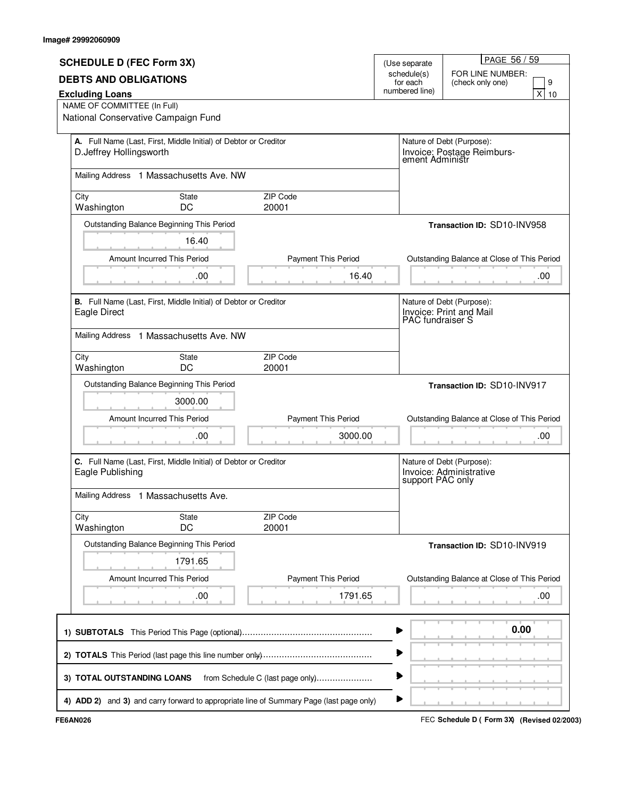|                                                                |                                                                  |                                                                                         |                         | PAGE 56 / 59                                  |  |  |
|----------------------------------------------------------------|------------------------------------------------------------------|-----------------------------------------------------------------------------------------|-------------------------|-----------------------------------------------|--|--|
| <b>SCHEDULE D (FEC Form 3X)</b>                                |                                                                  |                                                                                         | (Use separate           |                                               |  |  |
| <b>DEBTS AND OBLIGATIONS</b>                                   |                                                                  |                                                                                         | schedule(s)<br>for each | FOR LINE NUMBER:<br>9<br>(check only one)     |  |  |
| <b>Excluding Loans</b>                                         |                                                                  | numbered line)                                                                          | x <sub>l</sub><br>10    |                                               |  |  |
| NAME OF COMMITTEE (In Full)                                    |                                                                  |                                                                                         |                         |                                               |  |  |
| National Conservative Campaign Fund                            |                                                                  |                                                                                         |                         |                                               |  |  |
|                                                                | A. Full Name (Last, First, Middle Initial) of Debtor or Creditor |                                                                                         |                         |                                               |  |  |
| D.Jeffrey Hollingsworth                                        |                                                                  |                                                                                         |                         | Nature of Debt (Purpose):                     |  |  |
|                                                                |                                                                  |                                                                                         |                         | Invoice: Postage Reimburs-<br>ement Administr |  |  |
|                                                                | Mailing Address 1 Massachusetts Ave. NW                          |                                                                                         |                         |                                               |  |  |
|                                                                |                                                                  |                                                                                         |                         |                                               |  |  |
| City                                                           | State                                                            | <b>ZIP Code</b>                                                                         |                         |                                               |  |  |
| Washington                                                     | DC                                                               | 20001                                                                                   |                         |                                               |  |  |
|                                                                | Outstanding Balance Beginning This Period                        |                                                                                         |                         | Transaction ID: SD10-INV958                   |  |  |
|                                                                | 16.40                                                            |                                                                                         |                         |                                               |  |  |
|                                                                | Amount Incurred This Period                                      | <b>Payment This Period</b>                                                              |                         | Outstanding Balance at Close of This Period   |  |  |
|                                                                |                                                                  |                                                                                         |                         |                                               |  |  |
|                                                                | .00                                                              | 16.40                                                                                   |                         | .00.                                          |  |  |
|                                                                | B. Full Name (Last, First, Middle Initial) of Debtor or Creditor |                                                                                         |                         | Nature of Debt (Purpose):                     |  |  |
| Eagle Direct                                                   |                                                                  |                                                                                         |                         | Invoice: Print and Mail                       |  |  |
|                                                                |                                                                  |                                                                                         |                         | PAC fundraiser S                              |  |  |
|                                                                | Mailing Address 1 Massachusetts Ave. NW                          |                                                                                         |                         |                                               |  |  |
|                                                                |                                                                  |                                                                                         |                         |                                               |  |  |
| City                                                           | State                                                            | ZIP Code                                                                                |                         |                                               |  |  |
| Washington                                                     | DC                                                               | 20001                                                                                   |                         |                                               |  |  |
|                                                                | Outstanding Balance Beginning This Period                        |                                                                                         |                         | Transaction ID: SD10-INV917                   |  |  |
|                                                                | 3000.00                                                          |                                                                                         |                         |                                               |  |  |
|                                                                | Amount Incurred This Period                                      | <b>Payment This Period</b>                                                              |                         | Outstanding Balance at Close of This Period   |  |  |
|                                                                |                                                                  |                                                                                         |                         |                                               |  |  |
|                                                                | .00                                                              | 3000.00                                                                                 |                         | .00.                                          |  |  |
|                                                                |                                                                  |                                                                                         |                         |                                               |  |  |
|                                                                | C. Full Name (Last, First, Middle Initial) of Debtor or Creditor |                                                                                         |                         | Nature of Debt (Purpose):                     |  |  |
|                                                                | Eagle Publishing                                                 |                                                                                         |                         | Invoice: Administrative<br>support PAC only   |  |  |
|                                                                |                                                                  |                                                                                         |                         |                                               |  |  |
| Mailing Address 1 Massachusetts Ave.                           |                                                                  |                                                                                         |                         |                                               |  |  |
| City                                                           | State                                                            | ZIP Code                                                                                |                         |                                               |  |  |
| Washington                                                     | DC                                                               | 20001                                                                                   |                         |                                               |  |  |
|                                                                | Outstanding Balance Beginning This Period                        |                                                                                         |                         | Transaction ID: SD10-INV919                   |  |  |
|                                                                |                                                                  |                                                                                         |                         |                                               |  |  |
|                                                                | 1791.65                                                          |                                                                                         |                         |                                               |  |  |
|                                                                | Amount Incurred This Period                                      | <b>Payment This Period</b>                                                              |                         | Outstanding Balance at Close of This Period   |  |  |
|                                                                | .00                                                              | 1791.65                                                                                 |                         | .00                                           |  |  |
|                                                                |                                                                  |                                                                                         |                         |                                               |  |  |
|                                                                |                                                                  |                                                                                         |                         |                                               |  |  |
|                                                                |                                                                  |                                                                                         |                         | 0.00                                          |  |  |
|                                                                |                                                                  |                                                                                         |                         |                                               |  |  |
|                                                                |                                                                  |                                                                                         |                         |                                               |  |  |
|                                                                |                                                                  |                                                                                         |                         |                                               |  |  |
| 3) TOTAL OUTSTANDING LOANS<br>from Schedule C (last page only) |                                                                  |                                                                                         |                         |                                               |  |  |
|                                                                |                                                                  |                                                                                         | ▶                       |                                               |  |  |
|                                                                |                                                                  | 4) ADD 2) and 3) and carry forward to appropriate line of Summary Page (last page only) |                         |                                               |  |  |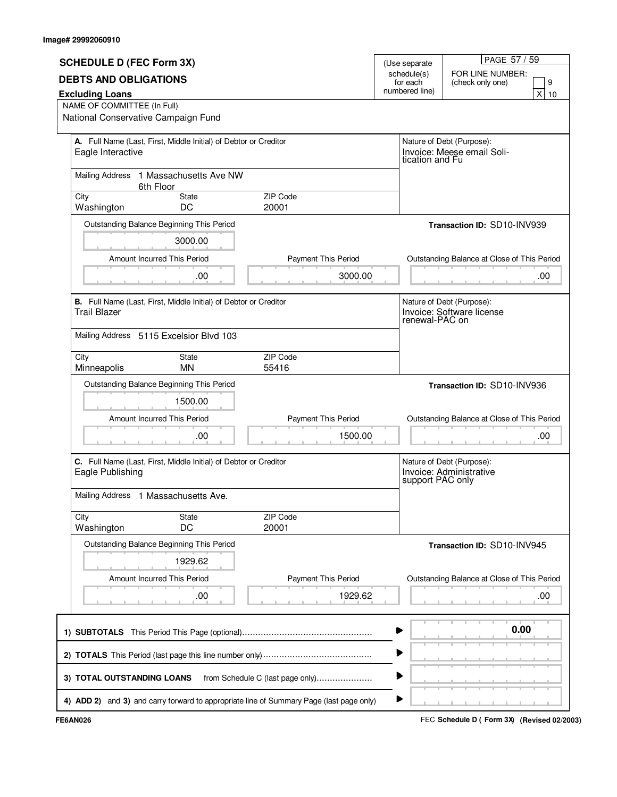|                                                                |                                                                  |                                                                                         |                |                                               | PAGE 57 / 59                                |  |
|----------------------------------------------------------------|------------------------------------------------------------------|-----------------------------------------------------------------------------------------|----------------|-----------------------------------------------|---------------------------------------------|--|
| <b>SCHEDULE D (FEC Form 3X)</b>                                |                                                                  |                                                                                         |                | (Use separate                                 |                                             |  |
| <b>DEBTS AND OBLIGATIONS</b>                                   |                                                                  |                                                                                         |                | schedule(s)<br>for each                       | FOR LINE NUMBER:<br>9<br>(check only one)   |  |
| <b>Excluding Loans</b>                                         |                                                                  |                                                                                         | numbered line) | x<br>10                                       |                                             |  |
| NAME OF COMMITTEE (In Full)                                    |                                                                  |                                                                                         |                |                                               |                                             |  |
| National Conservative Campaign Fund                            |                                                                  |                                                                                         |                |                                               |                                             |  |
|                                                                |                                                                  |                                                                                         |                |                                               |                                             |  |
|                                                                | A. Full Name (Last, First, Middle Initial) of Debtor or Creditor |                                                                                         |                | Nature of Debt (Purpose):                     |                                             |  |
| Eagle Interactive                                              |                                                                  |                                                                                         |                | Invoice: Meese email Soli-<br>tication and Fu |                                             |  |
|                                                                |                                                                  |                                                                                         |                |                                               |                                             |  |
|                                                                | Mailing Address 1 Massachusetts Ave NW<br>6th Floor              |                                                                                         |                |                                               |                                             |  |
| City                                                           | State                                                            | <b>ZIP Code</b>                                                                         |                |                                               |                                             |  |
| Washington                                                     | DC                                                               | 20001                                                                                   |                |                                               |                                             |  |
|                                                                | Outstanding Balance Beginning This Period                        |                                                                                         |                |                                               | Transaction ID: SD10-INV939                 |  |
|                                                                | 3000.00                                                          |                                                                                         |                |                                               |                                             |  |
|                                                                |                                                                  |                                                                                         |                |                                               |                                             |  |
|                                                                | Amount Incurred This Period                                      | <b>Payment This Period</b>                                                              |                |                                               | Outstanding Balance at Close of This Period |  |
|                                                                | .00                                                              | 3000.00                                                                                 |                |                                               | .00.                                        |  |
|                                                                | B. Full Name (Last, First, Middle Initial) of Debtor or Creditor |                                                                                         |                |                                               | Nature of Debt (Purpose):                   |  |
| <b>Trail Blazer</b>                                            |                                                                  |                                                                                         |                |                                               | Invoice: Software license                   |  |
|                                                                |                                                                  |                                                                                         |                | renewal-PAC on                                |                                             |  |
|                                                                | Mailing Address 5115 Excelsior Blvd 103                          |                                                                                         |                |                                               |                                             |  |
| City                                                           | <b>State</b>                                                     | ZIP Code                                                                                |                |                                               |                                             |  |
| Minneapolis                                                    | MN                                                               | 55416                                                                                   |                |                                               |                                             |  |
|                                                                | Outstanding Balance Beginning This Period                        |                                                                                         |                |                                               | Transaction ID: SD10-INV936                 |  |
|                                                                | 1500.00                                                          |                                                                                         |                |                                               |                                             |  |
|                                                                | Amount Incurred This Period                                      | <b>Payment This Period</b>                                                              |                |                                               | Outstanding Balance at Close of This Period |  |
|                                                                | .00                                                              | 1500.00                                                                                 |                |                                               | .00                                         |  |
|                                                                |                                                                  |                                                                                         |                |                                               |                                             |  |
|                                                                |                                                                  |                                                                                         |                |                                               | Nature of Debt (Purpose):                   |  |
| Eagle Publishing                                               | C. Full Name (Last, First, Middle Initial) of Debtor or Creditor |                                                                                         |                |                                               |                                             |  |
|                                                                |                                                                  |                                                                                         |                |                                               | Invoice: Administrative<br>support PAC only |  |
| Mailing Address 1 Massachusetts Ave.                           |                                                                  |                                                                                         |                |                                               |                                             |  |
| City                                                           | State                                                            | ZIP Code                                                                                |                |                                               |                                             |  |
| Washington                                                     | DC                                                               | 20001                                                                                   |                |                                               |                                             |  |
|                                                                | Outstanding Balance Beginning This Period                        |                                                                                         |                |                                               | Transaction ID: SD10-INV945                 |  |
|                                                                |                                                                  |                                                                                         |                |                                               |                                             |  |
|                                                                | 1929.62                                                          |                                                                                         |                |                                               |                                             |  |
|                                                                | <b>Amount Incurred This Period</b>                               | <b>Payment This Period</b>                                                              |                |                                               | Outstanding Balance at Close of This Period |  |
|                                                                | .00                                                              | 1929.62                                                                                 |                |                                               |                                             |  |
|                                                                |                                                                  |                                                                                         |                |                                               | .00                                         |  |
|                                                                |                                                                  |                                                                                         |                |                                               |                                             |  |
|                                                                | 0.00                                                             |                                                                                         |                |                                               |                                             |  |
|                                                                |                                                                  |                                                                                         |                |                                               |                                             |  |
|                                                                |                                                                  |                                                                                         |                |                                               |                                             |  |
|                                                                |                                                                  |                                                                                         |                |                                               |                                             |  |
| 3) TOTAL OUTSTANDING LOANS<br>from Schedule C (last page only) |                                                                  |                                                                                         |                |                                               |                                             |  |
|                                                                |                                                                  |                                                                                         | ▶              |                                               |                                             |  |
|                                                                |                                                                  | 4) ADD 2) and 3) and carry forward to appropriate line of Summary Page (last page only) |                |                                               |                                             |  |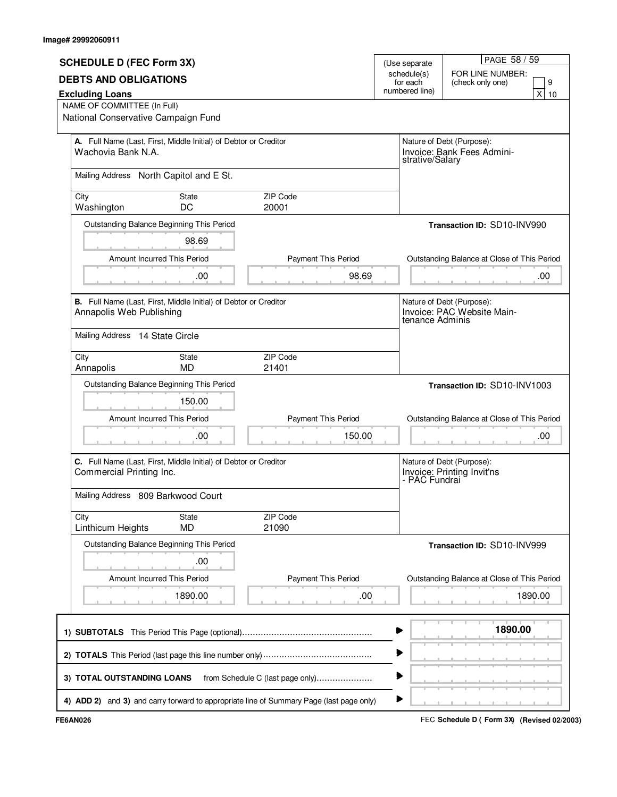|                                     |                                                                                                                                 |                                  |                           | PAGE 58 / 59                                                               |  |
|-------------------------------------|---------------------------------------------------------------------------------------------------------------------------------|----------------------------------|---------------------------|----------------------------------------------------------------------------|--|
| <b>SCHEDULE D (FEC Form 3X)</b>     |                                                                                                                                 |                                  | (Use separate             |                                                                            |  |
| <b>DEBTS AND OBLIGATIONS</b>        |                                                                                                                                 |                                  | schedule(s)<br>for each   | FOR LINE NUMBER:<br>9<br>(check only one)                                  |  |
| <b>Excluding Loans</b>              |                                                                                                                                 |                                  | numbered line)            | x <sub>l</sub><br>10                                                       |  |
| NAME OF COMMITTEE (In Full)         |                                                                                                                                 |                                  |                           |                                                                            |  |
| National Conservative Campaign Fund |                                                                                                                                 |                                  |                           |                                                                            |  |
|                                     |                                                                                                                                 |                                  | Nature of Debt (Purpose): |                                                                            |  |
|                                     | A. Full Name (Last, First, Middle Initial) of Debtor or Creditor<br>Wachovia Bank N.A.                                          |                                  |                           | Invoice: Bank Fees Admini-<br>strative/Salary                              |  |
|                                     | Mailing Address North Capitol and E St.                                                                                         |                                  |                           |                                                                            |  |
| City                                | State                                                                                                                           | <b>ZIP Code</b>                  |                           |                                                                            |  |
| Washington                          | DC                                                                                                                              | 20001                            |                           |                                                                            |  |
|                                     | Outstanding Balance Beginning This Period                                                                                       |                                  |                           | Transaction ID: SD10-INV990                                                |  |
|                                     | 98.69                                                                                                                           |                                  |                           |                                                                            |  |
|                                     | Amount Incurred This Period                                                                                                     | <b>Payment This Period</b>       |                           | Outstanding Balance at Close of This Period                                |  |
|                                     | .00                                                                                                                             | 98.69                            |                           | .00                                                                        |  |
|                                     | B. Full Name (Last, First, Middle Initial) of Debtor or Creditor<br>Annapolis Web Publishing<br>Mailing Address 14 State Circle |                                  |                           | Nature of Debt (Purpose):<br>Invoice: PAC Website Main-<br>tenance Adminis |  |
|                                     |                                                                                                                                 |                                  |                           |                                                                            |  |
| City<br>Annapolis                   | State<br><b>MD</b>                                                                                                              | ZIP Code<br>21401                |                           |                                                                            |  |
|                                     |                                                                                                                                 |                                  |                           |                                                                            |  |
|                                     |                                                                                                                                 |                                  |                           |                                                                            |  |
|                                     | Outstanding Balance Beginning This Period                                                                                       |                                  |                           | Transaction ID: SD10-INV1003                                               |  |
|                                     | 150.00                                                                                                                          |                                  |                           |                                                                            |  |
|                                     | Amount Incurred This Period                                                                                                     | Payment This Period              |                           | Outstanding Balance at Close of This Period                                |  |
|                                     | .00                                                                                                                             | 150.00                           |                           | .00                                                                        |  |
| Commercial Printing Inc.            | C. Full Name (Last, First, Middle Initial) of Debtor or Creditor                                                                |                                  |                           | Nature of Debt (Purpose):<br>Invoice: Printing Invit'ns<br>- PAC Fundrai   |  |
| Mailing Address 809 Barkwood Court  |                                                                                                                                 |                                  |                           |                                                                            |  |
| City                                | State                                                                                                                           | ZIP Code                         |                           |                                                                            |  |
| Linthicum Heights                   | <b>MD</b>                                                                                                                       | 21090                            |                           |                                                                            |  |
|                                     | Outstanding Balance Beginning This Period                                                                                       |                                  |                           | Transaction ID: SD10-INV999                                                |  |
|                                     | .00                                                                                                                             |                                  |                           |                                                                            |  |
|                                     | Amount Incurred This Period                                                                                                     |                                  |                           |                                                                            |  |
|                                     |                                                                                                                                 | <b>Payment This Period</b>       |                           | Outstanding Balance at Close of This Period                                |  |
|                                     | 1890.00                                                                                                                         | .00                              |                           | 1890.00                                                                    |  |
|                                     |                                                                                                                                 |                                  |                           | 1890.00                                                                    |  |
|                                     |                                                                                                                                 |                                  |                           |                                                                            |  |
|                                     |                                                                                                                                 |                                  |                           |                                                                            |  |
| 3) TOTAL OUTSTANDING LOANS          |                                                                                                                                 | from Schedule C (last page only) |                           |                                                                            |  |